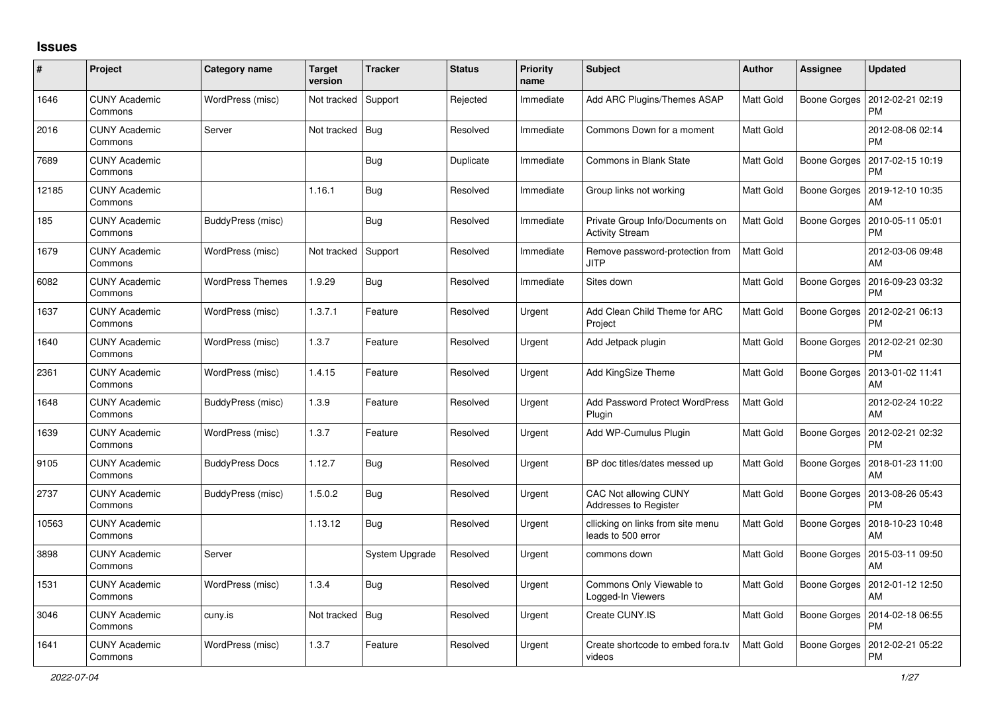## **Issues**

| #     | Project                         | <b>Category name</b>    | <b>Target</b><br>version | <b>Tracker</b> | <b>Status</b> | <b>Priority</b><br>name | <b>Subject</b>                                            | <b>Author</b>    | Assignee            | <b>Updated</b>                               |
|-------|---------------------------------|-------------------------|--------------------------|----------------|---------------|-------------------------|-----------------------------------------------------------|------------------|---------------------|----------------------------------------------|
| 1646  | <b>CUNY Academic</b><br>Commons | WordPress (misc)        | Not tracked              | Support        | Rejected      | Immediate               | Add ARC Plugins/Themes ASAP                               | Matt Gold        |                     | Boone Gorges   2012-02-21 02:19<br><b>PM</b> |
| 2016  | <b>CUNY Academic</b><br>Commons | Server                  | Not tracked              | Bug            | Resolved      | Immediate               | Commons Down for a moment                                 | Matt Gold        |                     | 2012-08-06 02:14<br><b>PM</b>                |
| 7689  | <b>CUNY Academic</b><br>Commons |                         |                          | <b>Bug</b>     | Duplicate     | Immediate               | Commons in Blank State                                    | Matt Gold        | <b>Boone Gorges</b> | 2017-02-15 10:19<br><b>PM</b>                |
| 12185 | <b>CUNY Academic</b><br>Commons |                         | 1.16.1                   | <b>Bug</b>     | Resolved      | Immediate               | Group links not working                                   | Matt Gold        | Boone Gorges        | 2019-12-10 10:35<br>AM                       |
| 185   | <b>CUNY Academic</b><br>Commons | BuddyPress (misc)       |                          | Bug            | Resolved      | Immediate               | Private Group Info/Documents on<br><b>Activity Stream</b> | <b>Matt Gold</b> |                     | Boone Gorges   2010-05-11 05:01<br><b>PM</b> |
| 1679  | <b>CUNY Academic</b><br>Commons | WordPress (misc)        | Not tracked              | Support        | Resolved      | Immediate               | Remove password-protection from<br>JITP                   | Matt Gold        |                     | 2012-03-06 09:48<br>AM                       |
| 6082  | <b>CUNY Academic</b><br>Commons | <b>WordPress Themes</b> | 1.9.29                   | Bug            | Resolved      | Immediate               | Sites down                                                | Matt Gold        | Boone Gorges        | 2016-09-23 03:32<br><b>PM</b>                |
| 1637  | <b>CUNY Academic</b><br>Commons | WordPress (misc)        | 1.3.7.1                  | Feature        | Resolved      | Urgent                  | Add Clean Child Theme for ARC<br>Project                  | Matt Gold        |                     | Boone Gorges   2012-02-21 06:13<br><b>PM</b> |
| 1640  | <b>CUNY Academic</b><br>Commons | WordPress (misc)        | 1.3.7                    | Feature        | Resolved      | Urgent                  | Add Jetpack plugin                                        | Matt Gold        |                     | Boone Gorges   2012-02-21 02:30<br><b>PM</b> |
| 2361  | <b>CUNY Academic</b><br>Commons | WordPress (misc)        | 1.4.15                   | Feature        | Resolved      | Urgent                  | Add KingSize Theme                                        | Matt Gold        | Boone Gorges        | 2013-01-02 11:41<br>AM                       |
| 1648  | <b>CUNY Academic</b><br>Commons | BuddyPress (misc)       | 1.3.9                    | Feature        | Resolved      | Urgent                  | Add Password Protect WordPress<br>Plugin                  | <b>Matt Gold</b> |                     | 2012-02-24 10:22<br>AM                       |
| 1639  | <b>CUNY Academic</b><br>Commons | WordPress (misc)        | 1.3.7                    | Feature        | Resolved      | Urgent                  | Add WP-Cumulus Plugin                                     | Matt Gold        | Boone Gorges        | 2012-02-21 02:32<br><b>PM</b>                |
| 9105  | <b>CUNY Academic</b><br>Commons | <b>BuddyPress Docs</b>  | 1.12.7                   | Bug            | Resolved      | Urgent                  | BP doc titles/dates messed up                             | Matt Gold        |                     | Boone Gorges   2018-01-23 11:00<br>AM        |
| 2737  | <b>CUNY Academic</b><br>Commons | BuddyPress (misc)       | 1.5.0.2                  | Bug            | Resolved      | Urgent                  | <b>CAC Not allowing CUNY</b><br>Addresses to Register     | Matt Gold        | <b>Boone Gorges</b> | 2013-08-26 05:43<br><b>PM</b>                |
| 10563 | <b>CUNY Academic</b><br>Commons |                         | 1.13.12                  | Bug            | Resolved      | Urgent                  | cllicking on links from site menu<br>leads to 500 error   | Matt Gold        |                     | Boone Gorges   2018-10-23 10:48<br>AM        |
| 3898  | <b>CUNY Academic</b><br>Commons | Server                  |                          | System Upgrade | Resolved      | Urgent                  | commons down                                              | Matt Gold        |                     | Boone Gorges   2015-03-11 09:50<br>AM        |
| 1531  | <b>CUNY Academic</b><br>Commons | WordPress (misc)        | 1.3.4                    | Bug            | Resolved      | Urgent                  | Commons Only Viewable to<br>Logged-In Viewers             | Matt Gold        |                     | Boone Gorges   2012-01-12 12:50<br>AM        |
| 3046  | <b>CUNY Academic</b><br>Commons | cuny.is                 | Not tracked              | Bug            | Resolved      | Urgent                  | Create CUNY.IS                                            | Matt Gold        | Boone Gorges        | 2014-02-18 06:55<br><b>PM</b>                |
| 1641  | <b>CUNY Academic</b><br>Commons | WordPress (misc)        | 1.3.7                    | Feature        | Resolved      | Urgent                  | Create shortcode to embed fora.tv<br>videos               | Matt Gold        | Boone Gorges        | 2012-02-21 05:22<br><b>PM</b>                |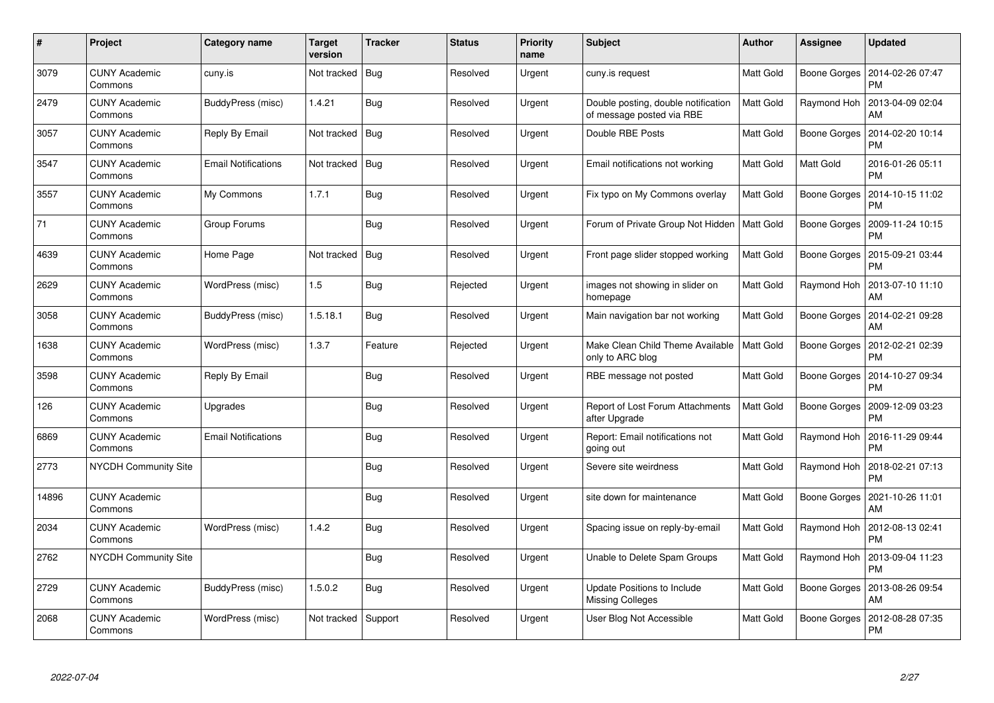| $\#$  | Project                         | Category name              | <b>Target</b><br>version | <b>Tracker</b> | <b>Status</b> | <b>Priority</b><br>name | <b>Subject</b>                                                   | Author           | Assignee     | <b>Updated</b>                |
|-------|---------------------------------|----------------------------|--------------------------|----------------|---------------|-------------------------|------------------------------------------------------------------|------------------|--------------|-------------------------------|
| 3079  | <b>CUNY Academic</b><br>Commons | cuny.is                    | Not tracked              | Bug            | Resolved      | Urgent                  | cuny.is request                                                  | Matt Gold        | Boone Gorges | 2014-02-26 07:47<br><b>PM</b> |
| 2479  | <b>CUNY Academic</b><br>Commons | BuddyPress (misc)          | 1.4.21                   | <b>Bug</b>     | Resolved      | Urgent                  | Double posting, double notification<br>of message posted via RBE | <b>Matt Gold</b> | Raymond Hoh  | 2013-04-09 02:04<br>AM        |
| 3057  | <b>CUNY Academic</b><br>Commons | Reply By Email             | Not tracked              | Bug            | Resolved      | Urgent                  | Double RBE Posts                                                 | Matt Gold        | Boone Gorges | 2014-02-20 10:14<br><b>PM</b> |
| 3547  | <b>CUNY Academic</b><br>Commons | <b>Email Notifications</b> | Not tracked              | Bug            | Resolved      | Urgent                  | Email notifications not working                                  | Matt Gold        | Matt Gold    | 2016-01-26 05:11<br><b>PM</b> |
| 3557  | <b>CUNY Academic</b><br>Commons | My Commons                 | 1.7.1                    | <b>Bug</b>     | Resolved      | Urgent                  | Fix typo on My Commons overlay                                   | <b>Matt Gold</b> | Boone Gorges | 2014-10-15 11:02<br><b>PM</b> |
| 71    | <b>CUNY Academic</b><br>Commons | Group Forums               |                          | Bug            | Resolved      | Urgent                  | Forum of Private Group Not Hidden                                | Matt Gold        | Boone Gorges | 2009-11-24 10:15<br><b>PM</b> |
| 4639  | <b>CUNY Academic</b><br>Commons | Home Page                  | Not tracked              | Bug            | Resolved      | Urgent                  | Front page slider stopped working                                | Matt Gold        | Boone Gorges | 2015-09-21 03:44<br><b>PM</b> |
| 2629  | <b>CUNY Academic</b><br>Commons | WordPress (misc)           | 1.5                      | <b>Bug</b>     | Rejected      | Urgent                  | images not showing in slider on<br>homepage                      | Matt Gold        | Raymond Hoh  | 2013-07-10 11:10<br>AM        |
| 3058  | <b>CUNY Academic</b><br>Commons | BuddyPress (misc)          | 1.5.18.1                 | Bug            | Resolved      | Urgent                  | Main navigation bar not working                                  | <b>Matt Gold</b> | Boone Gorges | 2014-02-21 09:28<br>AM        |
| 1638  | <b>CUNY Academic</b><br>Commons | WordPress (misc)           | 1.3.7                    | Feature        | Rejected      | Urgent                  | Make Clean Child Theme Available<br>only to ARC blog             | <b>Matt Gold</b> | Boone Gorges | 2012-02-21 02:39<br><b>PM</b> |
| 3598  | <b>CUNY Academic</b><br>Commons | Reply By Email             |                          | Bug            | Resolved      | Urgent                  | RBE message not posted                                           | Matt Gold        | Boone Gorges | 2014-10-27 09:34<br><b>PM</b> |
| 126   | <b>CUNY Academic</b><br>Commons | Upgrades                   |                          | <b>Bug</b>     | Resolved      | Urgent                  | Report of Lost Forum Attachments<br>after Upgrade                | <b>Matt Gold</b> | Boone Gorges | 2009-12-09 03:23<br><b>PM</b> |
| 6869  | <b>CUNY Academic</b><br>Commons | <b>Email Notifications</b> |                          | Bug            | Resolved      | Urgent                  | Report: Email notifications not<br>going out                     | <b>Matt Gold</b> | Raymond Hoh  | 2016-11-29 09:44<br><b>PM</b> |
| 2773  | NYCDH Community Site            |                            |                          | Bug            | Resolved      | Urgent                  | Severe site weirdness                                            | Matt Gold        | Raymond Hoh  | 2018-02-21 07:13<br><b>PM</b> |
| 14896 | <b>CUNY Academic</b><br>Commons |                            |                          | <b>Bug</b>     | Resolved      | Urgent                  | site down for maintenance                                        | Matt Gold        | Boone Gorges | 2021-10-26 11:01<br>AM        |
| 2034  | <b>CUNY Academic</b><br>Commons | WordPress (misc)           | 1.4.2                    | Bug            | Resolved      | Urgent                  | Spacing issue on reply-by-email                                  | <b>Matt Gold</b> | Raymond Hoh  | 2012-08-13 02:41<br><b>PM</b> |
| 2762  | <b>NYCDH Community Site</b>     |                            |                          | Bug            | Resolved      | Urgent                  | Unable to Delete Spam Groups                                     | Matt Gold        | Raymond Hoh  | 2013-09-04 11:23<br><b>PM</b> |
| 2729  | <b>CUNY Academic</b><br>Commons | BuddyPress (misc)          | 1.5.0.2                  | Bug            | Resolved      | Urgent                  | Update Positions to Include<br>Missing Colleges                  | Matt Gold        | Boone Gorges | 2013-08-26 09:54<br>AM        |
| 2068  | CUNY Academic<br>Commons        | WordPress (misc)           | Not tracked              | Support        | Resolved      | Urgent                  | User Blog Not Accessible                                         | Matt Gold        | Boone Gorges | 2012-08-28 07:35<br>PM        |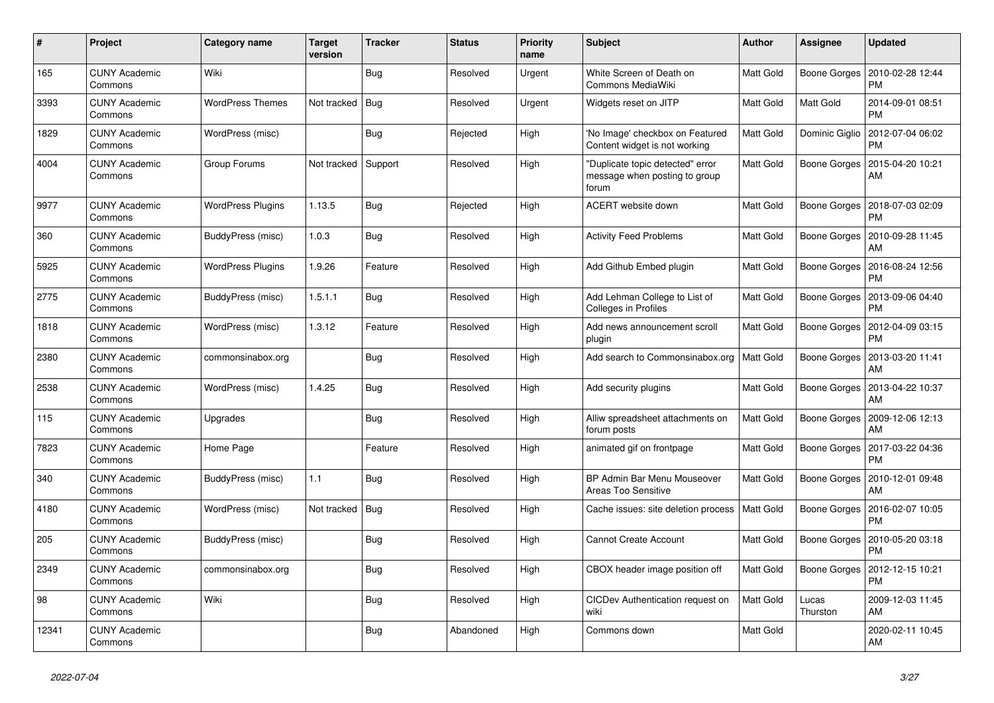| $\#$  | Project                         | Category name            | <b>Target</b><br>version | <b>Tracker</b> | <b>Status</b> | <b>Priority</b><br>name | <b>Subject</b>                                                             | <b>Author</b>    | Assignee          | <b>Updated</b>                |
|-------|---------------------------------|--------------------------|--------------------------|----------------|---------------|-------------------------|----------------------------------------------------------------------------|------------------|-------------------|-------------------------------|
| 165   | <b>CUNY Academic</b><br>Commons | Wiki                     |                          | <b>Bug</b>     | Resolved      | Urgent                  | White Screen of Death on<br><b>Commons MediaWiki</b>                       | <b>Matt Gold</b> | Boone Gorges      | 2010-02-28 12:44<br><b>PM</b> |
| 3393  | <b>CUNY Academic</b><br>Commons | <b>WordPress Themes</b>  | Not tracked              | Bug            | Resolved      | Urgent                  | Widgets reset on JITP                                                      | Matt Gold        | Matt Gold         | 2014-09-01 08:51<br><b>PM</b> |
| 1829  | <b>CUNY Academic</b><br>Commons | WordPress (misc)         |                          | Bug            | Rejected      | High                    | 'No Image' checkbox on Featured<br>Content widget is not working           | Matt Gold        | Dominic Giglio    | 2012-07-04 06:02<br><b>PM</b> |
| 4004  | <b>CUNY Academic</b><br>Commons | Group Forums             | Not tracked              | Support        | Resolved      | High                    | "Duplicate topic detected" error<br>message when posting to group<br>forum | Matt Gold        | Boone Gorges      | 2015-04-20 10:21<br>AM        |
| 9977  | <b>CUNY Academic</b><br>Commons | <b>WordPress Plugins</b> | 1.13.5                   | Bug            | Rejected      | High                    | ACERT website down                                                         | Matt Gold        | Boone Gorges      | 2018-07-03 02:09<br><b>PM</b> |
| 360   | CUNY Academic<br>Commons        | BuddyPress (misc)        | 1.0.3                    | Bug            | Resolved      | High                    | <b>Activity Feed Problems</b>                                              | Matt Gold        | Boone Gorges      | 2010-09-28 11:45<br>AM        |
| 5925  | <b>CUNY Academic</b><br>Commons | <b>WordPress Plugins</b> | 1.9.26                   | Feature        | Resolved      | High                    | Add Github Embed plugin                                                    | Matt Gold        | Boone Gorges      | 2016-08-24 12:56<br><b>PM</b> |
| 2775  | <b>CUNY Academic</b><br>Commons | BuddyPress (misc)        | 1.5.1.1                  | Bug            | Resolved      | High                    | Add Lehman College to List of<br>Colleges in Profiles                      | <b>Matt Gold</b> | Boone Gorges      | 2013-09-06 04:40<br><b>PM</b> |
| 1818  | <b>CUNY Academic</b><br>Commons | WordPress (misc)         | 1.3.12                   | Feature        | Resolved      | High                    | Add news announcement scroll<br>plugin                                     | Matt Gold        | Boone Gorges      | 2012-04-09 03:15<br><b>PM</b> |
| 2380  | <b>CUNY Academic</b><br>Commons | commonsinabox.org        |                          | Bug            | Resolved      | High                    | Add search to Commonsinabox.org                                            | Matt Gold        | Boone Gorges      | 2013-03-20 11:41<br>AM        |
| 2538  | <b>CUNY Academic</b><br>Commons | WordPress (misc)         | 1.4.25                   | Bug            | Resolved      | High                    | Add security plugins                                                       | Matt Gold        | Boone Gorges      | 2013-04-22 10:37<br>AM        |
| 115   | <b>CUNY Academic</b><br>Commons | Upgrades                 |                          | <b>Bug</b>     | Resolved      | High                    | Alliw spreadsheet attachments on<br>forum posts                            | <b>Matt Gold</b> | Boone Gorges      | 2009-12-06 12:13<br>AM        |
| 7823  | <b>CUNY Academic</b><br>Commons | Home Page                |                          | Feature        | Resolved      | High                    | animated gif on frontpage                                                  | Matt Gold        | Boone Gorges      | 2017-03-22 04:36<br><b>PM</b> |
| 340   | <b>CUNY Academic</b><br>Commons | BuddyPress (misc)        | 1.1                      | Bug            | Resolved      | High                    | BP Admin Bar Menu Mouseover<br>Areas Too Sensitive                         | Matt Gold        | Boone Gorges      | 2010-12-01 09:48<br>AM        |
| 4180  | <b>CUNY Academic</b><br>Commons | WordPress (misc)         | Not tracked              | Bug            | Resolved      | High                    | Cache issues: site deletion process                                        | Matt Gold        | Boone Gorges      | 2016-02-07 10:05<br><b>PM</b> |
| 205   | <b>CUNY Academic</b><br>Commons | BuddyPress (misc)        |                          | Bug            | Resolved      | High                    | <b>Cannot Create Account</b>                                               | Matt Gold        | Boone Gorges      | 2010-05-20 03:18<br><b>PM</b> |
| 2349  | <b>CUNY Academic</b><br>Commons | commonsinabox.org        |                          | Bug            | Resolved      | High                    | CBOX header image position off                                             | Matt Gold        | Boone Gorges      | 2012-12-15 10:21<br><b>PM</b> |
| 98    | <b>CUNY Academic</b><br>Commons | Wiki                     |                          | <b>Bug</b>     | Resolved      | High                    | <b>CICDev Authentication request on</b><br>wiki                            | <b>Matt Gold</b> | Lucas<br>Thurston | 2009-12-03 11:45<br>AM        |
| 12341 | <b>CUNY Academic</b><br>Commons |                          |                          | Bug            | Abandoned     | High                    | Commons down                                                               | Matt Gold        |                   | 2020-02-11 10:45<br>AM        |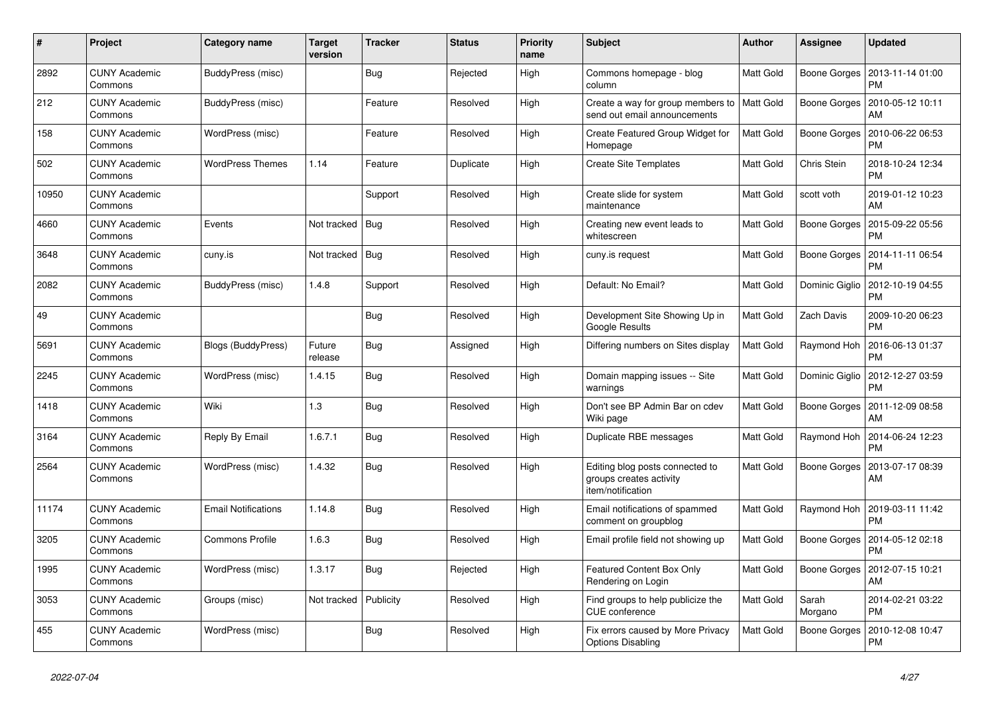| #     | Project                         | <b>Category name</b>       | <b>Target</b><br>version | <b>Tracker</b> | <b>Status</b> | <b>Priority</b><br>name | <b>Subject</b>                                                                  | <b>Author</b>    | <b>Assignee</b>     | <b>Updated</b>                               |
|-------|---------------------------------|----------------------------|--------------------------|----------------|---------------|-------------------------|---------------------------------------------------------------------------------|------------------|---------------------|----------------------------------------------|
| 2892  | <b>CUNY Academic</b><br>Commons | BuddyPress (misc)          |                          | <b>Bug</b>     | Rejected      | High                    | Commons homepage - blog<br>column                                               | <b>Matt Gold</b> | Boone Gorges        | 2013-11-14 01:00<br><b>PM</b>                |
| 212   | <b>CUNY Academic</b><br>Commons | BuddyPress (misc)          |                          | Feature        | Resolved      | High                    | Create a way for group members to<br>send out email announcements               | <b>Matt Gold</b> | <b>Boone Gorges</b> | 2010-05-12 10:11<br>AM                       |
| 158   | <b>CUNY Academic</b><br>Commons | WordPress (misc)           |                          | Feature        | Resolved      | High                    | Create Featured Group Widget for<br>Homepage                                    | <b>Matt Gold</b> | Boone Gorges        | 2010-06-22 06:53<br><b>PM</b>                |
| 502   | <b>CUNY Academic</b><br>Commons | <b>WordPress Themes</b>    | 1.14                     | Feature        | Duplicate     | High                    | <b>Create Site Templates</b>                                                    | Matt Gold        | Chris Stein         | 2018-10-24 12:34<br><b>PM</b>                |
| 10950 | <b>CUNY Academic</b><br>Commons |                            |                          | Support        | Resolved      | High                    | Create slide for system<br>maintenance                                          | Matt Gold        | scott voth          | 2019-01-12 10:23<br>AM                       |
| 4660  | <b>CUNY Academic</b><br>Commons | Events                     | Not tracked              | Bug            | Resolved      | High                    | Creating new event leads to<br>whitescreen                                      | Matt Gold        | Boone Gorges        | 2015-09-22 05:56<br><b>PM</b>                |
| 3648  | <b>CUNY Academic</b><br>Commons | cuny.is                    | Not tracked              | Bug            | Resolved      | High                    | cuny.is request                                                                 | Matt Gold        |                     | Boone Gorges   2014-11-11 06:54<br><b>PM</b> |
| 2082  | <b>CUNY Academic</b><br>Commons | BuddyPress (misc)          | 1.4.8                    | Support        | Resolved      | High                    | Default: No Email?                                                              | Matt Gold        | Dominic Giglio      | 2012-10-19 04:55<br><b>PM</b>                |
| 49    | <b>CUNY Academic</b><br>Commons |                            |                          | Bug            | Resolved      | High                    | Development Site Showing Up in<br>Google Results                                | <b>Matt Gold</b> | Zach Davis          | 2009-10-20 06:23<br><b>PM</b>                |
| 5691  | <b>CUNY Academic</b><br>Commons | <b>Blogs (BuddyPress)</b>  | Future<br>release        | <b>Bug</b>     | Assigned      | High                    | Differing numbers on Sites display                                              | <b>Matt Gold</b> | Raymond Hoh         | 2016-06-13 01:37<br><b>PM</b>                |
| 2245  | <b>CUNY Academic</b><br>Commons | WordPress (misc)           | 1.4.15                   | <b>Bug</b>     | Resolved      | High                    | Domain mapping issues -- Site<br>warnings                                       | Matt Gold        | Dominic Giglio      | 2012-12-27 03:59<br><b>PM</b>                |
| 1418  | <b>CUNY Academic</b><br>Commons | Wiki                       | 1.3                      | <b>Bug</b>     | Resolved      | High                    | Don't see BP Admin Bar on cdev<br>Wiki page                                     | <b>Matt Gold</b> | Boone Gorges        | 2011-12-09 08:58<br>AM                       |
| 3164  | <b>CUNY Academic</b><br>Commons | Reply By Email             | 1.6.7.1                  | <b>Bug</b>     | Resolved      | High                    | Duplicate RBE messages                                                          | Matt Gold        | Raymond Hoh         | 2014-06-24 12:23<br><b>PM</b>                |
| 2564  | <b>CUNY Academic</b><br>Commons | WordPress (misc)           | 1.4.32                   | Bug            | Resolved      | High                    | Editing blog posts connected to<br>groups creates activity<br>item/notification | <b>Matt Gold</b> | Boone Gorges        | 2013-07-17 08:39<br>AM                       |
| 11174 | <b>CUNY Academic</b><br>Commons | <b>Email Notifications</b> | 1.14.8                   | <b>Bug</b>     | Resolved      | High                    | Email notifications of spammed<br>comment on groupblog                          | <b>Matt Gold</b> | Raymond Hoh         | 2019-03-11 11:42<br><b>PM</b>                |
| 3205  | <b>CUNY Academic</b><br>Commons | <b>Commons Profile</b>     | 1.6.3                    | Bug            | Resolved      | High                    | Email profile field not showing up                                              | <b>Matt Gold</b> | Boone Gorges        | 2014-05-12 02:18<br><b>PM</b>                |
| 1995  | <b>CUNY Academic</b><br>Commons | WordPress (misc)           | 1.3.17                   | <b>Bug</b>     | Rejected      | High                    | <b>Featured Content Box Only</b><br>Rendering on Login                          | Matt Gold        | Boone Gorges        | 2012-07-15 10:21<br>AM                       |
| 3053  | <b>CUNY Academic</b><br>Commons | Groups (misc)              | Not tracked              | Publicity      | Resolved      | High                    | Find groups to help publicize the<br>CUE conference                             | <b>Matt Gold</b> | Sarah<br>Morgano    | 2014-02-21 03:22<br><b>PM</b>                |
| 455   | <b>CUNY Academic</b><br>Commons | WordPress (misc)           |                          | Bug            | Resolved      | High                    | Fix errors caused by More Privacy<br><b>Options Disabling</b>                   | <b>Matt Gold</b> | Boone Gorges        | 2010-12-08 10:47<br><b>PM</b>                |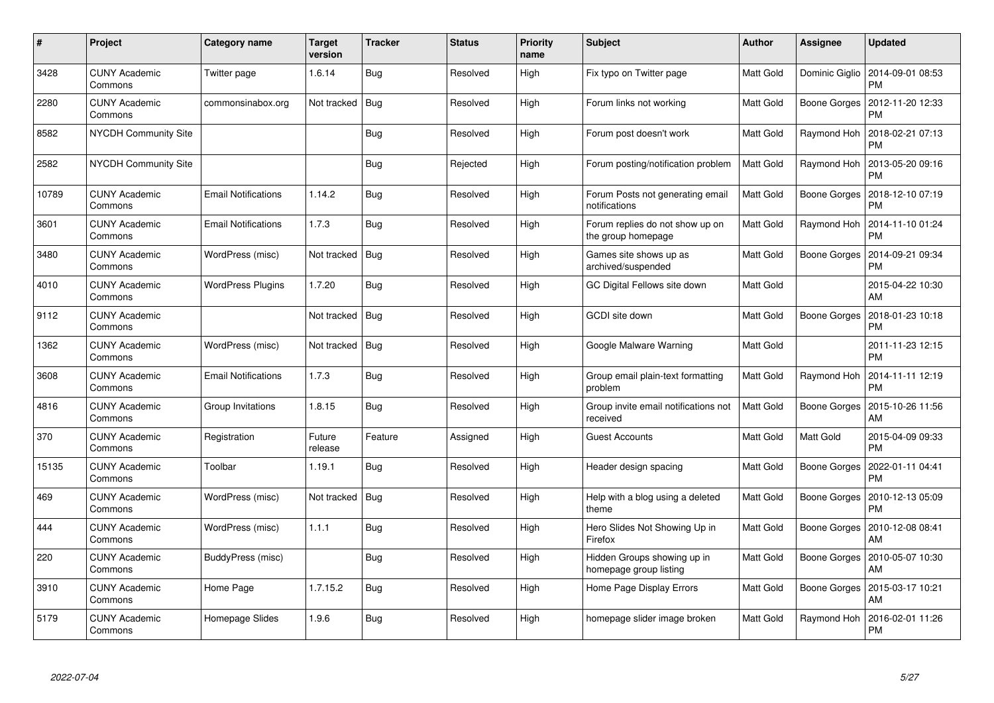| $\pmb{\#}$ | Project                         | Category name              | <b>Target</b><br>version | <b>Tracker</b> | <b>Status</b> | <b>Priority</b><br>name | <b>Subject</b>                                        | <b>Author</b>    | Assignee       | Updated                               |
|------------|---------------------------------|----------------------------|--------------------------|----------------|---------------|-------------------------|-------------------------------------------------------|------------------|----------------|---------------------------------------|
| 3428       | <b>CUNY Academic</b><br>Commons | Twitter page               | 1.6.14                   | <b>Bug</b>     | Resolved      | High                    | Fix typo on Twitter page                              | Matt Gold        | Dominic Giglio | 2014-09-01 08:53<br><b>PM</b>         |
| 2280       | <b>CUNY Academic</b><br>Commons | commonsinabox.org          | Not tracked              | Bug            | Resolved      | High                    | Forum links not working                               | Matt Gold        | Boone Gorges   | 2012-11-20 12:33<br><b>PM</b>         |
| 8582       | NYCDH Community Site            |                            |                          | <b>Bug</b>     | Resolved      | High                    | Forum post doesn't work                               | Matt Gold        | Raymond Hoh    | 2018-02-21 07:13<br>РM                |
| 2582       | <b>NYCDH Community Site</b>     |                            |                          | Bug            | Rejected      | High                    | Forum posting/notification problem                    | Matt Gold        | Raymond Hoh    | 2013-05-20 09:16<br><b>PM</b>         |
| 10789      | <b>CUNY Academic</b><br>Commons | <b>Email Notifications</b> | 1.14.2                   | <b>Bug</b>     | Resolved      | High                    | Forum Posts not generating email<br>notifications     | <b>Matt Gold</b> | Boone Gorges   | 2018-12-10 07:19<br><b>PM</b>         |
| 3601       | <b>CUNY Academic</b><br>Commons | <b>Email Notifications</b> | 1.7.3                    | <b>Bug</b>     | Resolved      | High                    | Forum replies do not show up on<br>the group homepage | Matt Gold        | Raymond Hoh    | 2014-11-10 01:24<br><b>PM</b>         |
| 3480       | <b>CUNY Academic</b><br>Commons | WordPress (misc)           | Not tracked              | Bug            | Resolved      | High                    | Games site shows up as<br>archived/suspended          | Matt Gold        | Boone Gorges   | 2014-09-21 09:34<br>PM                |
| 4010       | CUNY Academic<br>Commons        | <b>WordPress Plugins</b>   | 1.7.20                   | <b>Bug</b>     | Resolved      | High                    | GC Digital Fellows site down                          | Matt Gold        |                | 2015-04-22 10:30<br>AM                |
| 9112       | <b>CUNY Academic</b><br>Commons |                            | Not tracked              | Bug            | Resolved      | High                    | <b>GCDI</b> site down                                 | <b>Matt Gold</b> | Boone Gorges   | 2018-01-23 10:18<br><b>PM</b>         |
| 1362       | <b>CUNY Academic</b><br>Commons | WordPress (misc)           | Not tracked              | $ $ Bug        | Resolved      | High                    | Google Malware Warning                                | Matt Gold        |                | 2011-11-23 12:15<br><b>PM</b>         |
| 3608       | <b>CUNY Academic</b><br>Commons | <b>Email Notifications</b> | 1.7.3                    | <b>Bug</b>     | Resolved      | High                    | Group email plain-text formatting<br>problem          | Matt Gold        | Raymond Hoh    | 2014-11-11 12:19<br><b>PM</b>         |
| 4816       | <b>CUNY Academic</b><br>Commons | Group Invitations          | 1.8.15                   | <b>Bug</b>     | Resolved      | High                    | Group invite email notifications not<br>received      | Matt Gold        | Boone Gorges   | 2015-10-26 11:56<br>AM                |
| 370        | <b>CUNY Academic</b><br>Commons | Registration               | Future<br>release        | Feature        | Assigned      | High                    | <b>Guest Accounts</b>                                 | Matt Gold        | Matt Gold      | 2015-04-09 09:33<br><b>PM</b>         |
| 15135      | <b>CUNY Academic</b><br>Commons | Toolbar                    | 1.19.1                   | Bug            | Resolved      | High                    | Header design spacing                                 | Matt Gold        | Boone Gorges   | 2022-01-11 04:41<br>РM                |
| 469        | <b>CUNY Academic</b><br>Commons | WordPress (misc)           | Not tracked              | Bug            | Resolved      | High                    | Help with a blog using a deleted<br>theme             | Matt Gold        | Boone Gorges   | 2010-12-13 05:09<br><b>PM</b>         |
| 444        | <b>CUNY Academic</b><br>Commons | WordPress (misc)           | 1.1.1                    | Bug            | Resolved      | High                    | Hero Slides Not Showing Up in<br>Firefox              | Matt Gold        |                | Boone Gorges   2010-12-08 08:41<br>AM |
| 220        | CUNY Academic<br>Commons        | BuddyPress (misc)          |                          | <b>Bug</b>     | Resolved      | High                    | Hidden Groups showing up in<br>homepage group listing | Matt Gold        | Boone Gorges   | 2010-05-07 10:30<br>AM                |
| 3910       | <b>CUNY Academic</b><br>Commons | Home Page                  | 1.7.15.2                 | Bug            | Resolved      | High                    | Home Page Display Errors                              | Matt Gold        | Boone Gorges   | 2015-03-17 10:21<br>AM                |
| 5179       | <b>CUNY Academic</b><br>Commons | Homepage Slides            | 1.9.6                    | <b>Bug</b>     | Resolved      | High                    | homepage slider image broken                          | Matt Gold        | Raymond Hoh    | 2016-02-01 11:26<br>PM                |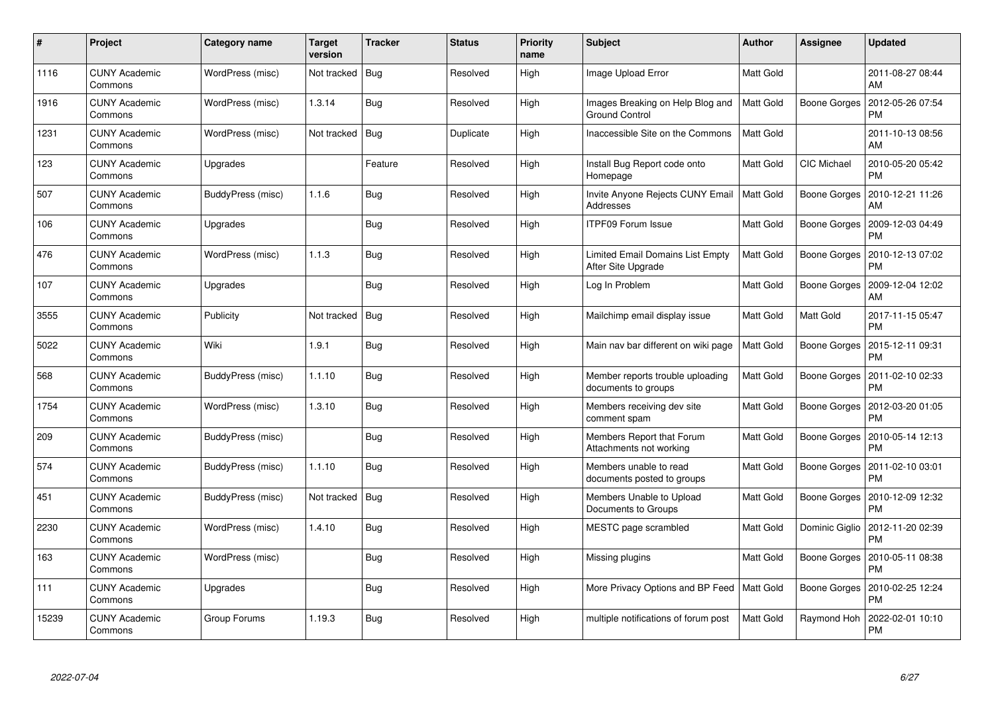| #     | Project                         | <b>Category name</b> | <b>Target</b><br>version | <b>Tracker</b> | <b>Status</b> | <b>Priority</b><br>name | <b>Subject</b>                                            | <b>Author</b>    | Assignee           | <b>Updated</b>                |
|-------|---------------------------------|----------------------|--------------------------|----------------|---------------|-------------------------|-----------------------------------------------------------|------------------|--------------------|-------------------------------|
| 1116  | <b>CUNY Academic</b><br>Commons | WordPress (misc)     | Not tracked              | <b>Bug</b>     | Resolved      | High                    | Image Upload Error                                        | <b>Matt Gold</b> |                    | 2011-08-27 08:44<br>AM        |
| 1916  | <b>CUNY Academic</b><br>Commons | WordPress (misc)     | 1.3.14                   | <b>Bug</b>     | Resolved      | High                    | Images Breaking on Help Blog and<br><b>Ground Control</b> | <b>Matt Gold</b> | Boone Gorges       | 2012-05-26 07:54<br><b>PM</b> |
| 1231  | <b>CUNY Academic</b><br>Commons | WordPress (misc)     | Not tracked              | Bug            | Duplicate     | High                    | Inaccessible Site on the Commons                          | <b>Matt Gold</b> |                    | 2011-10-13 08:56<br>AM        |
| 123   | <b>CUNY Academic</b><br>Commons | Upgrades             |                          | Feature        | Resolved      | High                    | Install Bug Report code onto<br>Homepage                  | Matt Gold        | <b>CIC Michael</b> | 2010-05-20 05:42<br><b>PM</b> |
| 507   | <b>CUNY Academic</b><br>Commons | BuddyPress (misc)    | 1.1.6                    | <b>Bug</b>     | Resolved      | High                    | Invite Anyone Rejects CUNY Email<br>Addresses             | Matt Gold        | Boone Gorges       | 2010-12-21 11:26<br>AM        |
| 106   | <b>CUNY Academic</b><br>Commons | Upgrades             |                          | <b>Bug</b>     | Resolved      | High                    | <b>ITPF09 Forum Issue</b>                                 | Matt Gold        | Boone Gorges       | 2009-12-03 04:49<br><b>PM</b> |
| 476   | <b>CUNY Academic</b><br>Commons | WordPress (misc)     | 1.1.3                    | <b>Bug</b>     | Resolved      | High                    | Limited Email Domains List Empty<br>After Site Upgrade    | Matt Gold        | Boone Gorges       | 2010-12-13 07:02<br><b>PM</b> |
| 107   | <b>CUNY Academic</b><br>Commons | Upgrades             |                          | <b>Bug</b>     | Resolved      | High                    | Log In Problem                                            | Matt Gold        | Boone Gorges       | 2009-12-04 12:02<br>AM        |
| 3555  | <b>CUNY Academic</b><br>Commons | Publicity            | Not tracked              | Bug            | Resolved      | High                    | Mailchimp email display issue                             | <b>Matt Gold</b> | <b>Matt Gold</b>   | 2017-11-15 05:47<br><b>PM</b> |
| 5022  | <b>CUNY Academic</b><br>Commons | Wiki                 | 1.9.1                    | Bug            | Resolved      | High                    | Main nav bar different on wiki page                       | <b>Matt Gold</b> | Boone Gorges       | 2015-12-11 09:31<br><b>PM</b> |
| 568   | <b>CUNY Academic</b><br>Commons | BuddyPress (misc)    | 1.1.10                   | <b>Bug</b>     | Resolved      | High                    | Member reports trouble uploading<br>documents to groups   | <b>Matt Gold</b> | Boone Gorges       | 2011-02-10 02:33<br><b>PM</b> |
| 1754  | <b>CUNY Academic</b><br>Commons | WordPress (misc)     | 1.3.10                   | <b>Bug</b>     | Resolved      | High                    | Members receiving dev site<br>comment spam                | Matt Gold        | Boone Gorges       | 2012-03-20 01:05<br><b>PM</b> |
| 209   | <b>CUNY Academic</b><br>Commons | BuddyPress (misc)    |                          | <b>Bug</b>     | Resolved      | High                    | Members Report that Forum<br>Attachments not working      | <b>Matt Gold</b> | Boone Gorges       | 2010-05-14 12:13<br><b>PM</b> |
| 574   | <b>CUNY Academic</b><br>Commons | BuddyPress (misc)    | 1.1.10                   | <b>Bug</b>     | Resolved      | High                    | Members unable to read<br>documents posted to groups      | Matt Gold        | Boone Gorges       | 2011-02-10 03:01<br><b>PM</b> |
| 451   | <b>CUNY Academic</b><br>Commons | BuddyPress (misc)    | Not tracked              | <b>Bug</b>     | Resolved      | High                    | Members Unable to Upload<br>Documents to Groups           | Matt Gold        | Boone Gorges       | 2010-12-09 12:32<br><b>PM</b> |
| 2230  | <b>CUNY Academic</b><br>Commons | WordPress (misc)     | 1.4.10                   | <b>Bug</b>     | Resolved      | High                    | MESTC page scrambled                                      | <b>Matt Gold</b> | Dominic Giglio     | 2012-11-20 02:39<br><b>PM</b> |
| 163   | <b>CUNY Academic</b><br>Commons | WordPress (misc)     |                          | Bug            | Resolved      | High                    | Missing plugins                                           | Matt Gold        | Boone Gorges       | 2010-05-11 08:38<br><b>PM</b> |
| 111   | <b>CUNY Academic</b><br>Commons | Upgrades             |                          | <b>Bug</b>     | Resolved      | High                    | More Privacy Options and BP Feed   Matt Gold              |                  | Boone Gorges       | 2010-02-25 12:24<br><b>PM</b> |
| 15239 | CUNY Academic<br>Commons        | Group Forums         | 1.19.3                   | <b>Bug</b>     | Resolved      | High                    | multiple notifications of forum post                      | <b>Matt Gold</b> | Raymond Hoh        | 2022-02-01 10:10<br><b>PM</b> |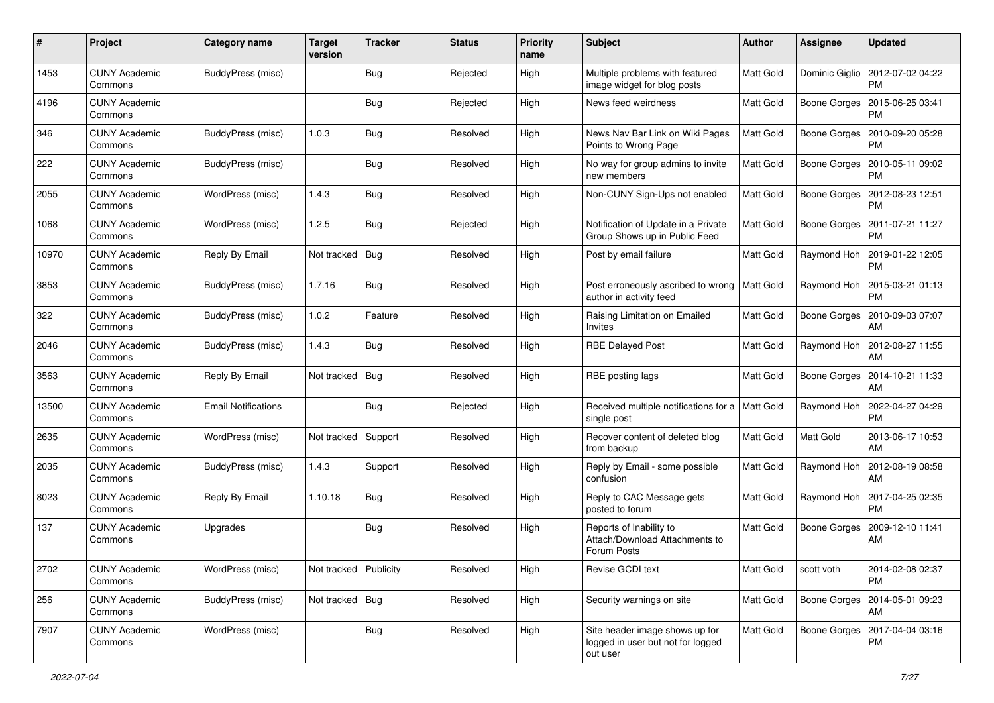| #     | Project                         | <b>Category name</b>       | <b>Target</b><br>version | <b>Tracker</b> | <b>Status</b> | <b>Priority</b><br>name | <b>Subject</b>                                                                  | Author           | <b>Assignee</b> | <b>Updated</b>                                 |
|-------|---------------------------------|----------------------------|--------------------------|----------------|---------------|-------------------------|---------------------------------------------------------------------------------|------------------|-----------------|------------------------------------------------|
| 1453  | <b>CUNY Academic</b><br>Commons | BuddyPress (misc)          |                          | <b>Bug</b>     | Rejected      | High                    | Multiple problems with featured<br>image widget for blog posts                  | <b>Matt Gold</b> |                 | Dominic Giglio   2012-07-02 04:22<br><b>PM</b> |
| 4196  | <b>CUNY Academic</b><br>Commons |                            |                          | Bug            | Rejected      | High                    | News feed weirdness                                                             | <b>Matt Gold</b> |                 | Boone Gorges   2015-06-25 03:41<br><b>PM</b>   |
| 346   | <b>CUNY Academic</b><br>Commons | BuddyPress (misc)          | 1.0.3                    | <b>Bug</b>     | Resolved      | High                    | News Nav Bar Link on Wiki Pages<br>Points to Wrong Page                         | <b>Matt Gold</b> | Boone Gorges    | 2010-09-20 05:28<br><b>PM</b>                  |
| 222   | <b>CUNY Academic</b><br>Commons | BuddyPress (misc)          |                          | i Bug          | Resolved      | High                    | No way for group admins to invite<br>new members                                | <b>Matt Gold</b> | Boone Gorges    | 2010-05-11 09:02<br><b>PM</b>                  |
| 2055  | <b>CUNY Academic</b><br>Commons | WordPress (misc)           | 1.4.3                    | Bug            | Resolved      | High                    | Non-CUNY Sign-Ups not enabled                                                   | Matt Gold        |                 | Boone Gorges   2012-08-23 12:51<br><b>PM</b>   |
| 1068  | <b>CUNY Academic</b><br>Commons | WordPress (misc)           | 1.2.5                    | Bug            | Rejected      | High                    | Notification of Update in a Private<br>Group Shows up in Public Feed            | Matt Gold        |                 | Boone Gorges   2011-07-21 11:27<br><b>PM</b>   |
| 10970 | <b>CUNY Academic</b><br>Commons | Reply By Email             | Not tracked              | Bug            | Resolved      | High                    | Post by email failure                                                           | Matt Gold        | Raymond Hoh     | 2019-01-22 12:05<br><b>PM</b>                  |
| 3853  | <b>CUNY Academic</b><br>Commons | BuddyPress (misc)          | 1.7.16                   | <b>Bug</b>     | Resolved      | High                    | Post erroneously ascribed to wrong<br>author in activity feed                   | <b>Matt Gold</b> | Raymond Hoh     | 2015-03-21 01:13<br><b>PM</b>                  |
| 322   | <b>CUNY Academic</b><br>Commons | BuddyPress (misc)          | 1.0.2                    | Feature        | Resolved      | High                    | Raising Limitation on Emailed<br>Invites                                        | <b>Matt Gold</b> |                 | Boone Gorges   2010-09-03 07:07<br>AM          |
| 2046  | <b>CUNY Academic</b><br>Commons | BuddyPress (misc)          | 1.4.3                    | <b>Bug</b>     | Resolved      | High                    | <b>RBE Delayed Post</b>                                                         | Matt Gold        | Raymond Hoh     | 2012-08-27 11:55<br>AM                         |
| 3563  | <b>CUNY Academic</b><br>Commons | Reply By Email             | Not tracked              | Bug            | Resolved      | High                    | RBE posting lags                                                                | <b>Matt Gold</b> | Boone Gorges    | 2014-10-21 11:33<br>AM                         |
| 13500 | <b>CUNY Academic</b><br>Commons | <b>Email Notifications</b> |                          | Bug            | Rejected      | High                    | Received multiple notifications for a   Matt Gold<br>single post                |                  | Raymond Hoh     | 2022-04-27 04:29<br><b>PM</b>                  |
| 2635  | <b>CUNY Academic</b><br>Commons | WordPress (misc)           | Not tracked              | Support        | Resolved      | High                    | Recover content of deleted blog<br>from backup                                  | <b>Matt Gold</b> | Matt Gold       | 2013-06-17 10:53<br>AM                         |
| 2035  | <b>CUNY Academic</b><br>Commons | BuddyPress (misc)          | 1.4.3                    | Support        | Resolved      | High                    | Reply by Email - some possible<br>confusion                                     | Matt Gold        | Raymond Hoh     | 2012-08-19 08:58<br>AM                         |
| 8023  | <b>CUNY Academic</b><br>Commons | Reply By Email             | 1.10.18                  | <b>Bug</b>     | Resolved      | High                    | Reply to CAC Message gets<br>posted to forum                                    | Matt Gold        | Raymond Hoh     | 2017-04-25 02:35<br><b>PM</b>                  |
| 137   | <b>CUNY Academic</b><br>Commons | Upgrades                   |                          | <b>Bug</b>     | Resolved      | High                    | Reports of Inability to<br>Attach/Download Attachments to<br>Forum Posts        | <b>Matt Gold</b> |                 | Boone Gorges   2009-12-10 11:41<br>AM          |
| 2702  | <b>CUNY Academic</b><br>Commons | WordPress (misc)           | Not tracked Publicity    |                | Resolved      | High                    | Revise GCDI text                                                                | Matt Gold        | scott voth      | 2014-02-08 02:37<br><b>PM</b>                  |
| 256   | <b>CUNY Academic</b><br>Commons | BuddyPress (misc)          | Not tracked   Bug        |                | Resolved      | High                    | Security warnings on site                                                       | Matt Gold        |                 | Boone Gorges   2014-05-01 09:23<br>AM          |
| 7907  | <b>CUNY Academic</b><br>Commons | WordPress (misc)           |                          | <b>Bug</b>     | Resolved      | High                    | Site header image shows up for<br>logged in user but not for logged<br>out user | Matt Gold        |                 | Boone Gorges   2017-04-04 03:16<br><b>PM</b>   |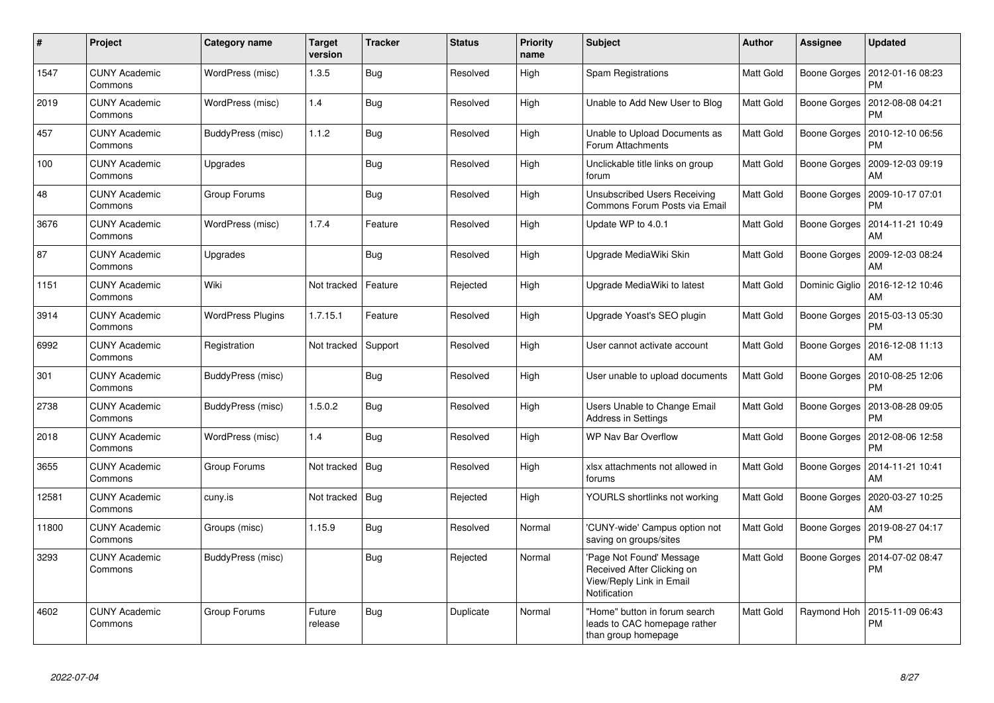| #     | Project                         | <b>Category name</b>     | <b>Target</b><br>version | <b>Tracker</b> | <b>Status</b> | <b>Priority</b><br>name | <b>Subject</b>                                                                                    | <b>Author</b>    | Assignee            | <b>Updated</b>                        |
|-------|---------------------------------|--------------------------|--------------------------|----------------|---------------|-------------------------|---------------------------------------------------------------------------------------------------|------------------|---------------------|---------------------------------------|
| 1547  | <b>CUNY Academic</b><br>Commons | WordPress (misc)         | 1.3.5                    | <b>Bug</b>     | Resolved      | High                    | Spam Registrations                                                                                | <b>Matt Gold</b> | Boone Gorges        | 2012-01-16 08:23<br><b>PM</b>         |
| 2019  | <b>CUNY Academic</b><br>Commons | WordPress (misc)         | 1.4                      | <b>Bug</b>     | Resolved      | High                    | Unable to Add New User to Blog                                                                    | Matt Gold        | <b>Boone Gorges</b> | 2012-08-08 04:21<br><b>PM</b>         |
| 457   | <b>CUNY Academic</b><br>Commons | <b>BuddyPress (misc)</b> | 1.1.2                    | Bug            | Resolved      | High                    | Unable to Upload Documents as<br>Forum Attachments                                                | Matt Gold        | Boone Gorges        | 2010-12-10 06:56<br><b>PM</b>         |
| 100   | <b>CUNY Academic</b><br>Commons | Upgrades                 |                          | <b>Bug</b>     | Resolved      | High                    | Unclickable title links on group<br>forum                                                         | Matt Gold        | Boone Gorges        | 2009-12-03 09:19<br>AM                |
| 48    | <b>CUNY Academic</b><br>Commons | Group Forums             |                          | Bug            | Resolved      | High                    | <b>Unsubscribed Users Receiving</b><br>Commons Forum Posts via Email                              | Matt Gold        | Boone Gorges        | 2009-10-17 07:01<br><b>PM</b>         |
| 3676  | <b>CUNY Academic</b><br>Commons | WordPress (misc)         | 1.7.4                    | Feature        | Resolved      | High                    | Update WP to 4.0.1                                                                                | Matt Gold        | Boone Gorges        | 2014-11-21 10:49<br>AM                |
| 87    | <b>CUNY Academic</b><br>Commons | Upgrades                 |                          | <b>Bug</b>     | Resolved      | High                    | Upgrade MediaWiki Skin                                                                            | Matt Gold        | Boone Gorges        | 2009-12-03 08:24<br>AM                |
| 1151  | <b>CUNY Academic</b><br>Commons | Wiki                     | Not tracked              | Feature        | Rejected      | High                    | Upgrade MediaWiki to latest                                                                       | Matt Gold        | Dominic Giglio      | 2016-12-12 10:46<br>AM                |
| 3914  | <b>CUNY Academic</b><br>Commons | <b>WordPress Plugins</b> | 1.7.15.1                 | Feature        | Resolved      | High                    | Upgrade Yoast's SEO plugin                                                                        | Matt Gold        | Boone Gorges        | 2015-03-13 05:30<br><b>PM</b>         |
| 6992  | <b>CUNY Academic</b><br>Commons | Registration             | Not tracked              | Support        | Resolved      | High                    | User cannot activate account                                                                      | Matt Gold        | Boone Gorges        | 2016-12-08 11:13<br>AM                |
| 301   | <b>CUNY Academic</b><br>Commons | BuddyPress (misc)        |                          | <b>Bug</b>     | Resolved      | High                    | User unable to upload documents                                                                   | Matt Gold        | Boone Gorges        | 2010-08-25 12:06<br><b>PM</b>         |
| 2738  | <b>CUNY Academic</b><br>Commons | BuddyPress (misc)        | 1.5.0.2                  | <b>Bug</b>     | Resolved      | High                    | Users Unable to Change Email<br>Address in Settings                                               | Matt Gold        | Boone Gorges        | 2013-08-28 09:05<br><b>PM</b>         |
| 2018  | <b>CUNY Academic</b><br>Commons | WordPress (misc)         | 1.4                      | Bug            | Resolved      | High                    | <b>WP Nav Bar Overflow</b>                                                                        | Matt Gold        | Boone Gorges        | 2012-08-06 12:58<br><b>PM</b>         |
| 3655  | <b>CUNY Academic</b><br>Commons | Group Forums             | Not tracked              | Bug            | Resolved      | High                    | xlsx attachments not allowed in<br>forums                                                         | Matt Gold        |                     | Boone Gorges   2014-11-21 10:41<br>AM |
| 12581 | <b>CUNY Academic</b><br>Commons | cuny.is                  | Not tracked              | Bug            | Rejected      | High                    | YOURLS shortlinks not working                                                                     | <b>Matt Gold</b> | Boone Gorges        | 2020-03-27 10:25<br>AM                |
| 11800 | <b>CUNY Academic</b><br>Commons | Groups (misc)            | 1.15.9                   | <b>Bug</b>     | Resolved      | Normal                  | CUNY-wide' Campus option not<br>saving on groups/sites                                            | Matt Gold        | Boone Gorges        | 2019-08-27 04:17<br><b>PM</b>         |
| 3293  | <b>CUNY Academic</b><br>Commons | BuddyPress (misc)        |                          | Bug            | Rejected      | Normal                  | Page Not Found' Message<br>Received After Clicking on<br>View/Reply Link in Email<br>Notification | Matt Gold        | <b>Boone Gorges</b> | 2014-07-02 08:47<br><b>PM</b>         |
| 4602  | <b>CUNY Academic</b><br>Commons | Group Forums             | Future<br>release        | Bug            | Duplicate     | Normal                  | "Home" button in forum search<br>leads to CAC homepage rather<br>than group homepage              | Matt Gold        | Raymond Hoh         | 2015-11-09 06:43<br><b>PM</b>         |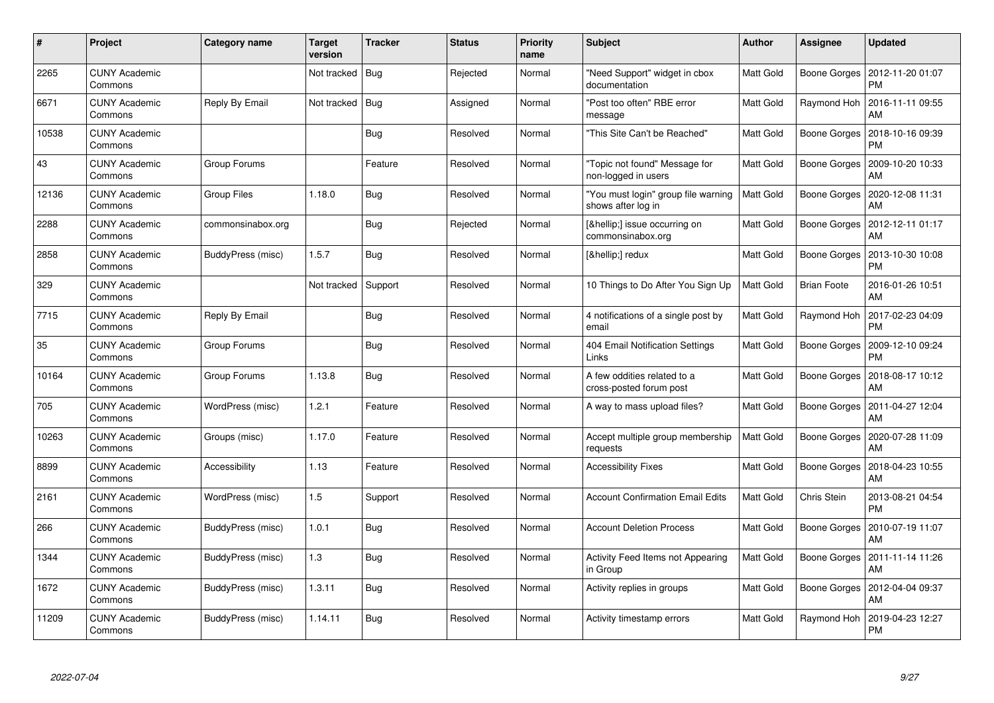| $\#$  | Project                         | Category name      | <b>Target</b><br>version | <b>Tracker</b> | <b>Status</b> | <b>Priority</b><br>name | <b>Subject</b>                                            | <b>Author</b>    | Assignee           | <b>Updated</b>                        |
|-------|---------------------------------|--------------------|--------------------------|----------------|---------------|-------------------------|-----------------------------------------------------------|------------------|--------------------|---------------------------------------|
| 2265  | <b>CUNY Academic</b><br>Commons |                    | Not tracked              | Bug            | Rejected      | Normal                  | "Need Support" widget in cbox<br>documentation            | Matt Gold        | Boone Gorges       | 2012-11-20 01:07<br><b>PM</b>         |
| 6671  | <b>CUNY Academic</b><br>Commons | Reply By Email     | Not tracked              | Bug            | Assigned      | Normal                  | "Post too often" RBE error<br>message                     | Matt Gold        | Raymond Hoh        | 2016-11-11 09:55<br>AM                |
| 10538 | <b>CUNY Academic</b><br>Commons |                    |                          | Bug            | Resolved      | Normal                  | 'This Site Can't be Reached"                              | Matt Gold        | Boone Gorges       | 2018-10-16 09:39<br><b>PM</b>         |
| 43    | <b>CUNY Academic</b><br>Commons | Group Forums       |                          | Feature        | Resolved      | Normal                  | 'Topic not found" Message for<br>non-logged in users      | Matt Gold        | Boone Gorges       | 2009-10-20 10:33<br>AM                |
| 12136 | <b>CUNY Academic</b><br>Commons | <b>Group Files</b> | 1.18.0                   | Bug            | Resolved      | Normal                  | "You must login" group file warning<br>shows after log in | Matt Gold        | Boone Gorges       | 2020-12-08 11:31<br>AM                |
| 2288  | <b>CUNY Academic</b><br>Commons | commonsinabox.org  |                          | Bug            | Rejected      | Normal                  | […] issue occurring on<br>commonsinabox.org               | Matt Gold        | Boone Gorges       | 2012-12-11 01:17<br>AM                |
| 2858  | <b>CUNY Academic</b><br>Commons | BuddyPress (misc)  | 1.5.7                    | Bug            | Resolved      | Normal                  | […] redux                                                 | Matt Gold        | Boone Gorges       | 2013-10-30 10:08<br><b>PM</b>         |
| 329   | <b>CUNY Academic</b><br>Commons |                    | Not tracked              | Support        | Resolved      | Normal                  | 10 Things to Do After You Sign Up                         | Matt Gold        | <b>Brian Foote</b> | 2016-01-26 10:51<br>AM                |
| 7715  | <b>CUNY Academic</b><br>Commons | Reply By Email     |                          | Bug            | Resolved      | Normal                  | 4 notifications of a single post by<br>email              | Matt Gold        | Raymond Hoh        | 2017-02-23 04:09<br><b>PM</b>         |
| 35    | <b>CUNY Academic</b><br>Commons | Group Forums       |                          | Bug            | Resolved      | Normal                  | 404 Email Notification Settings<br>Links                  | Matt Gold        | Boone Gorges       | 2009-12-10 09:24<br><b>PM</b>         |
| 10164 | <b>CUNY Academic</b><br>Commons | Group Forums       | 1.13.8                   | <b>Bug</b>     | Resolved      | Normal                  | A few oddities related to a<br>cross-posted forum post    | Matt Gold        | Boone Gorges       | 2018-08-17 10:12<br>AM                |
| 705   | <b>CUNY Academic</b><br>Commons | WordPress (misc)   | 1.2.1                    | Feature        | Resolved      | Normal                  | A way to mass upload files?                               | Matt Gold        | Boone Gorges       | 2011-04-27 12:04<br>AM                |
| 10263 | <b>CUNY Academic</b><br>Commons | Groups (misc)      | 1.17.0                   | Feature        | Resolved      | Normal                  | Accept multiple group membership<br>requests              | <b>Matt Gold</b> | Boone Gorges       | 2020-07-28 11:09<br>AM                |
| 8899  | <b>CUNY Academic</b><br>Commons | Accessibility      | 1.13                     | Feature        | Resolved      | Normal                  | <b>Accessibility Fixes</b>                                | Matt Gold        | Boone Gorges       | 2018-04-23 10:55<br>AM                |
| 2161  | <b>CUNY Academic</b><br>Commons | WordPress (misc)   | 1.5                      | Support        | Resolved      | Normal                  | <b>Account Confirmation Email Edits</b>                   | Matt Gold        | Chris Stein        | 2013-08-21 04:54<br><b>PM</b>         |
| 266   | <b>CUNY Academic</b><br>Commons | BuddyPress (misc)  | 1.0.1                    | Bug            | Resolved      | Normal                  | <b>Account Deletion Process</b>                           | Matt Gold        | Boone Gorges       | 2010-07-19 11:07<br>AM                |
| 1344  | <b>CUNY Academic</b><br>Commons | BuddyPress (misc)  | 1.3                      | Bug            | Resolved      | Normal                  | Activity Feed Items not Appearing<br>in Group             | Matt Gold        |                    | Boone Gorges   2011-11-14 11:26<br>AM |
| 1672  | <b>CUNY Academic</b><br>Commons | BuddyPress (misc)  | 1.3.11                   | Bug            | Resolved      | Normal                  | Activity replies in groups                                | Matt Gold        | Boone Gorges       | 2012-04-04 09:37<br>AM                |
| 11209 | CUNY Academic<br>Commons        | BuddyPress (misc)  | 1.14.11                  | <b>Bug</b>     | Resolved      | Normal                  | Activity timestamp errors                                 | Matt Gold        | Raymond Hoh        | 2019-04-23 12:27<br>PM                |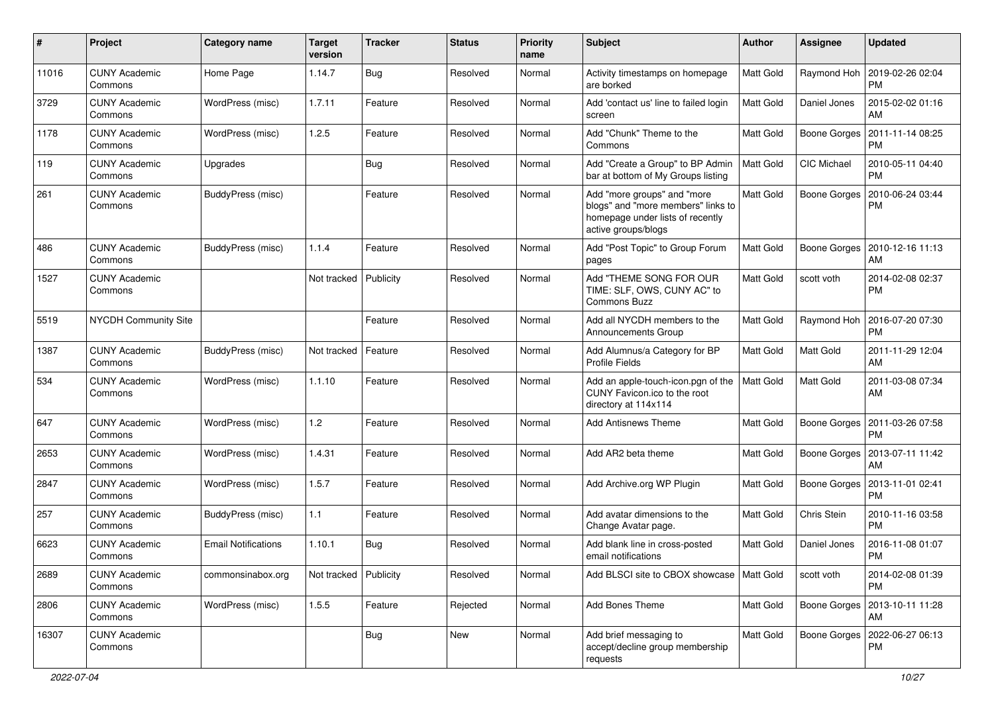| #     | Project                         | Category name              | <b>Target</b><br>version | <b>Tracker</b> | <b>Status</b> | <b>Priority</b><br>name | Subject                                                                                                                      | Author           | <b>Assignee</b>     | <b>Updated</b>                        |
|-------|---------------------------------|----------------------------|--------------------------|----------------|---------------|-------------------------|------------------------------------------------------------------------------------------------------------------------------|------------------|---------------------|---------------------------------------|
| 11016 | <b>CUNY Academic</b><br>Commons | Home Page                  | 1.14.7                   | <b>Bug</b>     | Resolved      | Normal                  | Activity timestamps on homepage<br>are borked                                                                                | <b>Matt Gold</b> | Raymond Hoh         | 2019-02-26 02:04<br><b>PM</b>         |
| 3729  | <b>CUNY Academic</b><br>Commons | WordPress (misc)           | 1.7.11                   | Feature        | Resolved      | Normal                  | Add 'contact us' line to failed login<br>screen                                                                              | <b>Matt Gold</b> | Daniel Jones        | 2015-02-02 01:16<br>AM                |
| 1178  | <b>CUNY Academic</b><br>Commons | WordPress (misc)           | 1.2.5                    | Feature        | Resolved      | Normal                  | Add "Chunk" Theme to the<br>Commons                                                                                          | Matt Gold        | <b>Boone Gorges</b> | 2011-11-14 08:25<br><b>PM</b>         |
| 119   | <b>CUNY Academic</b><br>Commons | Upgrades                   |                          | <b>Bug</b>     | Resolved      | Normal                  | Add "Create a Group" to BP Admin<br>bar at bottom of My Groups listing                                                       | Matt Gold        | CIC Michael         | 2010-05-11 04:40<br><b>PM</b>         |
| 261   | <b>CUNY Academic</b><br>Commons | BuddyPress (misc)          |                          | Feature        | Resolved      | Normal                  | Add "more groups" and "more<br>blogs" and "more members" links to<br>homepage under lists of recently<br>active groups/blogs | Matt Gold        | Boone Gorges        | 2010-06-24 03:44<br><b>PM</b>         |
| 486   | <b>CUNY Academic</b><br>Commons | BuddyPress (misc)          | 1.1.4                    | Feature        | Resolved      | Normal                  | Add "Post Topic" to Group Forum<br>pages                                                                                     | <b>Matt Gold</b> | <b>Boone Gorges</b> | 2010-12-16 11:13<br>AM                |
| 1527  | <b>CUNY Academic</b><br>Commons |                            | Not tracked              | Publicity      | Resolved      | Normal                  | Add "THEME SONG FOR OUR<br>TIME: SLF, OWS, CUNY AC" to<br><b>Commons Buzz</b>                                                | Matt Gold        | scott voth          | 2014-02-08 02:37<br><b>PM</b>         |
| 5519  | NYCDH Community Site            |                            |                          | Feature        | Resolved      | Normal                  | Add all NYCDH members to the<br>Announcements Group                                                                          | Matt Gold        | Raymond Hoh         | 2016-07-20 07:30<br><b>PM</b>         |
| 1387  | <b>CUNY Academic</b><br>Commons | BuddyPress (misc)          | Not tracked              | Feature        | Resolved      | Normal                  | Add Alumnus/a Category for BP<br><b>Profile Fields</b>                                                                       | Matt Gold        | Matt Gold           | 2011-11-29 12:04<br>AM                |
| 534   | <b>CUNY Academic</b><br>Commons | WordPress (misc)           | 1.1.10                   | Feature        | Resolved      | Normal                  | Add an apple-touch-icon.pgn of the<br>CUNY Favicon.ico to the root<br>directory at 114x114                                   | Matt Gold        | <b>Matt Gold</b>    | 2011-03-08 07:34<br>AM                |
| 647   | <b>CUNY Academic</b><br>Commons | WordPress (misc)           | 1.2                      | Feature        | Resolved      | Normal                  | Add Antisnews Theme                                                                                                          | Matt Gold        | Boone Gorges        | 2011-03-26 07:58<br><b>PM</b>         |
| 2653  | <b>CUNY Academic</b><br>Commons | WordPress (misc)           | 1.4.31                   | Feature        | Resolved      | Normal                  | Add AR2 beta theme                                                                                                           | <b>Matt Gold</b> | Boone Gorges        | 2013-07-11 11:42<br>AM                |
| 2847  | <b>CUNY Academic</b><br>Commons | WordPress (misc)           | 1.5.7                    | Feature        | Resolved      | Normal                  | Add Archive.org WP Plugin                                                                                                    | Matt Gold        | Boone Gorges        | 2013-11-01 02:41<br><b>PM</b>         |
| 257   | <b>CUNY Academic</b><br>Commons | BuddyPress (misc)          | 1.1                      | Feature        | Resolved      | Normal                  | Add avatar dimensions to the<br>Change Avatar page.                                                                          | <b>Matt Gold</b> | Chris Stein         | 2010-11-16 03:58<br><b>PM</b>         |
| 6623  | <b>CUNY Academic</b><br>Commons | <b>Email Notifications</b> | 1.10.1                   | <b>Bug</b>     | Resolved      | Normal                  | Add blank line in cross-posted<br>email notifications                                                                        | Matt Gold        | Daniel Jones        | 2016-11-08 01:07<br><b>PM</b>         |
| 2689  | <b>CUNY Academic</b><br>Commons | commonsinabox.org          | Not tracked              | Publicity      | Resolved      | Normal                  | Add BLSCI site to CBOX showcase   Matt Gold                                                                                  |                  | scott voth          | 2014-02-08 01:39<br><b>PM</b>         |
| 2806  | <b>CUNY Academic</b><br>Commons | WordPress (misc)           | 1.5.5                    | Feature        | Rejected      | Normal                  | Add Bones Theme                                                                                                              | Matt Gold        |                     | Boone Gorges   2013-10-11 11:28<br>AM |
| 16307 | <b>CUNY Academic</b><br>Commons |                            |                          | <b>Bug</b>     | New           | Normal                  | Add brief messaging to<br>accept/decline group membership<br>requests                                                        | Matt Gold        | Boone Gorges        | 2022-06-27 06:13<br>PM                |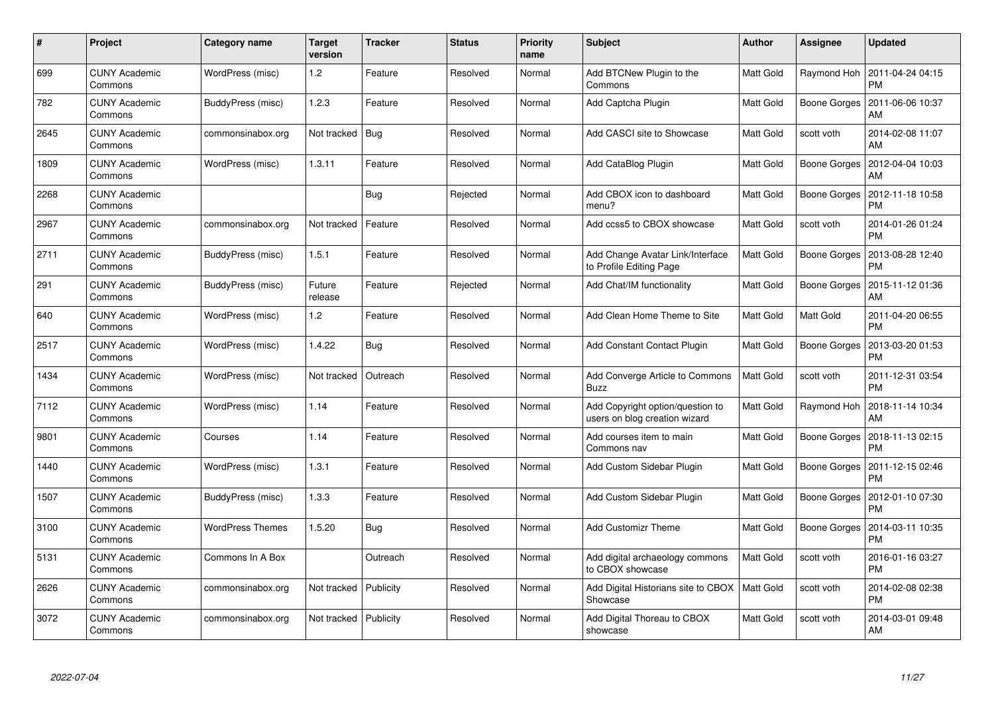| #    | Project                         | <b>Category name</b>    | <b>Target</b><br>version | <b>Tracker</b> | <b>Status</b> | <b>Priority</b><br>name | <b>Subject</b>                                                    | <b>Author</b>    | Assignee            | <b>Updated</b>                |
|------|---------------------------------|-------------------------|--------------------------|----------------|---------------|-------------------------|-------------------------------------------------------------------|------------------|---------------------|-------------------------------|
| 699  | <b>CUNY Academic</b><br>Commons | WordPress (misc)        | $1.2$                    | Feature        | Resolved      | Normal                  | Add BTCNew Plugin to the<br>Commons                               | <b>Matt Gold</b> | Raymond Hoh         | 2011-04-24 04:15<br><b>PM</b> |
| 782  | <b>CUNY Academic</b><br>Commons | BuddyPress (misc)       | 1.2.3                    | Feature        | Resolved      | Normal                  | Add Captcha Plugin                                                | Matt Gold        | Boone Gorges        | 2011-06-06 10:37<br>AM        |
| 2645 | <b>CUNY Academic</b><br>Commons | commonsinabox.org       | Not tracked              | Bug            | Resolved      | Normal                  | Add CASCI site to Showcase                                        | Matt Gold        | scott voth          | 2014-02-08 11:07<br>AM        |
| 1809 | <b>CUNY Academic</b><br>Commons | WordPress (misc)        | 1.3.11                   | Feature        | Resolved      | Normal                  | Add CataBlog Plugin                                               | Matt Gold        | Boone Gorges        | 2012-04-04 10:03<br>AM        |
| 2268 | <b>CUNY Academic</b><br>Commons |                         |                          | Bug            | Rejected      | Normal                  | Add CBOX icon to dashboard<br>menu?                               | Matt Gold        | Boone Gorges        | 2012-11-18 10:58<br><b>PM</b> |
| 2967 | <b>CUNY Academic</b><br>Commons | commonsinabox.org       | Not tracked              | Feature        | Resolved      | Normal                  | Add ccss5 to CBOX showcase                                        | Matt Gold        | scott voth          | 2014-01-26 01:24<br><b>PM</b> |
| 2711 | <b>CUNY Academic</b><br>Commons | BuddyPress (misc)       | 1.5.1                    | Feature        | Resolved      | Normal                  | Add Change Avatar Link/Interface<br>to Profile Editing Page       | Matt Gold        | <b>Boone Gorges</b> | 2013-08-28 12:40<br><b>PM</b> |
| 291  | <b>CUNY Academic</b><br>Commons | BuddyPress (misc)       | Future<br>release        | Feature        | Rejected      | Normal                  | Add Chat/IM functionality                                         | Matt Gold        | Boone Gorges        | 2015-11-12 01:36<br>AM        |
| 640  | <b>CUNY Academic</b><br>Commons | WordPress (misc)        | 1.2                      | Feature        | Resolved      | Normal                  | Add Clean Home Theme to Site                                      | <b>Matt Gold</b> | Matt Gold           | 2011-04-20 06:55<br><b>PM</b> |
| 2517 | <b>CUNY Academic</b><br>Commons | WordPress (misc)        | 1.4.22                   | <b>Bug</b>     | Resolved      | Normal                  | Add Constant Contact Plugin                                       | <b>Matt Gold</b> | <b>Boone Gorges</b> | 2013-03-20 01:53<br><b>PM</b> |
| 1434 | <b>CUNY Academic</b><br>Commons | WordPress (misc)        | Not tracked              | Outreach       | Resolved      | Normal                  | Add Converge Article to Commons<br>Buzz                           | <b>Matt Gold</b> | scott voth          | 2011-12-31 03:54<br><b>PM</b> |
| 7112 | <b>CUNY Academic</b><br>Commons | WordPress (misc)        | 1.14                     | Feature        | Resolved      | Normal                  | Add Copyright option/question to<br>users on blog creation wizard | Matt Gold        | Raymond Hoh         | 2018-11-14 10:34<br>AM        |
| 9801 | <b>CUNY Academic</b><br>Commons | Courses                 | 1.14                     | Feature        | Resolved      | Normal                  | Add courses item to main<br>Commons nav                           | Matt Gold        | Boone Gorges        | 2018-11-13 02:15<br><b>PM</b> |
| 1440 | <b>CUNY Academic</b><br>Commons | WordPress (misc)        | 1.3.1                    | Feature        | Resolved      | Normal                  | Add Custom Sidebar Plugin                                         | Matt Gold        | <b>Boone Gorges</b> | 2011-12-15 02:46<br><b>PM</b> |
| 1507 | <b>CUNY Academic</b><br>Commons | BuddyPress (misc)       | 1.3.3                    | Feature        | Resolved      | Normal                  | Add Custom Sidebar Plugin                                         | <b>Matt Gold</b> | Boone Gorges        | 2012-01-10 07:30<br><b>PM</b> |
| 3100 | <b>CUNY Academic</b><br>Commons | <b>WordPress Themes</b> | 1.5.20                   | <b>Bug</b>     | Resolved      | Normal                  | <b>Add Customizr Theme</b>                                        | Matt Gold        | Boone Gorges        | 2014-03-11 10:35<br><b>PM</b> |
| 5131 | <b>CUNY Academic</b><br>Commons | Commons In A Box        |                          | Outreach       | Resolved      | Normal                  | Add digital archaeology commons<br>to CBOX showcase               | <b>Matt Gold</b> | scott voth          | 2016-01-16 03:27<br><b>PM</b> |
| 2626 | <b>CUNY Academic</b><br>Commons | commonsinabox.org       | Not tracked              | Publicity      | Resolved      | Normal                  | Add Digital Historians site to CBOX<br>Showcase                   | <b>Matt Gold</b> | scott voth          | 2014-02-08 02:38<br><b>PM</b> |
| 3072 | CUNY Academic<br>Commons        | commonsinabox.org       | Not tracked              | Publicity      | Resolved      | Normal                  | Add Digital Thoreau to CBOX<br>showcase                           | <b>Matt Gold</b> | scott voth          | 2014-03-01 09:48<br>AM        |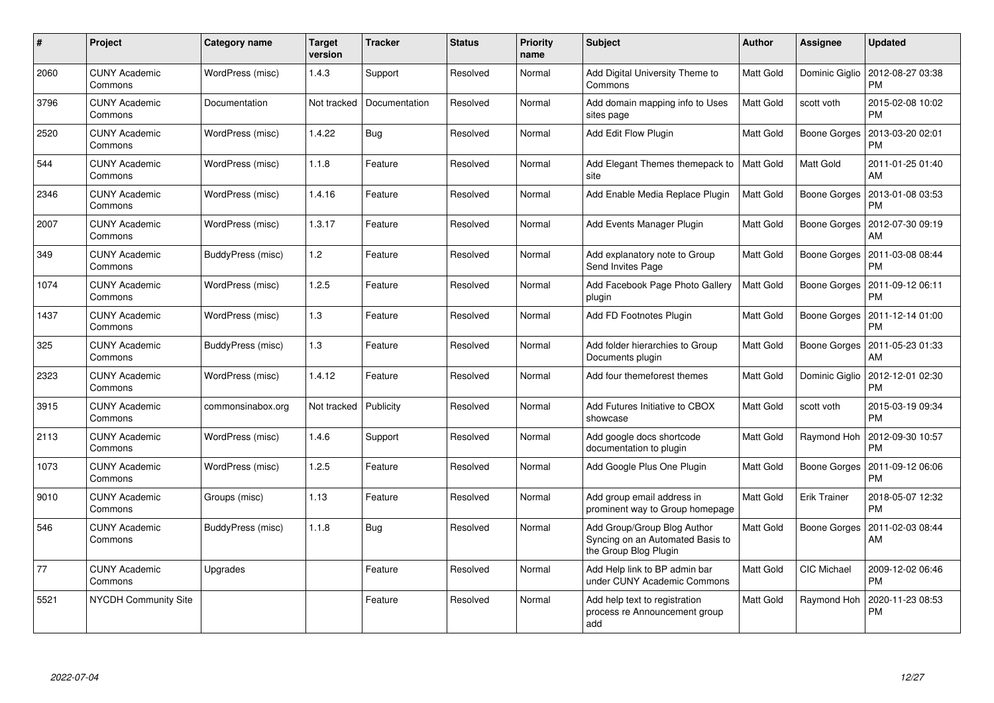| #    | Project                         | <b>Category name</b> | <b>Target</b><br>version | <b>Tracker</b> | <b>Status</b> | <b>Priority</b><br>name | <b>Subject</b>                                                                           | Author           | Assignee            | <b>Updated</b>                |
|------|---------------------------------|----------------------|--------------------------|----------------|---------------|-------------------------|------------------------------------------------------------------------------------------|------------------|---------------------|-------------------------------|
| 2060 | <b>CUNY Academic</b><br>Commons | WordPress (misc)     | 1.4.3                    | Support        | Resolved      | Normal                  | Add Digital University Theme to<br>Commons                                               | <b>Matt Gold</b> | Dominic Giglio      | 2012-08-27 03:38<br><b>PM</b> |
| 3796 | <b>CUNY Academic</b><br>Commons | Documentation        | Not tracked              | Documentation  | Resolved      | Normal                  | Add domain mapping info to Uses<br>sites page                                            | Matt Gold        | scott voth          | 2015-02-08 10:02<br><b>PM</b> |
| 2520 | <b>CUNY Academic</b><br>Commons | WordPress (misc)     | 1.4.22                   | <b>Bug</b>     | Resolved      | Normal                  | Add Edit Flow Plugin                                                                     | Matt Gold        | <b>Boone Gorges</b> | 2013-03-20 02:01<br><b>PM</b> |
| 544  | <b>CUNY Academic</b><br>Commons | WordPress (misc)     | 1.1.8                    | Feature        | Resolved      | Normal                  | Add Elegant Themes themepack to<br>site                                                  | <b>Matt Gold</b> | Matt Gold           | 2011-01-25 01:40<br>AM        |
| 2346 | <b>CUNY Academic</b><br>Commons | WordPress (misc)     | 1.4.16                   | Feature        | Resolved      | Normal                  | Add Enable Media Replace Plugin                                                          | <b>Matt Gold</b> | Boone Gorges        | 2013-01-08 03:53<br><b>PM</b> |
| 2007 | <b>CUNY Academic</b><br>Commons | WordPress (misc)     | 1.3.17                   | Feature        | Resolved      | Normal                  | Add Events Manager Plugin                                                                | Matt Gold        | Boone Gorges        | 2012-07-30 09:19<br>AM        |
| 349  | <b>CUNY Academic</b><br>Commons | BuddyPress (misc)    | $1.2$                    | Feature        | Resolved      | Normal                  | Add explanatory note to Group<br>Send Invites Page                                       | Matt Gold        | Boone Gorges        | 2011-03-08 08:44<br><b>PM</b> |
| 1074 | <b>CUNY Academic</b><br>Commons | WordPress (misc)     | 1.2.5                    | Feature        | Resolved      | Normal                  | Add Facebook Page Photo Gallery<br>plugin                                                | Matt Gold        | Boone Gorges        | 2011-09-12 06:11<br><b>PM</b> |
| 1437 | <b>CUNY Academic</b><br>Commons | WordPress (misc)     | 1.3                      | Feature        | Resolved      | Normal                  | Add FD Footnotes Plugin                                                                  | Matt Gold        | Boone Gorges        | 2011-12-14 01:00<br><b>PM</b> |
| 325  | <b>CUNY Academic</b><br>Commons | BuddyPress (misc)    | 1.3                      | Feature        | Resolved      | Normal                  | Add folder hierarchies to Group<br>Documents plugin                                      | Matt Gold        | Boone Gorges        | 2011-05-23 01:33<br>AM        |
| 2323 | <b>CUNY Academic</b><br>Commons | WordPress (misc)     | 1.4.12                   | Feature        | Resolved      | Normal                  | Add four themeforest themes                                                              | Matt Gold        | Dominic Giglio      | 2012-12-01 02:30<br><b>PM</b> |
| 3915 | <b>CUNY Academic</b><br>Commons | commonsinabox.org    | Not tracked              | Publicity      | Resolved      | Normal                  | Add Futures Initiative to CBOX<br>showcase                                               | Matt Gold        | scott voth          | 2015-03-19 09:34<br><b>PM</b> |
| 2113 | <b>CUNY Academic</b><br>Commons | WordPress (misc)     | 1.4.6                    | Support        | Resolved      | Normal                  | Add google docs shortcode<br>documentation to plugin                                     | Matt Gold        | Raymond Hoh         | 2012-09-30 10:57<br><b>PM</b> |
| 1073 | <b>CUNY Academic</b><br>Commons | WordPress (misc)     | 1.2.5                    | Feature        | Resolved      | Normal                  | Add Google Plus One Plugin                                                               | Matt Gold        | Boone Gorges        | 2011-09-12 06:06<br><b>PM</b> |
| 9010 | <b>CUNY Academic</b><br>Commons | Groups (misc)        | 1.13                     | Feature        | Resolved      | Normal                  | Add group email address in<br>prominent way to Group homepage                            | Matt Gold        | <b>Erik Trainer</b> | 2018-05-07 12:32<br><b>PM</b> |
| 546  | <b>CUNY Academic</b><br>Commons | BuddyPress (misc)    | 1.1.8                    | <b>Bug</b>     | Resolved      | Normal                  | Add Group/Group Blog Author<br>Syncing on an Automated Basis to<br>the Group Blog Plugin | Matt Gold        | Boone Gorges        | 2011-02-03 08:44<br>AM        |
| 77   | <b>CUNY Academic</b><br>Commons | Upgrades             |                          | Feature        | Resolved      | Normal                  | Add Help link to BP admin bar<br>under CUNY Academic Commons                             | Matt Gold        | CIC Michael         | 2009-12-02 06:46<br><b>PM</b> |
| 5521 | <b>NYCDH Community Site</b>     |                      |                          | Feature        | Resolved      | Normal                  | Add help text to registration<br>process re Announcement group<br>add                    | Matt Gold        | Raymond Hoh         | 2020-11-23 08:53<br><b>PM</b> |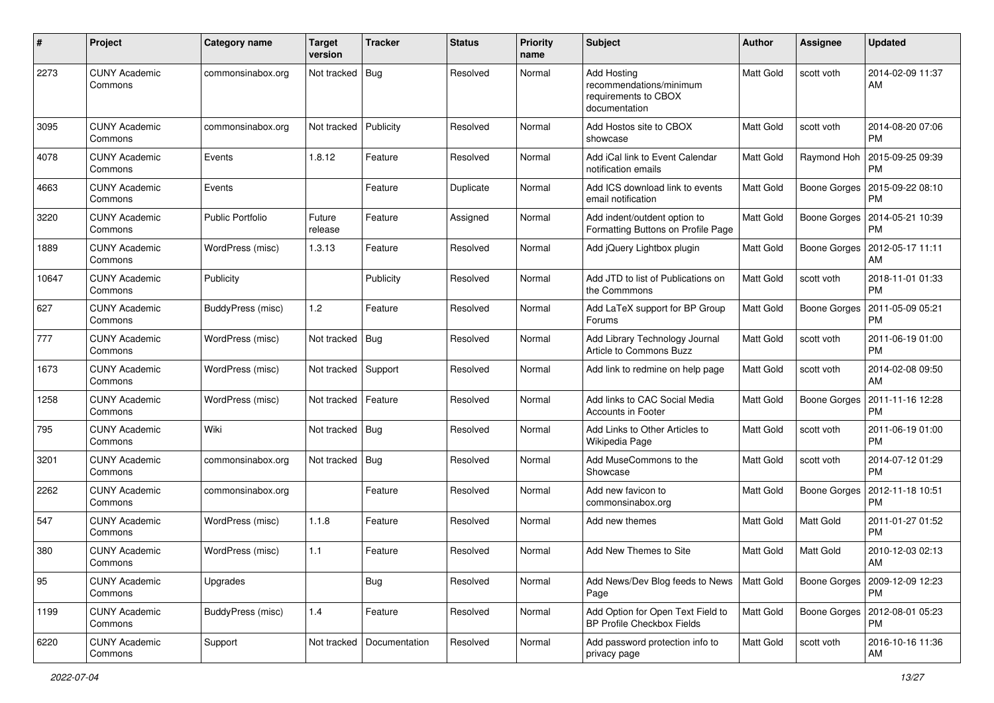| #     | Project                         | Category name           | <b>Target</b><br>version | <b>Tracker</b> | <b>Status</b> | <b>Priority</b><br>name | <b>Subject</b>                                                                         | Author           | <b>Assignee</b>     | <b>Updated</b>                |
|-------|---------------------------------|-------------------------|--------------------------|----------------|---------------|-------------------------|----------------------------------------------------------------------------------------|------------------|---------------------|-------------------------------|
| 2273  | <b>CUNY Academic</b><br>Commons | commonsinabox.org       | Not tracked              | Bug            | Resolved      | Normal                  | <b>Add Hosting</b><br>recommendations/minimum<br>requirements to CBOX<br>documentation | Matt Gold        | scott voth          | 2014-02-09 11:37<br>AM        |
| 3095  | <b>CUNY Academic</b><br>Commons | commonsinabox.org       | Not tracked              | Publicity      | Resolved      | Normal                  | Add Hostos site to CBOX<br>showcase                                                    | <b>Matt Gold</b> | scott voth          | 2014-08-20 07:06<br><b>PM</b> |
| 4078  | <b>CUNY Academic</b><br>Commons | Events                  | 1.8.12                   | Feature        | Resolved      | Normal                  | Add iCal link to Event Calendar<br>notification emails                                 | Matt Gold        | Raymond Hoh         | 2015-09-25 09:39<br>РM        |
| 4663  | <b>CUNY Academic</b><br>Commons | Events                  |                          | Feature        | Duplicate     | Normal                  | Add ICS download link to events<br>email notification                                  | <b>Matt Gold</b> | Boone Gorges        | 2015-09-22 08:10<br><b>PM</b> |
| 3220  | <b>CUNY Academic</b><br>Commons | <b>Public Portfolio</b> | Future<br>release        | Feature        | Assigned      | Normal                  | Add indent/outdent option to<br>Formatting Buttons on Profile Page                     | Matt Gold        | Boone Gorges        | 2014-05-21 10:39<br>PM        |
| 1889  | <b>CUNY Academic</b><br>Commons | WordPress (misc)        | 1.3.13                   | Feature        | Resolved      | Normal                  | Add jQuery Lightbox plugin                                                             | Matt Gold        | <b>Boone Gorges</b> | 2012-05-17 11:11<br>AM        |
| 10647 | <b>CUNY Academic</b><br>Commons | Publicity               |                          | Publicity      | Resolved      | Normal                  | Add JTD to list of Publications on<br>the Commmons                                     | <b>Matt Gold</b> | scott voth          | 2018-11-01 01:33<br><b>PM</b> |
| 627   | <b>CUNY Academic</b><br>Commons | BuddyPress (misc)       | 1.2                      | Feature        | Resolved      | Normal                  | Add LaTeX support for BP Group<br>Forums                                               | <b>Matt Gold</b> | Boone Gorges        | 2011-05-09 05:21<br><b>PM</b> |
| 777   | <b>CUNY Academic</b><br>Commons | WordPress (misc)        | Not tracked              | Bug            | Resolved      | Normal                  | Add Library Technology Journal<br>Article to Commons Buzz                              | Matt Gold        | scott voth          | 2011-06-19 01:00<br><b>PM</b> |
| 1673  | <b>CUNY Academic</b><br>Commons | WordPress (misc)        | Not tracked              | Support        | Resolved      | Normal                  | Add link to redmine on help page                                                       | <b>Matt Gold</b> | scott voth          | 2014-02-08 09:50<br>AM        |
| 1258  | <b>CUNY Academic</b><br>Commons | WordPress (misc)        | Not tracked              | Feature        | Resolved      | Normal                  | Add links to CAC Social Media<br>Accounts in Footer                                    | <b>Matt Gold</b> | Boone Gorges        | 2011-11-16 12:28<br><b>PM</b> |
| 795   | <b>CUNY Academic</b><br>Commons | Wiki                    | Not tracked              | Bug            | Resolved      | Normal                  | Add Links to Other Articles to<br>Wikipedia Page                                       | <b>Matt Gold</b> | scott voth          | 2011-06-19 01:00<br><b>PM</b> |
| 3201  | <b>CUNY Academic</b><br>Commons | commonsinabox.org       | Not tracked              | <b>Bug</b>     | Resolved      | Normal                  | Add MuseCommons to the<br>Showcase                                                     | Matt Gold        | scott voth          | 2014-07-12 01:29<br><b>PM</b> |
| 2262  | <b>CUNY Academic</b><br>Commons | commonsinabox.org       |                          | Feature        | Resolved      | Normal                  | Add new favicon to<br>commonsinabox.org                                                | Matt Gold        | <b>Boone Gorges</b> | 2012-11-18 10:51<br>PM        |
| 547   | <b>CUNY Academic</b><br>Commons | WordPress (misc)        | 1.1.8                    | Feature        | Resolved      | Normal                  | Add new themes                                                                         | <b>Matt Gold</b> | <b>Matt Gold</b>    | 2011-01-27 01:52<br><b>PM</b> |
| 380   | <b>CUNY Academic</b><br>Commons | WordPress (misc)        | 1.1                      | Feature        | Resolved      | Normal                  | Add New Themes to Site                                                                 | Matt Gold        | Matt Gold           | 2010-12-03 02:13<br>AM        |
| 95    | <b>CUNY Academic</b><br>Commons | Upgrades                |                          | Bug            | Resolved      | Normal                  | Add News/Dev Blog feeds to News<br>Page                                                | <b>Matt Gold</b> | Boone Gorges        | 2009-12-09 12:23<br><b>PM</b> |
| 1199  | <b>CUNY Academic</b><br>Commons | BuddyPress (misc)       | 1.4                      | Feature        | Resolved      | Normal                  | Add Option for Open Text Field to<br>BP Profile Checkbox Fields                        | <b>Matt Gold</b> | Boone Gorges        | 2012-08-01 05:23<br>PM        |
| 6220  | <b>CUNY Academic</b><br>Commons | Support                 | Not tracked              | Documentation  | Resolved      | Normal                  | Add password protection info to<br>privacy page                                        | Matt Gold        | scott voth          | 2016-10-16 11:36<br>AM        |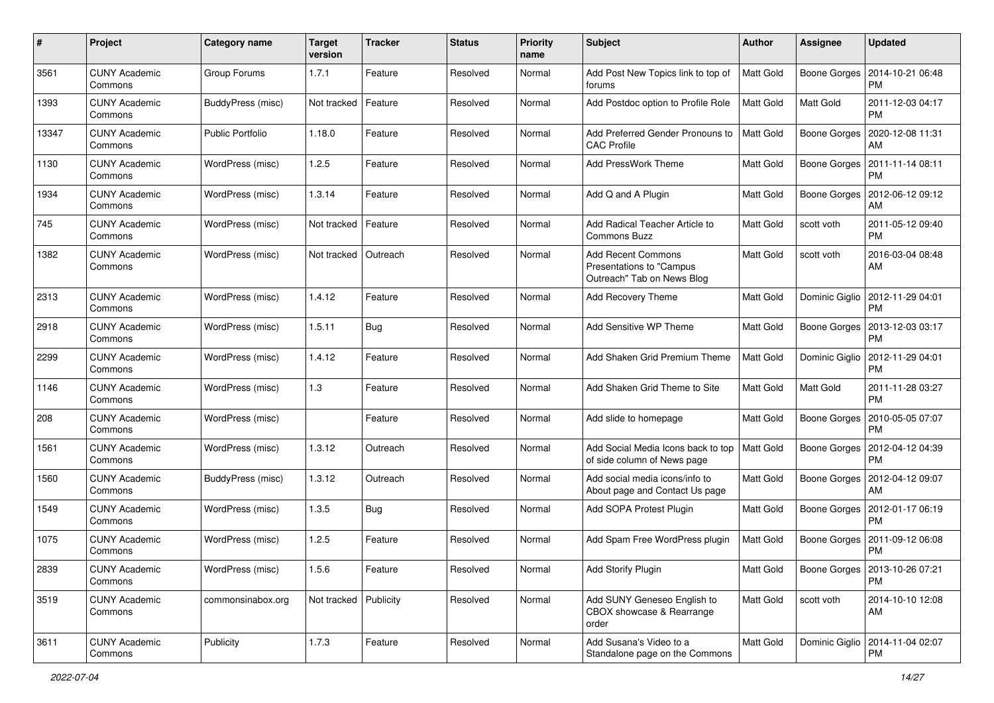| #     | Project                         | <b>Category name</b>    | <b>Target</b><br>version | <b>Tracker</b> | <b>Status</b> | <b>Priority</b><br>name | <b>Subject</b>                                                                      | <b>Author</b>    | Assignee            | <b>Updated</b>                               |
|-------|---------------------------------|-------------------------|--------------------------|----------------|---------------|-------------------------|-------------------------------------------------------------------------------------|------------------|---------------------|----------------------------------------------|
| 3561  | <b>CUNY Academic</b><br>Commons | Group Forums            | 1.7.1                    | Feature        | Resolved      | Normal                  | Add Post New Topics link to top of<br>forums                                        | <b>Matt Gold</b> | Boone Gorges        | 2014-10-21 06:48<br><b>PM</b>                |
| 1393  | <b>CUNY Academic</b><br>Commons | BuddyPress (misc)       | Not tracked              | Feature        | Resolved      | Normal                  | Add Postdoc option to Profile Role                                                  | <b>Matt Gold</b> | Matt Gold           | 2011-12-03 04:17<br><b>PM</b>                |
| 13347 | <b>CUNY Academic</b><br>Commons | <b>Public Portfolio</b> | 1.18.0                   | Feature        | Resolved      | Normal                  | Add Preferred Gender Pronouns to<br><b>CAC Profile</b>                              | Matt Gold        | Boone Gorges        | 2020-12-08 11:31<br>AM                       |
| 1130  | <b>CUNY Academic</b><br>Commons | WordPress (misc)        | 1.2.5                    | Feature        | Resolved      | Normal                  | Add PressWork Theme                                                                 | <b>Matt Gold</b> | Boone Gorges        | 2011-11-14 08:11<br><b>PM</b>                |
| 1934  | <b>CUNY Academic</b><br>Commons | WordPress (misc)        | 1.3.14                   | Feature        | Resolved      | Normal                  | Add Q and A Plugin                                                                  | Matt Gold        | Boone Gorges        | 2012-06-12 09:12<br>AM                       |
| 745   | <b>CUNY Academic</b><br>Commons | WordPress (misc)        | Not tracked              | Feature        | Resolved      | Normal                  | Add Radical Teacher Article to<br>Commons Buzz                                      | <b>Matt Gold</b> | scott voth          | 2011-05-12 09:40<br><b>PM</b>                |
| 1382  | <b>CUNY Academic</b><br>Commons | WordPress (misc)        | Not tracked              | Outreach       | Resolved      | Normal                  | <b>Add Recent Commons</b><br>Presentations to "Campus<br>Outreach" Tab on News Blog | Matt Gold        | scott voth          | 2016-03-04 08:48<br>AM                       |
| 2313  | <b>CUNY Academic</b><br>Commons | WordPress (misc)        | 1.4.12                   | Feature        | Resolved      | Normal                  | <b>Add Recovery Theme</b>                                                           | <b>Matt Gold</b> | Dominic Giglio      | 2012-11-29 04:01<br><b>PM</b>                |
| 2918  | <b>CUNY Academic</b><br>Commons | WordPress (misc)        | 1.5.11                   | Bug            | Resolved      | Normal                  | Add Sensitive WP Theme                                                              | <b>Matt Gold</b> | Boone Gorges        | 2013-12-03 03:17<br><b>PM</b>                |
| 2299  | <b>CUNY Academic</b><br>Commons | WordPress (misc)        | 1.4.12                   | Feature        | Resolved      | Normal                  | Add Shaken Grid Premium Theme                                                       | <b>Matt Gold</b> | Dominic Giglio      | 2012-11-29 04:01<br><b>PM</b>                |
| 1146  | <b>CUNY Academic</b><br>Commons | WordPress (misc)        | 1.3                      | Feature        | Resolved      | Normal                  | Add Shaken Grid Theme to Site                                                       | Matt Gold        | Matt Gold           | 2011-11-28 03:27<br><b>PM</b>                |
| 208   | <b>CUNY Academic</b><br>Commons | WordPress (misc)        |                          | Feature        | Resolved      | Normal                  | Add slide to homepage                                                               | <b>Matt Gold</b> | Boone Gorges        | 2010-05-05 07:07<br><b>PM</b>                |
| 1561  | <b>CUNY Academic</b><br>Commons | WordPress (misc)        | 1.3.12                   | Outreach       | Resolved      | Normal                  | Add Social Media Icons back to top<br>of side column of News page                   | Matt Gold        | Boone Gorges        | 2012-04-12 04:39<br><b>PM</b>                |
| 1560  | <b>CUNY Academic</b><br>Commons | BuddyPress (misc)       | 1.3.12                   | Outreach       | Resolved      | Normal                  | Add social media icons/info to<br>About page and Contact Us page                    | <b>Matt Gold</b> | Boone Gorges        | 2012-04-12 09:07<br>AM                       |
| 1549  | <b>CUNY Academic</b><br>Commons | WordPress (misc)        | 1.3.5                    | Bug            | Resolved      | Normal                  | Add SOPA Protest Plugin                                                             | <b>Matt Gold</b> | Boone Gorges        | 2012-01-17 06:19<br><b>PM</b>                |
| 1075  | <b>CUNY Academic</b><br>Commons | WordPress (misc)        | 1.2.5                    | Feature        | Resolved      | Normal                  | Add Spam Free WordPress plugin                                                      | <b>Matt Gold</b> | <b>Boone Gorges</b> | 2011-09-12 06:08<br><b>PM</b>                |
| 2839  | <b>CUNY Academic</b><br>Commons | WordPress (misc)        | 1.5.6                    | Feature        | Resolved      | Normal                  | Add Storify Plugin                                                                  | <b>Matt Gold</b> |                     | Boone Gorges   2013-10-26 07:21<br><b>PM</b> |
| 3519  | <b>CUNY Academic</b><br>Commons | commonsinabox.org       | Not tracked   Publicity  |                | Resolved      | Normal                  | Add SUNY Geneseo English to<br>CBOX showcase & Rearrange<br>order                   | Matt Gold        | scott voth          | 2014-10-10 12:08<br>AM                       |
| 3611  | <b>CUNY Academic</b><br>Commons | Publicity               | 1.7.3                    | Feature        | Resolved      | Normal                  | Add Susana's Video to a<br>Standalone page on the Commons                           | Matt Gold        | Dominic Giglio      | 2014-11-04 02:07<br><b>PM</b>                |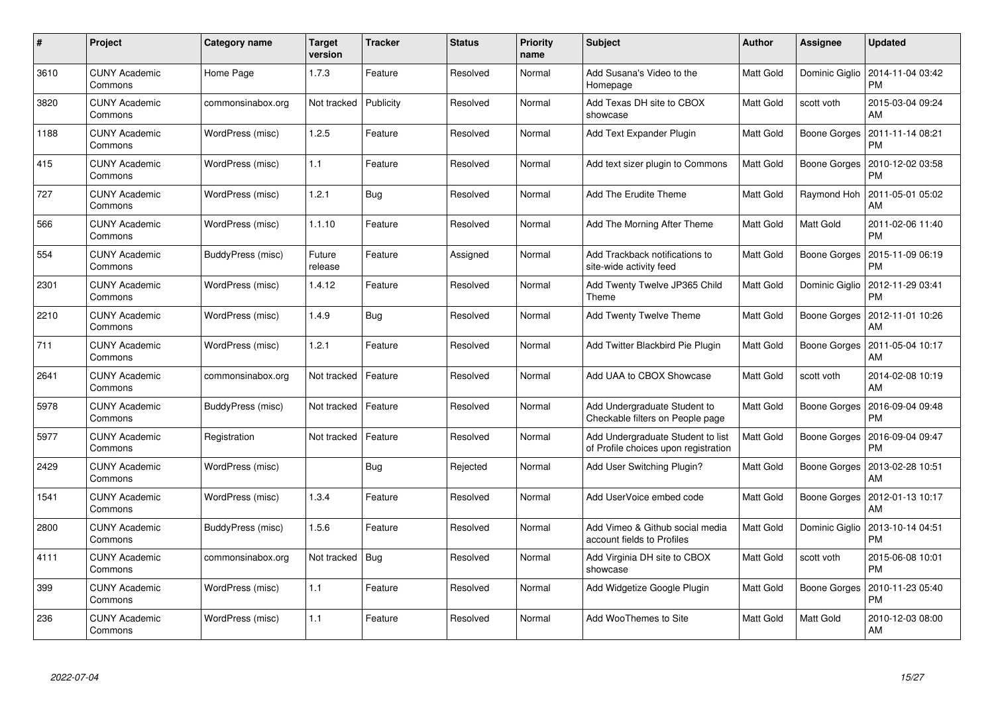| #    | Project                         | Category name     | <b>Target</b><br>version | <b>Tracker</b> | <b>Status</b> | <b>Priority</b><br>name | <b>Subject</b>                                                            | <b>Author</b>    | Assignee            | <b>Updated</b>                        |
|------|---------------------------------|-------------------|--------------------------|----------------|---------------|-------------------------|---------------------------------------------------------------------------|------------------|---------------------|---------------------------------------|
| 3610 | <b>CUNY Academic</b><br>Commons | Home Page         | 1.7.3                    | Feature        | Resolved      | Normal                  | Add Susana's Video to the<br>Homepage                                     | Matt Gold        | Dominic Giglio      | 2014-11-04 03:42<br><b>PM</b>         |
| 3820 | <b>CUNY Academic</b><br>Commons | commonsinabox.org | Not tracked              | Publicity      | Resolved      | Normal                  | Add Texas DH site to CBOX<br>showcase                                     | Matt Gold        | scott voth          | 2015-03-04 09:24<br>AM                |
| 1188 | <b>CUNY Academic</b><br>Commons | WordPress (misc)  | 1.2.5                    | Feature        | Resolved      | Normal                  | Add Text Expander Plugin                                                  | Matt Gold        | <b>Boone Gorges</b> | 2011-11-14 08:21<br><b>PM</b>         |
| 415  | <b>CUNY Academic</b><br>Commons | WordPress (misc)  | 1.1                      | Feature        | Resolved      | Normal                  | Add text sizer plugin to Commons                                          | Matt Gold        | Boone Gorges        | 2010-12-02 03:58<br><b>PM</b>         |
| 727  | <b>CUNY Academic</b><br>Commons | WordPress (misc)  | 1.2.1                    | <b>Bug</b>     | Resolved      | Normal                  | Add The Erudite Theme                                                     | Matt Gold        | Raymond Hoh         | 2011-05-01 05:02<br>AM                |
| 566  | <b>CUNY Academic</b><br>Commons | WordPress (misc)  | 1.1.10                   | Feature        | Resolved      | Normal                  | Add The Morning After Theme                                               | Matt Gold        | Matt Gold           | 2011-02-06 11:40<br><b>PM</b>         |
| 554  | <b>CUNY Academic</b><br>Commons | BuddyPress (misc) | Future<br>release        | Feature        | Assigned      | Normal                  | Add Trackback notifications to<br>site-wide activity feed                 | Matt Gold        | <b>Boone Gorges</b> | 2015-11-09 06:19<br><b>PM</b>         |
| 2301 | <b>CUNY Academic</b><br>Commons | WordPress (misc)  | 1.4.12                   | Feature        | Resolved      | Normal                  | Add Twenty Twelve JP365 Child<br>Theme                                    | Matt Gold        | Dominic Giglio      | 2012-11-29 03:41<br><b>PM</b>         |
| 2210 | <b>CUNY Academic</b><br>Commons | WordPress (misc)  | 1.4.9                    | <b>Bug</b>     | Resolved      | Normal                  | <b>Add Twenty Twelve Theme</b>                                            | Matt Gold        | Boone Gorges        | 2012-11-01 10:26<br>AM                |
| 711  | <b>CUNY Academic</b><br>Commons | WordPress (misc)  | 1.2.1                    | Feature        | Resolved      | Normal                  | Add Twitter Blackbird Pie Plugin                                          | Matt Gold        | Boone Gorges        | 2011-05-04 10:17<br>AM                |
| 2641 | <b>CUNY Academic</b><br>Commons | commonsinabox.org | Not tracked              | Feature        | Resolved      | Normal                  | Add UAA to CBOX Showcase                                                  | Matt Gold        | scott voth          | 2014-02-08 10:19<br>AM                |
| 5978 | <b>CUNY Academic</b><br>Commons | BuddyPress (misc) | Not tracked              | Feature        | Resolved      | Normal                  | Add Undergraduate Student to<br>Checkable filters on People page          | Matt Gold        | Boone Gorges        | 2016-09-04 09:48<br><b>PM</b>         |
| 5977 | <b>CUNY Academic</b><br>Commons | Registration      | Not tracked              | Feature        | Resolved      | Normal                  | Add Undergraduate Student to list<br>of Profile choices upon registration | <b>Matt Gold</b> | Boone Gorges        | 2016-09-04 09:47<br><b>PM</b>         |
| 2429 | <b>CUNY Academic</b><br>Commons | WordPress (misc)  |                          | Bug            | Rejected      | Normal                  | Add User Switching Plugin?                                                | Matt Gold        | Boone Gorges        | 2013-02-28 10:51<br>AM                |
| 1541 | <b>CUNY Academic</b><br>Commons | WordPress (misc)  | 1.3.4                    | Feature        | Resolved      | Normal                  | Add UserVoice embed code                                                  | Matt Gold        |                     | Boone Gorges   2012-01-13 10:17<br>AM |
| 2800 | <b>CUNY Academic</b><br>Commons | BuddyPress (misc) | 1.5.6                    | Feature        | Resolved      | Normal                  | Add Vimeo & Github social media<br>account fields to Profiles             | Matt Gold        | Dominic Giglio      | 2013-10-14 04:51<br><b>PM</b>         |
| 4111 | <b>CUNY Academic</b><br>Commons | commonsinabox.org | Not tracked              | Bug            | Resolved      | Normal                  | Add Virginia DH site to CBOX<br>showcase                                  | Matt Gold        | scott voth          | 2015-06-08 10:01<br><b>PM</b>         |
| 399  | <b>CUNY Academic</b><br>Commons | WordPress (misc)  | 1.1                      | Feature        | Resolved      | Normal                  | Add Widgetize Google Plugin                                               | Matt Gold        | <b>Boone Gorges</b> | 2010-11-23 05:40<br><b>PM</b>         |
| 236  | <b>CUNY Academic</b><br>Commons | WordPress (misc)  | 1.1                      | Feature        | Resolved      | Normal                  | Add WooThemes to Site                                                     | Matt Gold        | <b>Matt Gold</b>    | 2010-12-03 08:00<br>AM                |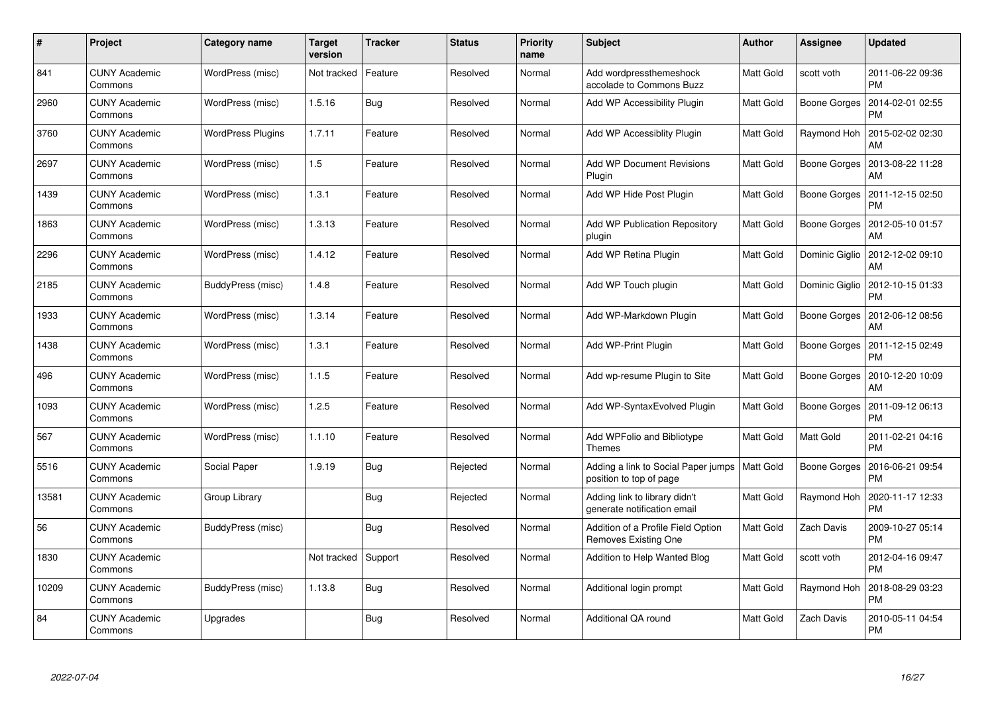| #     | Project                         | <b>Category name</b>     | <b>Target</b><br>version | <b>Tracker</b> | <b>Status</b> | <b>Priority</b><br>name | <b>Subject</b>                                                 | Author           | Assignee            | <b>Updated</b>                        |
|-------|---------------------------------|--------------------------|--------------------------|----------------|---------------|-------------------------|----------------------------------------------------------------|------------------|---------------------|---------------------------------------|
| 841   | <b>CUNY Academic</b><br>Commons | WordPress (misc)         | Not tracked              | Feature        | Resolved      | Normal                  | Add wordpressthemeshock<br>accolade to Commons Buzz            | Matt Gold        | scott voth          | 2011-06-22 09:36<br><b>PM</b>         |
| 2960  | <b>CUNY Academic</b><br>Commons | WordPress (misc)         | 1.5.16                   | Bug            | Resolved      | Normal                  | Add WP Accessibility Plugin                                    | Matt Gold        | Boone Gorges        | 2014-02-01 02:55<br><b>PM</b>         |
| 3760  | <b>CUNY Academic</b><br>Commons | <b>WordPress Plugins</b> | 1.7.11                   | Feature        | Resolved      | Normal                  | Add WP Accessiblity Plugin                                     | Matt Gold        | Raymond Hoh         | 2015-02-02 02:30<br>AM                |
| 2697  | <b>CUNY Academic</b><br>Commons | WordPress (misc)         | 1.5                      | Feature        | Resolved      | Normal                  | <b>Add WP Document Revisions</b><br>Plugin                     | Matt Gold        | Boone Gorges        | 2013-08-22 11:28<br>AM                |
| 1439  | <b>CUNY Academic</b><br>Commons | WordPress (misc)         | 1.3.1                    | Feature        | Resolved      | Normal                  | Add WP Hide Post Plugin                                        | <b>Matt Gold</b> | Boone Gorges        | 2011-12-15 02:50<br><b>PM</b>         |
| 1863  | <b>CUNY Academic</b><br>Commons | WordPress (misc)         | 1.3.13                   | Feature        | Resolved      | Normal                  | <b>Add WP Publication Repository</b><br>plugin                 | <b>Matt Gold</b> |                     | Boone Gorges   2012-05-10 01:57<br>AM |
| 2296  | <b>CUNY Academic</b><br>Commons | WordPress (misc)         | 1.4.12                   | Feature        | Resolved      | Normal                  | Add WP Retina Plugin                                           | Matt Gold        | Dominic Giglio      | 2012-12-02 09:10<br>AM                |
| 2185  | <b>CUNY Academic</b><br>Commons | BuddyPress (misc)        | 1.4.8                    | Feature        | Resolved      | Normal                  | Add WP Touch plugin                                            | Matt Gold        | Dominic Giglio      | 2012-10-15 01:33<br><b>PM</b>         |
| 1933  | <b>CUNY Academic</b><br>Commons | WordPress (misc)         | 1.3.14                   | Feature        | Resolved      | Normal                  | Add WP-Markdown Plugin                                         | <b>Matt Gold</b> | Boone Gorges        | 2012-06-12 08:56<br>AM                |
| 1438  | <b>CUNY Academic</b><br>Commons | WordPress (misc)         | 1.3.1                    | Feature        | Resolved      | Normal                  | Add WP-Print Plugin                                            | Matt Gold        | Boone Gorges        | 2011-12-15 02:49<br><b>PM</b>         |
| 496   | <b>CUNY Academic</b><br>Commons | WordPress (misc)         | 1.1.5                    | Feature        | Resolved      | Normal                  | Add wp-resume Plugin to Site                                   | Matt Gold        | <b>Boone Gorges</b> | 2010-12-20 10:09<br>AM                |
| 1093  | <b>CUNY Academic</b><br>Commons | WordPress (misc)         | 1.2.5                    | Feature        | Resolved      | Normal                  | Add WP-SyntaxEvolved Plugin                                    | Matt Gold        | Boone Gorges        | 2011-09-12 06:13<br><b>PM</b>         |
| 567   | <b>CUNY Academic</b><br>Commons | WordPress (misc)         | 1.1.10                   | Feature        | Resolved      | Normal                  | Add WPFolio and Bibliotype<br><b>Themes</b>                    | <b>Matt Gold</b> | Matt Gold           | 2011-02-21 04:16<br><b>PM</b>         |
| 5516  | <b>CUNY Academic</b><br>Commons | Social Paper             | 1.9.19                   | <b>Bug</b>     | Rejected      | Normal                  | Adding a link to Social Paper jumps<br>position to top of page | <b>Matt Gold</b> | Boone Gorges        | 2016-06-21 09:54<br><b>PM</b>         |
| 13581 | <b>CUNY Academic</b><br>Commons | Group Library            |                          | <b>Bug</b>     | Rejected      | Normal                  | Adding link to library didn't<br>generate notification email   | <b>Matt Gold</b> | Raymond Hoh         | 2020-11-17 12:33<br><b>PM</b>         |
| 56    | <b>CUNY Academic</b><br>Commons | BuddyPress (misc)        |                          | Bug            | Resolved      | Normal                  | Addition of a Profile Field Option<br>Removes Existing One     | Matt Gold        | Zach Davis          | 2009-10-27 05:14<br><b>PM</b>         |
| 1830  | <b>CUNY Academic</b><br>Commons |                          | Not tracked              | Support        | Resolved      | Normal                  | Addition to Help Wanted Blog                                   | <b>Matt Gold</b> | scott voth          | 2012-04-16 09:47<br><b>PM</b>         |
| 10209 | <b>CUNY Academic</b><br>Commons | BuddyPress (misc)        | 1.13.8                   | Bug            | Resolved      | Normal                  | Additional login prompt                                        | Matt Gold        | Raymond Hoh         | 2018-08-29 03:23<br><b>PM</b>         |
| 84    | <b>CUNY Academic</b><br>Commons | Upgrades                 |                          | <b>Bug</b>     | Resolved      | Normal                  | Additional QA round                                            | Matt Gold        | Zach Davis          | 2010-05-11 04:54<br><b>PM</b>         |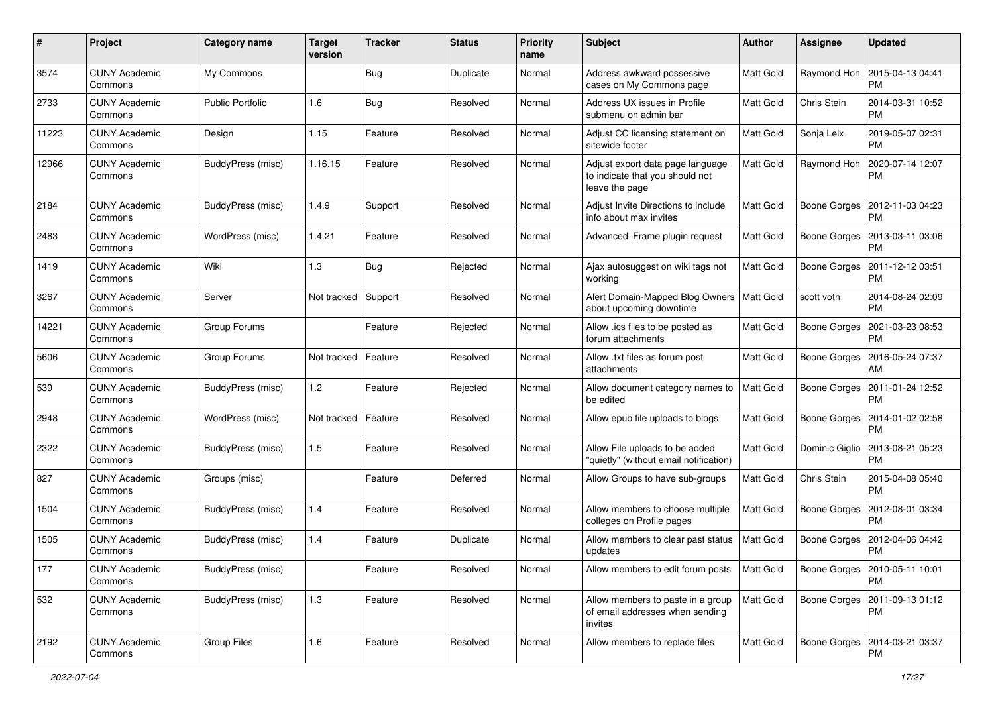| $\pmb{\#}$ | Project                         | <b>Category name</b>    | <b>Target</b><br>version | <b>Tracker</b> | <b>Status</b> | <b>Priority</b><br>name | <b>Subject</b>                                                                        | <b>Author</b>    | Assignee            | <b>Updated</b>                               |
|------------|---------------------------------|-------------------------|--------------------------|----------------|---------------|-------------------------|---------------------------------------------------------------------------------------|------------------|---------------------|----------------------------------------------|
| 3574       | <b>CUNY Academic</b><br>Commons | My Commons              |                          | Bug            | Duplicate     | Normal                  | Address awkward possessive<br>cases on My Commons page                                | <b>Matt Gold</b> | Raymond Hoh         | 2015-04-13 04:41<br><b>PM</b>                |
| 2733       | <b>CUNY Academic</b><br>Commons | <b>Public Portfolio</b> | 1.6                      | Bug            | Resolved      | Normal                  | Address UX issues in Profile<br>submenu on admin bar                                  | Matt Gold        | Chris Stein         | 2014-03-31 10:52<br><b>PM</b>                |
| 11223      | <b>CUNY Academic</b><br>Commons | Design                  | 1.15                     | Feature        | Resolved      | Normal                  | Adjust CC licensing statement on<br>sitewide footer                                   | <b>Matt Gold</b> | Sonja Leix          | 2019-05-07 02:31<br><b>PM</b>                |
| 12966      | <b>CUNY Academic</b><br>Commons | BuddyPress (misc)       | 1.16.15                  | Feature        | Resolved      | Normal                  | Adjust export data page language<br>to indicate that you should not<br>leave the page | Matt Gold        | Raymond Hoh         | 2020-07-14 12:07<br><b>PM</b>                |
| 2184       | <b>CUNY Academic</b><br>Commons | BuddyPress (misc)       | 1.4.9                    | Support        | Resolved      | Normal                  | Adjust Invite Directions to include<br>info about max invites                         | Matt Gold        | Boone Gorges        | 2012-11-03 04:23<br><b>PM</b>                |
| 2483       | <b>CUNY Academic</b><br>Commons | WordPress (misc)        | 1.4.21                   | Feature        | Resolved      | Normal                  | Advanced iFrame plugin request                                                        | <b>Matt Gold</b> | Boone Gorges        | 2013-03-11 03:06<br><b>PM</b>                |
| 1419       | <b>CUNY Academic</b><br>Commons | Wiki                    | 1.3                      | Bug            | Rejected      | Normal                  | Ajax autosuggest on wiki tags not<br>working                                          | Matt Gold        | Boone Gorges        | 2011-12-12 03:51<br><b>PM</b>                |
| 3267       | <b>CUNY Academic</b><br>Commons | Server                  | Not tracked              | Support        | Resolved      | Normal                  | Alert Domain-Mapped Blog Owners   Matt Gold<br>about upcoming downtime                |                  | scott voth          | 2014-08-24 02:09<br><b>PM</b>                |
| 14221      | <b>CUNY Academic</b><br>Commons | Group Forums            |                          | Feature        | Rejected      | Normal                  | Allow .ics files to be posted as<br>forum attachments                                 | Matt Gold        | Boone Gorges        | 2021-03-23 08:53<br><b>PM</b>                |
| 5606       | <b>CUNY Academic</b><br>Commons | Group Forums            | Not tracked              | Feature        | Resolved      | Normal                  | Allow .txt files as forum post<br>attachments                                         | <b>Matt Gold</b> | Boone Gorges        | 2016-05-24 07:37<br>AM                       |
| 539        | <b>CUNY Academic</b><br>Commons | BuddyPress (misc)       | 1.2                      | Feature        | Rejected      | Normal                  | Allow document category names to<br>be edited                                         | <b>Matt Gold</b> | Boone Gorges        | 2011-01-24 12:52<br><b>PM</b>                |
| 2948       | <b>CUNY Academic</b><br>Commons | WordPress (misc)        | Not tracked              | Feature        | Resolved      | Normal                  | Allow epub file uploads to blogs                                                      | Matt Gold        | Boone Gorges        | 2014-01-02 02:58<br><b>PM</b>                |
| 2322       | <b>CUNY Academic</b><br>Commons | BuddyPress (misc)       | 1.5                      | Feature        | Resolved      | Normal                  | Allow File uploads to be added<br>"quietly" (without email notification)              | <b>Matt Gold</b> | Dominic Giglio      | 2013-08-21 05:23<br><b>PM</b>                |
| 827        | <b>CUNY Academic</b><br>Commons | Groups (misc)           |                          | Feature        | Deferred      | Normal                  | Allow Groups to have sub-groups                                                       | <b>Matt Gold</b> | Chris Stein         | 2015-04-08 05:40<br><b>PM</b>                |
| 1504       | <b>CUNY Academic</b><br>Commons | BuddyPress (misc)       | 1.4                      | Feature        | Resolved      | Normal                  | Allow members to choose multiple<br>colleges on Profile pages                         | Matt Gold        | Boone Gorges        | 2012-08-01 03:34<br><b>PM</b>                |
| 1505       | <b>CUNY Academic</b><br>Commons | BuddyPress (misc)       | 1.4                      | Feature        | Duplicate     | Normal                  | Allow members to clear past status<br>updates                                         | <b>Matt Gold</b> | <b>Boone Gorges</b> | 2012-04-06 04:42<br><b>PM</b>                |
| 177        | <b>CUNY Academic</b><br>Commons | BuddyPress (misc)       |                          | Feature        | Resolved      | Normal                  | Allow members to edit forum posts                                                     | <b>Matt Gold</b> |                     | Boone Gorges   2010-05-11 10:01<br><b>PM</b> |
| 532        | <b>CUNY Academic</b><br>Commons | BuddyPress (misc)       | 1.3                      | Feature        | Resolved      | Normal                  | Allow members to paste in a group<br>of email addresses when sending<br>invites       | <b>Matt Gold</b> | Boone Gorges        | 2011-09-13 01:12<br><b>PM</b>                |
| 2192       | <b>CUNY Academic</b><br>Commons | <b>Group Files</b>      | 1.6                      | Feature        | Resolved      | Normal                  | Allow members to replace files                                                        | Matt Gold        | Boone Gorges        | 2014-03-21 03:37<br><b>PM</b>                |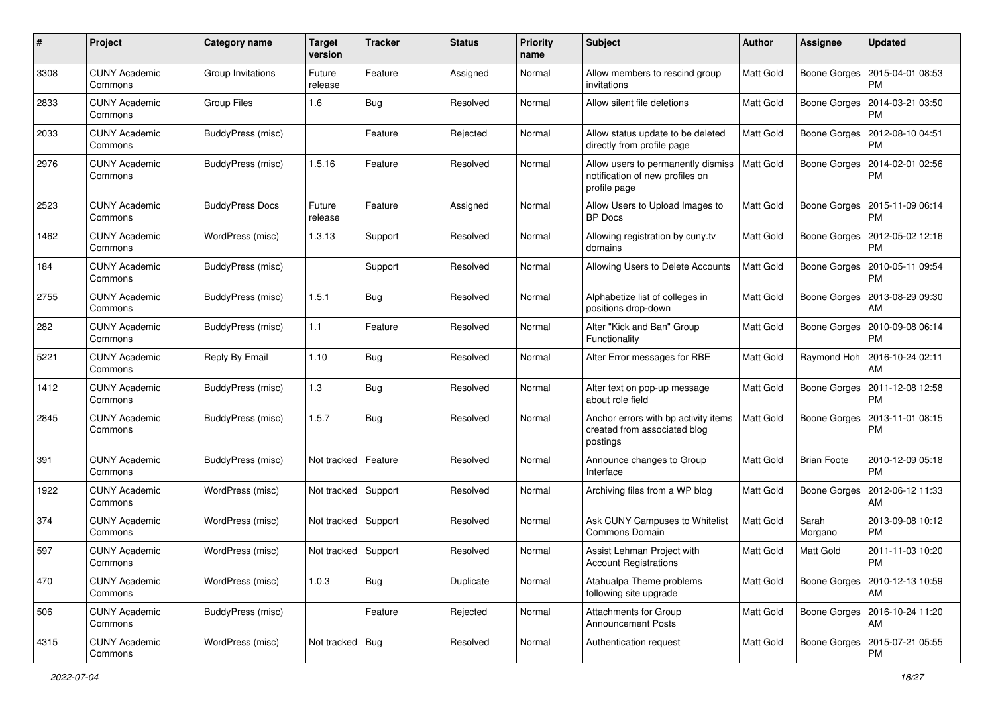| $\#$ | Project                         | <b>Category name</b>   | <b>Target</b><br>version | <b>Tracker</b> | <b>Status</b> | <b>Priority</b><br>name | <b>Subject</b>                                                                        | <b>Author</b>    | Assignee           | <b>Updated</b>                        |
|------|---------------------------------|------------------------|--------------------------|----------------|---------------|-------------------------|---------------------------------------------------------------------------------------|------------------|--------------------|---------------------------------------|
| 3308 | <b>CUNY Academic</b><br>Commons | Group Invitations      | Future<br>release        | Feature        | Assigned      | Normal                  | Allow members to rescind group<br>invitations                                         | Matt Gold        | Boone Gorges       | 2015-04-01 08:53<br><b>PM</b>         |
| 2833 | <b>CUNY Academic</b><br>Commons | <b>Group Files</b>     | 1.6                      | Bug            | Resolved      | Normal                  | Allow silent file deletions                                                           | Matt Gold        | Boone Gorges       | 2014-03-21 03:50<br><b>PM</b>         |
| 2033 | CUNY Academic<br>Commons        | BuddyPress (misc)      |                          | Feature        | Rejected      | Normal                  | Allow status update to be deleted<br>directly from profile page                       | <b>Matt Gold</b> | Boone Gorges       | 2012-08-10 04:51<br><b>PM</b>         |
| 2976 | <b>CUNY Academic</b><br>Commons | BuddyPress (misc)      | 1.5.16                   | Feature        | Resolved      | Normal                  | Allow users to permanently dismiss<br>notification of new profiles on<br>profile page | Matt Gold        | Boone Gorges       | 2014-02-01 02:56<br>PM                |
| 2523 | <b>CUNY Academic</b><br>Commons | <b>BuddyPress Docs</b> | Future<br>release        | Feature        | Assigned      | Normal                  | Allow Users to Upload Images to<br><b>BP</b> Docs                                     | <b>Matt Gold</b> | Boone Gorges       | 2015-11-09 06:14<br><b>PM</b>         |
| 1462 | CUNY Academic<br>Commons        | WordPress (misc)       | 1.3.13                   | Support        | Resolved      | Normal                  | Allowing registration by cuny.tv<br>domains                                           | Matt Gold        | Boone Gorges       | 2012-05-02 12:16<br><b>PM</b>         |
| 184  | <b>CUNY Academic</b><br>Commons | BuddyPress (misc)      |                          | Support        | Resolved      | Normal                  | Allowing Users to Delete Accounts                                                     | <b>Matt Gold</b> | Boone Gorges       | 2010-05-11 09:54<br><b>PM</b>         |
| 2755 | CUNY Academic<br>Commons        | BuddyPress (misc)      | 1.5.1                    | <b>Bug</b>     | Resolved      | Normal                  | Alphabetize list of colleges in<br>positions drop-down                                | <b>Matt Gold</b> | Boone Gorges       | 2013-08-29 09:30<br>AM                |
| 282  | <b>CUNY Academic</b><br>Commons | BuddyPress (misc)      | 1.1                      | Feature        | Resolved      | Normal                  | Alter "Kick and Ban" Group<br>Functionality                                           | Matt Gold        | Boone Gorges       | 2010-09-08 06:14<br>PM                |
| 5221 | <b>CUNY Academic</b><br>Commons | Reply By Email         | 1.10                     | Bug            | Resolved      | Normal                  | Alter Error messages for RBE                                                          | Matt Gold        | Raymond Hoh        | 2016-10-24 02:11<br>AM                |
| 1412 | CUNY Academic<br>Commons        | BuddyPress (misc)      | 1.3                      | Bug            | Resolved      | Normal                  | Alter text on pop-up message<br>about role field                                      | Matt Gold        | Boone Gorges       | 2011-12-08 12:58<br><b>PM</b>         |
| 2845 | <b>CUNY Academic</b><br>Commons | BuddyPress (misc)      | 1.5.7                    | Bug            | Resolved      | Normal                  | Anchor errors with bp activity items<br>created from associated blog<br>postings      | Matt Gold        | Boone Gorges       | 2013-11-01 08:15<br>PM                |
| 391  | <b>CUNY Academic</b><br>Commons | BuddyPress (misc)      | Not tracked              | Feature        | Resolved      | Normal                  | Announce changes to Group<br>Interface                                                | Matt Gold        | <b>Brian Foote</b> | 2010-12-09 05:18<br><b>PM</b>         |
| 1922 | <b>CUNY Academic</b><br>Commons | WordPress (misc)       | Not tracked              | Support        | Resolved      | Normal                  | Archiving files from a WP blog                                                        | Matt Gold        | Boone Gorges       | 2012-06-12 11:33<br>AM                |
| 374  | <b>CUNY Academic</b><br>Commons | WordPress (misc)       | Not tracked              | Support        | Resolved      | Normal                  | Ask CUNY Campuses to Whitelist<br>Commons Domain                                      | <b>Matt Gold</b> | Sarah<br>Morgano   | 2013-09-08 10:12<br><b>PM</b>         |
| 597  | <b>CUNY Academic</b><br>Commons | WordPress (misc)       | Not tracked   Support    |                | Resolved      | Normal                  | Assist Lehman Project with<br><b>Account Registrations</b>                            | Matt Gold        | <b>Matt Gold</b>   | 2011-11-03 10:20<br>PM                |
| 470  | <b>CUNY Academic</b><br>Commons | WordPress (misc)       | 1.0.3                    | Bug            | Duplicate     | Normal                  | Atahualpa Theme problems<br>following site upgrade                                    | Matt Gold        |                    | Boone Gorges   2010-12-13 10:59<br>AM |
| 506  | <b>CUNY Academic</b><br>Commons | BuddyPress (misc)      |                          | Feature        | Rejected      | Normal                  | Attachments for Group<br><b>Announcement Posts</b>                                    | Matt Gold        |                    | Boone Gorges   2016-10-24 11:20<br>AM |
| 4315 | <b>CUNY Academic</b><br>Commons | WordPress (misc)       | Not tracked $ $ Bug      |                | Resolved      | Normal                  | Authentication request                                                                | Matt Gold        |                    | Boone Gorges   2015-07-21 05:55<br>PM |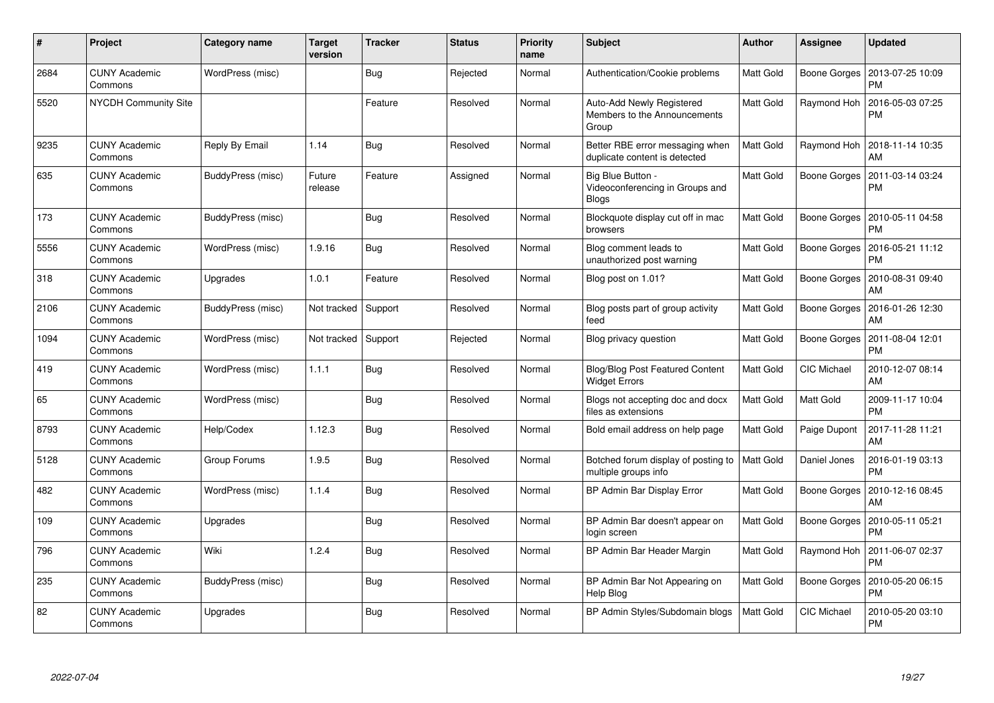| #    | Project                         | Category name     | <b>Target</b><br>version | <b>Tracker</b> | <b>Status</b> | <b>Priority</b><br>name | <b>Subject</b>                                                       | <b>Author</b>    | Assignee           | <b>Updated</b>                |
|------|---------------------------------|-------------------|--------------------------|----------------|---------------|-------------------------|----------------------------------------------------------------------|------------------|--------------------|-------------------------------|
| 2684 | <b>CUNY Academic</b><br>Commons | WordPress (misc)  |                          | <b>Bug</b>     | Rejected      | Normal                  | Authentication/Cookie problems                                       | Matt Gold        | Boone Gorges       | 2013-07-25 10:09<br><b>PM</b> |
| 5520 | <b>NYCDH Community Site</b>     |                   |                          | Feature        | Resolved      | Normal                  | Auto-Add Newly Registered<br>Members to the Announcements<br>Group   | Matt Gold        | Raymond Hoh        | 2016-05-03 07:25<br><b>PM</b> |
| 9235 | <b>CUNY Academic</b><br>Commons | Reply By Email    | 1.14                     | Bug            | Resolved      | Normal                  | Better RBE error messaging when<br>duplicate content is detected     | Matt Gold        | Raymond Hoh        | 2018-11-14 10:35<br>AM        |
| 635  | CUNY Academic<br>Commons        | BuddyPress (misc) | Future<br>release        | Feature        | Assigned      | Normal                  | Big Blue Button -<br>Videoconferencing in Groups and<br><b>Blogs</b> | Matt Gold        | Boone Gorges       | 2011-03-14 03:24<br><b>PM</b> |
| 173  | <b>CUNY Academic</b><br>Commons | BuddyPress (misc) |                          | Bug            | Resolved      | Normal                  | Blockquote display cut off in mac<br>browsers                        | Matt Gold        | Boone Gorges       | 2010-05-11 04:58<br><b>PM</b> |
| 5556 | <b>CUNY Academic</b><br>Commons | WordPress (misc)  | 1.9.16                   | Bug            | Resolved      | Normal                  | Blog comment leads to<br>unauthorized post warning                   | Matt Gold        | Boone Gorges       | 2016-05-21 11:12<br><b>PM</b> |
| 318  | <b>CUNY Academic</b><br>Commons | Upgrades          | 1.0.1                    | Feature        | Resolved      | Normal                  | Blog post on 1.01?                                                   | <b>Matt Gold</b> | Boone Gorges       | 2010-08-31 09:40<br>AM        |
| 2106 | <b>CUNY Academic</b><br>Commons | BuddyPress (misc) | Not tracked              | Support        | Resolved      | Normal                  | Blog posts part of group activity<br>feed                            | <b>Matt Gold</b> | Boone Gorges       | 2016-01-26 12:30<br>AM        |
| 1094 | <b>CUNY Academic</b><br>Commons | WordPress (misc)  | Not tracked              | Support        | Rejected      | Normal                  | Blog privacy question                                                | Matt Gold        | Boone Gorges       | 2011-08-04 12:01<br><b>PM</b> |
| 419  | <b>CUNY Academic</b><br>Commons | WordPress (misc)  | 1.1.1                    | Bug            | Resolved      | Normal                  | <b>Blog/Blog Post Featured Content</b><br><b>Widget Errors</b>       | <b>Matt Gold</b> | <b>CIC Michael</b> | 2010-12-07 08:14<br>AM        |
| 65   | <b>CUNY Academic</b><br>Commons | WordPress (misc)  |                          | <b>Bug</b>     | Resolved      | Normal                  | Blogs not accepting doc and docx<br>files as extensions              | Matt Gold        | Matt Gold          | 2009-11-17 10:04<br><b>PM</b> |
| 8793 | <b>CUNY Academic</b><br>Commons | Help/Codex        | 1.12.3                   | <b>Bug</b>     | Resolved      | Normal                  | Bold email address on help page                                      | Matt Gold        | Paige Dupont       | 2017-11-28 11:21<br>AM        |
| 5128 | CUNY Academic<br>Commons        | Group Forums      | 1.9.5                    | Bug            | Resolved      | Normal                  | Botched forum display of posting to<br>multiple groups info          | Matt Gold        | Daniel Jones       | 2016-01-19 03:13<br><b>PM</b> |
| 482  | CUNY Academic<br>Commons        | WordPress (misc)  | 1.1.4                    | Bug            | Resolved      | Normal                  | BP Admin Bar Display Error                                           | Matt Gold        | Boone Gorges       | 2010-12-16 08:45<br>AM        |
| 109  | <b>CUNY Academic</b><br>Commons | Upgrades          |                          | Bug            | Resolved      | Normal                  | BP Admin Bar doesn't appear on<br>login screen                       | Matt Gold        | Boone Gorges       | 2010-05-11 05:21<br><b>PM</b> |
| 796  | <b>CUNY Academic</b><br>Commons | Wiki              | 1.2.4                    | Bug            | Resolved      | Normal                  | BP Admin Bar Header Margin                                           | Matt Gold        | Raymond Hoh        | 2011-06-07 02:37<br><b>PM</b> |
| 235  | CUNY Academic<br>Commons        | BuddyPress (misc) |                          | <b>Bug</b>     | Resolved      | Normal                  | BP Admin Bar Not Appearing on<br>Help Blog                           | Matt Gold        | Boone Gorges       | 2010-05-20 06:15<br><b>PM</b> |
| 82   | <b>CUNY Academic</b><br>Commons | Upgrades          |                          | <b>Bug</b>     | Resolved      | Normal                  | BP Admin Styles/Subdomain blogs                                      | Matt Gold        | <b>CIC Michael</b> | 2010-05-20 03:10<br>PM        |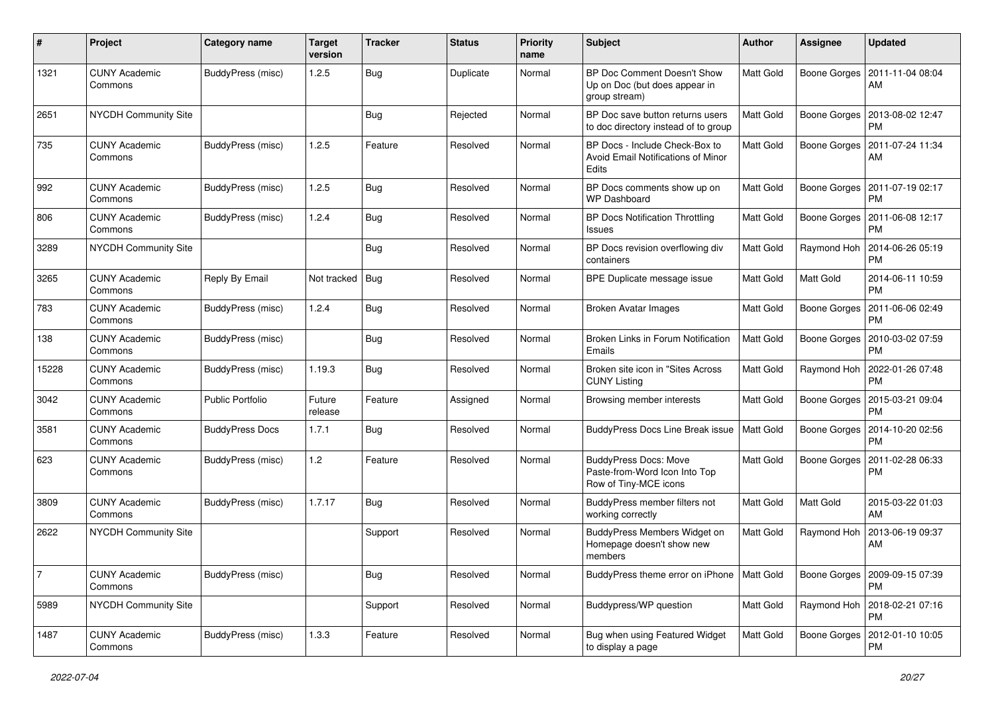| #              | Project                         | Category name           | <b>Target</b><br>version | <b>Tracker</b> | <b>Status</b> | Priority<br>name | Subject                                                                                | <b>Author</b>    | Assignee            | <b>Updated</b>                               |
|----------------|---------------------------------|-------------------------|--------------------------|----------------|---------------|------------------|----------------------------------------------------------------------------------------|------------------|---------------------|----------------------------------------------|
| 1321           | <b>CUNY Academic</b><br>Commons | BuddyPress (misc)       | 1.2.5                    | Bug            | Duplicate     | Normal           | BP Doc Comment Doesn't Show<br>Up on Doc (but does appear in<br>group stream)          | Matt Gold        | <b>Boone Gorges</b> | 2011-11-04 08:04<br>AM                       |
| 2651           | NYCDH Community Site            |                         |                          | <b>Bug</b>     | Rejected      | Normal           | BP Doc save button returns users<br>to doc directory instead of to group               | Matt Gold        | Boone Gorges        | 2013-08-02 12:47<br>PМ                       |
| 735            | <b>CUNY Academic</b><br>Commons | BuddyPress (misc)       | 1.2.5                    | Feature        | Resolved      | Normal           | BP Docs - Include Check-Box to<br>Avoid Email Notifications of Minor<br><b>Edits</b>   | <b>Matt Gold</b> | Boone Gorges        | 2011-07-24 11:34<br>AM                       |
| 992            | <b>CUNY Academic</b><br>Commons | BuddyPress (misc)       | 1.2.5                    | <b>Bug</b>     | Resolved      | Normal           | BP Docs comments show up on<br><b>WP Dashboard</b>                                     | <b>Matt Gold</b> | Boone Gorges        | 2011-07-19 02:17<br><b>PM</b>                |
| 806            | <b>CUNY Academic</b><br>Commons | BuddyPress (misc)       | 1.2.4                    | <b>Bug</b>     | Resolved      | Normal           | <b>BP Docs Notification Throttling</b><br>Issues                                       | Matt Gold        | Boone Gorges        | 2011-06-08 12:17<br><b>PM</b>                |
| 3289           | NYCDH Community Site            |                         |                          | <b>Bug</b>     | Resolved      | Normal           | BP Docs revision overflowing div<br>containers                                         | <b>Matt Gold</b> | Raymond Hoh         | 2014-06-26 05:19<br><b>PM</b>                |
| 3265           | <b>CUNY Academic</b><br>Commons | Reply By Email          | Not tracked              | Bug            | Resolved      | Normal           | BPE Duplicate message issue                                                            | <b>Matt Gold</b> | Matt Gold           | 2014-06-11 10:59<br><b>PM</b>                |
| 783            | <b>CUNY Academic</b><br>Commons | BuddyPress (misc)       | 1.2.4                    | <b>Bug</b>     | Resolved      | Normal           | <b>Broken Avatar Images</b>                                                            | Matt Gold        |                     | Boone Gorges   2011-06-06 02:49<br><b>PM</b> |
| 138            | <b>CUNY Academic</b><br>Commons | BuddyPress (misc)       |                          | <b>Bug</b>     | Resolved      | Normal           | Broken Links in Forum Notification<br>Emails                                           | Matt Gold        | Boone Gorges        | 2010-03-02 07:59<br>РM                       |
| 15228          | <b>CUNY Academic</b><br>Commons | BuddyPress (misc)       | 1.19.3                   | <b>Bug</b>     | Resolved      | Normal           | Broken site icon in "Sites Across<br><b>CUNY Listing</b>                               | <b>Matt Gold</b> | Raymond Hoh         | 2022-01-26 07:48<br>PМ                       |
| 3042           | <b>CUNY Academic</b><br>Commons | <b>Public Portfolio</b> | Future<br>release        | Feature        | Assigned      | Normal           | Browsing member interests                                                              | Matt Gold        | Boone Gorges        | 2015-03-21 09:04<br><b>PM</b>                |
| 3581           | <b>CUNY Academic</b><br>Commons | <b>BuddyPress Docs</b>  | 1.7.1                    | <b>Bug</b>     | Resolved      | Normal           | BuddyPress Docs Line Break issue                                                       | Matt Gold        | Boone Gorges        | 2014-10-20 02:56<br><b>PM</b>                |
| 623            | <b>CUNY Academic</b><br>Commons | BuddyPress (misc)       | 1.2                      | Feature        | Resolved      | Normal           | <b>BuddyPress Docs: Move</b><br>Paste-from-Word Icon Into Top<br>Row of Tiny-MCE icons | <b>Matt Gold</b> | Boone Gorges        | 2011-02-28 06:33<br>РM                       |
| 3809           | <b>CUNY Academic</b><br>Commons | BuddyPress (misc)       | 1.7.17                   | Bug            | Resolved      | Normal           | BuddyPress member filters not<br>working correctly                                     | Matt Gold        | Matt Gold           | 2015-03-22 01:03<br>AM                       |
| 2622           | NYCDH Community Site            |                         |                          | Support        | Resolved      | Normal           | BuddyPress Members Widget on<br>Homepage doesn't show new<br>members                   | Matt Gold        | Raymond Hoh         | 2013-06-19 09:37<br>AM                       |
| $\overline{7}$ | <b>CUNY Academic</b><br>Commons | BuddyPress (misc)       |                          | Bug            | Resolved      | Normal           | BuddyPress theme error on iPhone   Matt Gold                                           |                  |                     | Boone Gorges   2009-09-15 07:39<br>PM        |
| 5989           | <b>NYCDH Community Site</b>     |                         |                          | Support        | Resolved      | Normal           | Buddypress/WP question                                                                 | Matt Gold        |                     | Raymond Hoh   2018-02-21 07:16<br><b>PM</b>  |
| 1487           | <b>CUNY Academic</b><br>Commons | BuddyPress (misc)       | 1.3.3                    | Feature        | Resolved      | Normal           | Bug when using Featured Widget<br>to display a page                                    | Matt Gold        | Boone Gorges        | 2012-01-10 10:05<br>PM                       |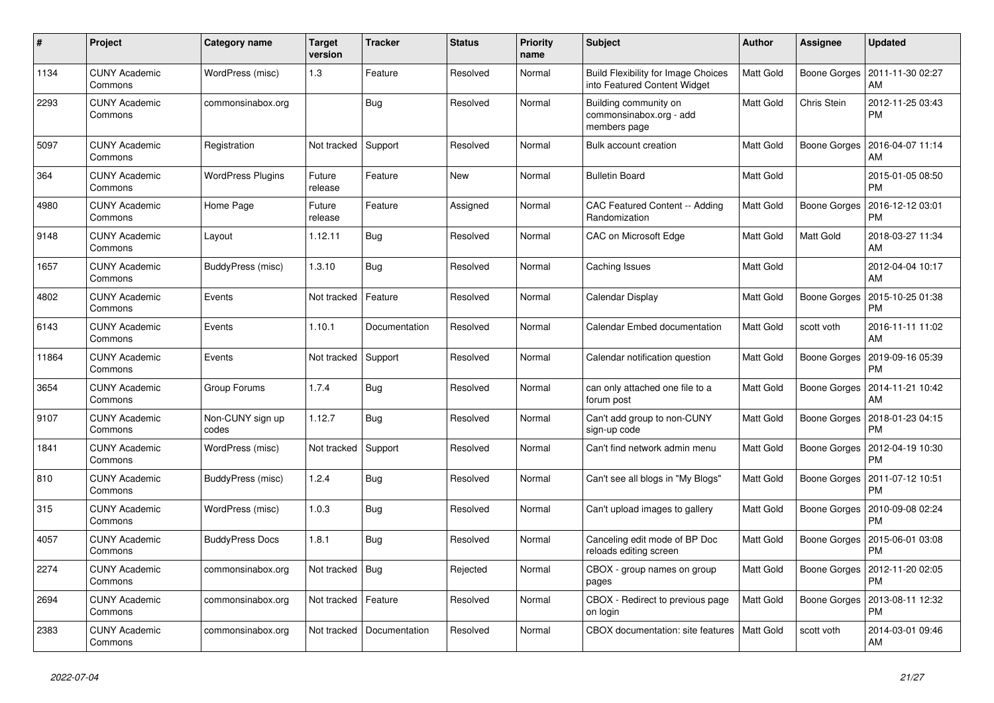| $\#$  | Project                         | Category name             | <b>Target</b><br>version | <b>Tracker</b> | <b>Status</b> | <b>Priority</b><br>name | <b>Subject</b>                                                             | <b>Author</b>    | Assignee     | <b>Updated</b>                |
|-------|---------------------------------|---------------------------|--------------------------|----------------|---------------|-------------------------|----------------------------------------------------------------------------|------------------|--------------|-------------------------------|
| 1134  | <b>CUNY Academic</b><br>Commons | WordPress (misc)          | 1.3                      | Feature        | Resolved      | Normal                  | <b>Build Flexibility for Image Choices</b><br>into Featured Content Widget | <b>Matt Gold</b> | Boone Gorges | 2011-11-30 02:27<br>AM        |
| 2293  | <b>CUNY Academic</b><br>Commons | commonsinabox.org         |                          | <b>Bug</b>     | Resolved      | Normal                  | Building community on<br>commonsinabox.org - add<br>members page           | Matt Gold        | Chris Stein  | 2012-11-25 03:43<br><b>PM</b> |
| 5097  | <b>CUNY Academic</b><br>Commons | Registration              | Not tracked              | Support        | Resolved      | Normal                  | Bulk account creation                                                      | Matt Gold        | Boone Gorges | 2016-04-07 11:14<br>AM        |
| 364   | <b>CUNY Academic</b><br>Commons | <b>WordPress Plugins</b>  | Future<br>release        | Feature        | <b>New</b>    | Normal                  | <b>Bulletin Board</b>                                                      | Matt Gold        |              | 2015-01-05 08:50<br><b>PM</b> |
| 4980  | <b>CUNY Academic</b><br>Commons | Home Page                 | Future<br>release        | Feature        | Assigned      | Normal                  | CAC Featured Content -- Adding<br>Randomization                            | Matt Gold        | Boone Gorges | 2016-12-12 03:01<br><b>PM</b> |
| 9148  | <b>CUNY Academic</b><br>Commons | Layout                    | 1.12.11                  | <b>Bug</b>     | Resolved      | Normal                  | CAC on Microsoft Edge                                                      | Matt Gold        | Matt Gold    | 2018-03-27 11:34<br>AM        |
| 1657  | <b>CUNY Academic</b><br>Commons | BuddyPress (misc)         | 1.3.10                   | Bug            | Resolved      | Normal                  | Caching Issues                                                             | Matt Gold        |              | 2012-04-04 10:17<br>AM        |
| 4802  | <b>CUNY Academic</b><br>Commons | Events                    | Not tracked              | Feature        | Resolved      | Normal                  | Calendar Display                                                           | Matt Gold        | Boone Gorges | 2015-10-25 01:38<br><b>PM</b> |
| 6143  | <b>CUNY Academic</b><br>Commons | Events                    | 1.10.1                   | Documentation  | Resolved      | Normal                  | Calendar Embed documentation                                               | Matt Gold        | scott voth   | 2016-11-11 11:02<br>AM        |
| 11864 | <b>CUNY Academic</b><br>Commons | Events                    | Not tracked              | Support        | Resolved      | Normal                  | Calendar notification question                                             | Matt Gold        | Boone Gorges | 2019-09-16 05:39<br>PM        |
| 3654  | <b>CUNY Academic</b><br>Commons | Group Forums              | 1.7.4                    | Bug            | Resolved      | Normal                  | can only attached one file to a<br>forum post                              | Matt Gold        | Boone Gorges | 2014-11-21 10:42<br>AM        |
| 9107  | <b>CUNY Academic</b><br>Commons | Non-CUNY sign up<br>codes | 1.12.7                   | Bug            | Resolved      | Normal                  | Can't add group to non-CUNY<br>sign-up code                                | Matt Gold        | Boone Gorges | 2018-01-23 04:15<br><b>PM</b> |
| 1841  | <b>CUNY Academic</b><br>Commons | WordPress (misc)          | Not tracked              | Support        | Resolved      | Normal                  | Can't find network admin menu                                              | Matt Gold        | Boone Gorges | 2012-04-19 10:30<br><b>PM</b> |
| 810   | <b>CUNY Academic</b><br>Commons | BuddyPress (misc)         | 1.2.4                    | <b>Bug</b>     | Resolved      | Normal                  | Can't see all blogs in "My Blogs"                                          | Matt Gold        | Boone Gorges | 2011-07-12 10:51<br><b>PM</b> |
| 315   | <b>CUNY Academic</b><br>Commons | WordPress (misc)          | 1.0.3                    | <b>Bug</b>     | Resolved      | Normal                  | Can't upload images to gallery                                             | Matt Gold        | Boone Gorges | 2010-09-08 02:24<br><b>PM</b> |
| 4057  | <b>CUNY Academic</b><br>Commons | <b>BuddyPress Docs</b>    | 1.8.1                    | Bug            | Resolved      | Normal                  | Canceling edit mode of BP Doc<br>reloads editing screen                    | Matt Gold        | Boone Gorges | 2015-06-01 03:08<br><b>PM</b> |
| 2274  | <b>CUNY Academic</b><br>Commons | commonsinabox.org         | Not tracked              | Bug            | Rejected      | Normal                  | CBOX - group names on group<br>pages                                       | Matt Gold        | Boone Gorges | 2012-11-20 02:05<br><b>PM</b> |
| 2694  | <b>CUNY Academic</b><br>Commons | commonsinabox.org         | Not tracked              | Feature        | Resolved      | Normal                  | CBOX - Redirect to previous page<br>on login                               | <b>Matt Gold</b> | Boone Gorges | 2013-08-11 12:32<br><b>PM</b> |
| 2383  | <b>CUNY Academic</b><br>Commons | commonsinabox.org         | Not tracked              | Documentation  | Resolved      | Normal                  | CBOX documentation: site features                                          | <b>Matt Gold</b> | scott voth   | 2014-03-01 09:46<br>AM        |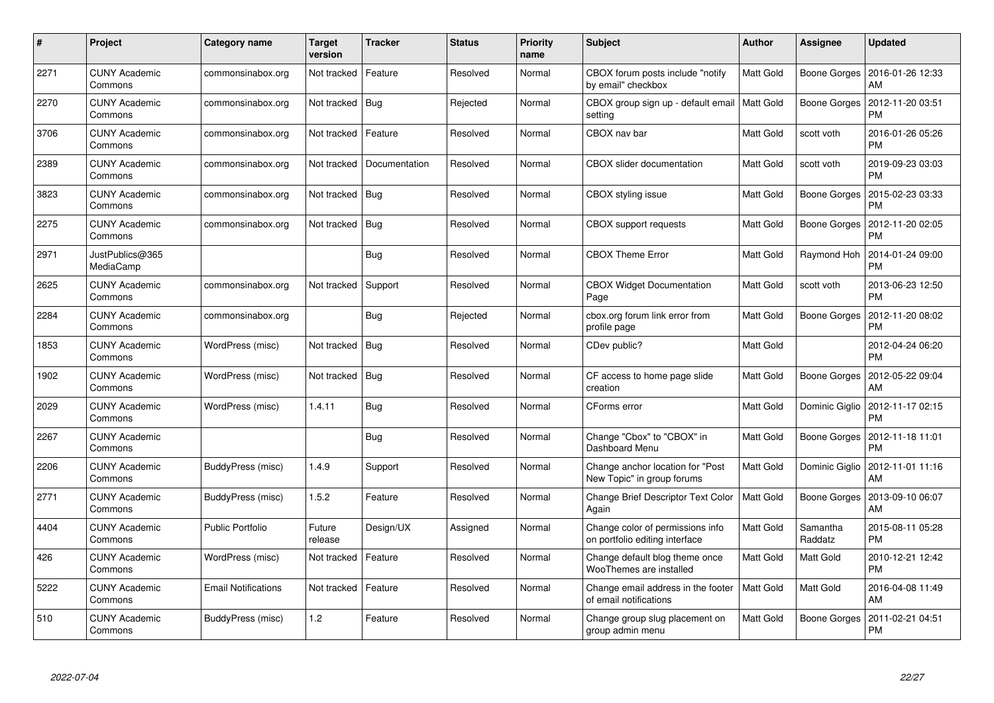| #    | Project                         | <b>Category name</b>       | <b>Target</b><br>version | <b>Tracker</b> | <b>Status</b> | <b>Priority</b><br>name | <b>Subject</b>                                                     | <b>Author</b>    | Assignee            | <b>Updated</b>                        |
|------|---------------------------------|----------------------------|--------------------------|----------------|---------------|-------------------------|--------------------------------------------------------------------|------------------|---------------------|---------------------------------------|
| 2271 | <b>CUNY Academic</b><br>Commons | commonsinabox.org          | Not tracked              | Feature        | Resolved      | Normal                  | CBOX forum posts include "notify<br>by email" checkbox             | Matt Gold        |                     | Boone Gorges   2016-01-26 12:33<br>AM |
| 2270 | <b>CUNY Academic</b><br>Commons | commonsinabox.org          | Not tracked              | Bug            | Rejected      | Normal                  | CBOX group sign up - default email<br>setting                      | Matt Gold        | Boone Gorges        | 2012-11-20 03:51<br><b>PM</b>         |
| 3706 | <b>CUNY Academic</b><br>Commons | commonsinabox.org          | Not tracked              | Feature        | Resolved      | Normal                  | CBOX nav bar                                                       | Matt Gold        | scott voth          | 2016-01-26 05:26<br><b>PM</b>         |
| 2389 | <b>CUNY Academic</b><br>Commons | commonsinabox.org          | Not tracked              | Documentation  | Resolved      | Normal                  | <b>CBOX</b> slider documentation                                   | Matt Gold        | scott voth          | 2019-09-23 03:03<br><b>PM</b>         |
| 3823 | <b>CUNY Academic</b><br>Commons | commonsinabox.org          | Not tracked              | Bug            | Resolved      | Normal                  | CBOX styling issue                                                 | Matt Gold        | Boone Gorges        | 2015-02-23 03:33<br><b>PM</b>         |
| 2275 | <b>CUNY Academic</b><br>Commons | commonsinabox.org          | Not tracked              | Bug            | Resolved      | Normal                  | CBOX support requests                                              | Matt Gold        | Boone Gorges        | 2012-11-20 02:05<br><b>PM</b>         |
| 2971 | JustPublics@365<br>MediaCamp    |                            |                          | <b>Bug</b>     | Resolved      | Normal                  | <b>CBOX Theme Error</b>                                            | <b>Matt Gold</b> | Raymond Hoh         | 2014-01-24 09:00<br><b>PM</b>         |
| 2625 | <b>CUNY Academic</b><br>Commons | commonsinabox.org          | Not tracked              | Support        | Resolved      | Normal                  | <b>CBOX Widget Documentation</b><br>Page                           | Matt Gold        | scott voth          | 2013-06-23 12:50<br><b>PM</b>         |
| 2284 | <b>CUNY Academic</b><br>Commons | commonsinabox.org          |                          | <b>Bug</b>     | Rejected      | Normal                  | cbox.org forum link error from<br>profile page                     | <b>Matt Gold</b> | <b>Boone Gorges</b> | 2012-11-20 08:02<br><b>PM</b>         |
| 1853 | <b>CUNY Academic</b><br>Commons | WordPress (misc)           | Not tracked              | Bug            | Resolved      | Normal                  | CDev public?                                                       | Matt Gold        |                     | 2012-04-24 06:20<br><b>PM</b>         |
| 1902 | <b>CUNY Academic</b><br>Commons | WordPress (misc)           | Not tracked              | Bug            | Resolved      | Normal                  | CF access to home page slide<br>creation                           | Matt Gold        | <b>Boone Gorges</b> | 2012-05-22 09:04<br>AM                |
| 2029 | <b>CUNY Academic</b><br>Commons | WordPress (misc)           | 1.4.11                   | <b>Bug</b>     | Resolved      | Normal                  | CForms error                                                       | Matt Gold        | Dominic Giglio      | 2012-11-17 02:15<br><b>PM</b>         |
| 2267 | <b>CUNY Academic</b><br>Commons |                            |                          | <b>Bug</b>     | Resolved      | Normal                  | Change "Cbox" to "CBOX" in<br>Dashboard Menu                       | <b>Matt Gold</b> | Boone Gorges        | 2012-11-18 11:01<br><b>PM</b>         |
| 2206 | <b>CUNY Academic</b><br>Commons | BuddyPress (misc)          | 1.4.9                    | Support        | Resolved      | Normal                  | Change anchor location for "Post<br>New Topic" in group forums     | Matt Gold        | Dominic Giglio      | 2012-11-01 11:16<br>AM                |
| 2771 | <b>CUNY Academic</b><br>Commons | BuddyPress (misc)          | 1.5.2                    | Feature        | Resolved      | Normal                  | <b>Change Brief Descriptor Text Color</b><br>Again                 | <b>Matt Gold</b> | Boone Gorges        | 2013-09-10 06:07<br>AM                |
| 4404 | <b>CUNY Academic</b><br>Commons | <b>Public Portfolio</b>    | Future<br>release        | Design/UX      | Assigned      | Normal                  | Change color of permissions info<br>on portfolio editing interface | Matt Gold        | Samantha<br>Raddatz | 2015-08-11 05:28<br><b>PM</b>         |
| 426  | <b>CUNY Academic</b><br>Commons | WordPress (misc)           | Not tracked              | Feature        | Resolved      | Normal                  | Change default blog theme once<br>WooThemes are installed          | <b>Matt Gold</b> | <b>Matt Gold</b>    | 2010-12-21 12:42<br><b>PM</b>         |
| 5222 | <b>CUNY Academic</b><br>Commons | <b>Email Notifications</b> | Not tracked              | Feature        | Resolved      | Normal                  | Change email address in the footer<br>of email notifications       | <b>Matt Gold</b> | <b>Matt Gold</b>    | 2016-04-08 11:49<br>AM                |
| 510  | <b>CUNY Academic</b><br>Commons | BuddyPress (misc)          | 1.2                      | Feature        | Resolved      | Normal                  | Change group slug placement on<br>group admin menu                 | Matt Gold        | <b>Boone Gorges</b> | 2011-02-21 04:51<br><b>PM</b>         |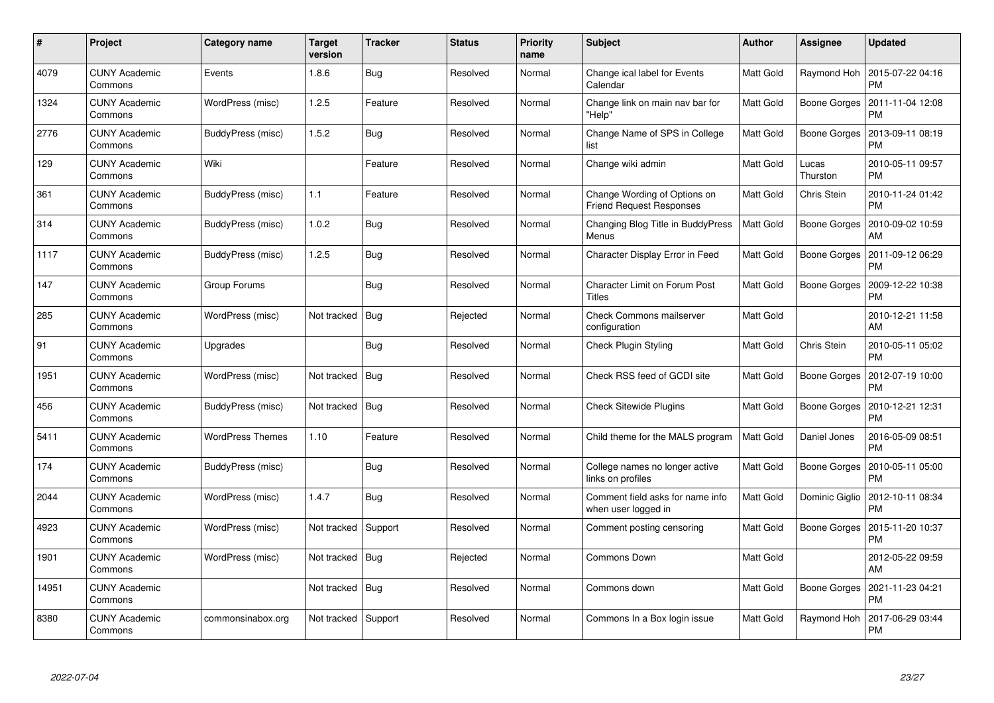| $\pmb{\#}$ | Project                         | Category name           | <b>Target</b><br>version | <b>Tracker</b> | <b>Status</b> | <b>Priority</b><br>name | <b>Subject</b>                                                  | <b>Author</b>    | Assignee            | <b>Updated</b>                |
|------------|---------------------------------|-------------------------|--------------------------|----------------|---------------|-------------------------|-----------------------------------------------------------------|------------------|---------------------|-------------------------------|
| 4079       | <b>CUNY Academic</b><br>Commons | Events                  | 1.8.6                    | Bug            | Resolved      | Normal                  | Change ical label for Events<br>Calendar                        | <b>Matt Gold</b> | Raymond Hoh         | 2015-07-22 04:16<br><b>PM</b> |
| 1324       | <b>CUNY Academic</b><br>Commons | WordPress (misc)        | 1.2.5                    | Feature        | Resolved      | Normal                  | Change link on main nav bar for<br>"Help"                       | Matt Gold        | Boone Gorges        | 2011-11-04 12:08<br><b>PM</b> |
| 2776       | <b>CUNY Academic</b><br>Commons | BuddyPress (misc)       | 1.5.2                    | Bug            | Resolved      | Normal                  | Change Name of SPS in College<br>list                           | Matt Gold        | Boone Gorges        | 2013-09-11 08:19<br><b>PM</b> |
| 129        | <b>CUNY Academic</b><br>Commons | Wiki                    |                          | Feature        | Resolved      | Normal                  | Change wiki admin                                               | Matt Gold        | Lucas<br>Thurston   | 2010-05-11 09:57<br><b>PM</b> |
| 361        | <b>CUNY Academic</b><br>Commons | BuddyPress (misc)       | 1.1                      | Feature        | Resolved      | Normal                  | Change Wording of Options on<br><b>Friend Request Responses</b> | Matt Gold        | Chris Stein         | 2010-11-24 01:42<br><b>PM</b> |
| 314        | <b>CUNY Academic</b><br>Commons | BuddyPress (misc)       | 1.0.2                    | Bug            | Resolved      | Normal                  | Changing Blog Title in BuddyPress<br>Menus                      | Matt Gold        | Boone Gorges        | 2010-09-02 10:59<br>AM        |
| 1117       | <b>CUNY Academic</b><br>Commons | BuddyPress (misc)       | 1.2.5                    | Bug            | Resolved      | Normal                  | Character Display Error in Feed                                 | Matt Gold        | Boone Gorges        | 2011-09-12 06:29<br><b>PM</b> |
| 147        | <b>CUNY Academic</b><br>Commons | Group Forums            |                          | Bug            | Resolved      | Normal                  | <b>Character Limit on Forum Post</b><br><b>Titles</b>           | Matt Gold        | Boone Gorges        | 2009-12-22 10:38<br><b>PM</b> |
| 285        | <b>CUNY Academic</b><br>Commons | WordPress (misc)        | Not tracked              | Bug            | Rejected      | Normal                  | <b>Check Commons mailserver</b><br>configuration                | <b>Matt Gold</b> |                     | 2010-12-21 11:58<br>AM        |
| 91         | <b>CUNY Academic</b><br>Commons | Upgrades                |                          | <b>Bug</b>     | Resolved      | Normal                  | Check Plugin Styling                                            | Matt Gold        | Chris Stein         | 2010-05-11 05:02<br><b>PM</b> |
| 1951       | <b>CUNY Academic</b><br>Commons | WordPress (misc)        | Not tracked              | <b>Bug</b>     | Resolved      | Normal                  | Check RSS feed of GCDI site                                     | Matt Gold        | <b>Boone Gorges</b> | 2012-07-19 10:00<br><b>PM</b> |
| 456        | <b>CUNY Academic</b><br>Commons | BuddyPress (misc)       | Not tracked              | Bug            | Resolved      | Normal                  | <b>Check Sitewide Plugins</b>                                   | Matt Gold        | Boone Gorges        | 2010-12-21 12:31<br><b>PM</b> |
| 5411       | <b>CUNY Academic</b><br>Commons | <b>WordPress Themes</b> | 1.10                     | Feature        | Resolved      | Normal                  | Child theme for the MALS program                                | Matt Gold        | Daniel Jones        | 2016-05-09 08:51<br><b>PM</b> |
| 174        | <b>CUNY Academic</b><br>Commons | BuddyPress (misc)       |                          | Bug            | Resolved      | Normal                  | College names no longer active<br>links on profiles             | Matt Gold        | Boone Gorges        | 2010-05-11 05:00<br><b>PM</b> |
| 2044       | <b>CUNY Academic</b><br>Commons | WordPress (misc)        | 1.4.7                    | Bug            | Resolved      | Normal                  | Comment field asks for name info<br>when user logged in         | Matt Gold        | Dominic Giglio      | 2012-10-11 08:34<br><b>PM</b> |
| 4923       | <b>CUNY Academic</b><br>Commons | WordPress (misc)        | Not tracked              | Support        | Resolved      | Normal                  | Comment posting censoring                                       | Matt Gold        | Boone Gorges        | 2015-11-20 10:37<br><b>PM</b> |
| 1901       | <b>CUNY Academic</b><br>Commons | WordPress (misc)        | Not tracked              | Bug            | Rejected      | Normal                  | Commons Down                                                    | <b>Matt Gold</b> |                     | 2012-05-22 09:59<br>AM        |
| 14951      | <b>CUNY Academic</b><br>Commons |                         | Not tracked              | Bug            | Resolved      | Normal                  | Commons down                                                    | Matt Gold        | Boone Gorges        | 2021-11-23 04:21<br><b>PM</b> |
| 8380       | <b>CUNY Academic</b><br>Commons | commonsinabox.org       | Not tracked              | Support        | Resolved      | Normal                  | Commons In a Box login issue                                    | Matt Gold        | Raymond Hoh         | 2017-06-29 03:44<br><b>PM</b> |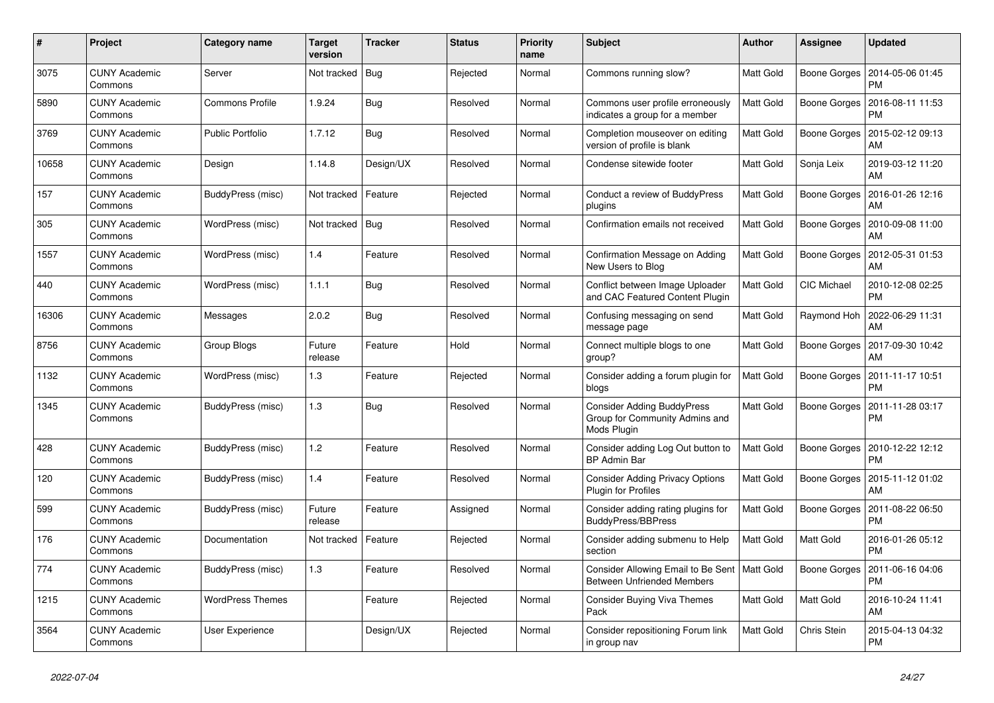| #     | Project                         | <b>Category name</b>    | <b>Target</b><br>version | <b>Tracker</b> | <b>Status</b> | <b>Priority</b><br>name | <b>Subject</b>                                                                      | <b>Author</b>    | Assignee     | <b>Updated</b>                |
|-------|---------------------------------|-------------------------|--------------------------|----------------|---------------|-------------------------|-------------------------------------------------------------------------------------|------------------|--------------|-------------------------------|
| 3075  | <b>CUNY Academic</b><br>Commons | Server                  | Not tracked              | Bug            | Rejected      | Normal                  | Commons running slow?                                                               | <b>Matt Gold</b> | Boone Gorges | 2014-05-06 01:45<br><b>PM</b> |
| 5890  | <b>CUNY Academic</b><br>Commons | <b>Commons Profile</b>  | 1.9.24                   | Bug            | Resolved      | Normal                  | Commons user profile erroneously<br>indicates a group for a member                  | Matt Gold        | Boone Gorges | 2016-08-11 11:53<br><b>PM</b> |
| 3769  | <b>CUNY Academic</b><br>Commons | <b>Public Portfolio</b> | 1.7.12                   | Bug            | Resolved      | Normal                  | Completion mouseover on editing<br>version of profile is blank                      | Matt Gold        | Boone Gorges | 2015-02-12 09:13<br>AM        |
| 10658 | <b>CUNY Academic</b><br>Commons | Design                  | 1.14.8                   | Design/UX      | Resolved      | Normal                  | Condense sitewide footer                                                            | Matt Gold        | Sonja Leix   | 2019-03-12 11:20<br>AM        |
| 157   | <b>CUNY Academic</b><br>Commons | BuddyPress (misc)       | Not tracked              | Feature        | Rejected      | Normal                  | Conduct a review of BuddyPress<br>plugins                                           | Matt Gold        | Boone Gorges | 2016-01-26 12:16<br>AM        |
| 305   | <b>CUNY Academic</b><br>Commons | WordPress (misc)        | Not tracked              | Bug            | Resolved      | Normal                  | Confirmation emails not received                                                    | Matt Gold        | Boone Gorges | 2010-09-08 11:00<br>AM        |
| 1557  | <b>CUNY Academic</b><br>Commons | WordPress (misc)        | 1.4                      | Feature        | Resolved      | Normal                  | Confirmation Message on Adding<br>New Users to Blog                                 | Matt Gold        | Boone Gorges | 2012-05-31 01:53<br>AM        |
| 440   | <b>CUNY Academic</b><br>Commons | WordPress (misc)        | 1.1.1                    | <b>Bug</b>     | Resolved      | Normal                  | Conflict between Image Uploader<br>and CAC Featured Content Plugin                  | Matt Gold        | CIC Michael  | 2010-12-08 02:25<br><b>PM</b> |
| 16306 | <b>CUNY Academic</b><br>Commons | Messages                | 2.0.2                    | Bug            | Resolved      | Normal                  | Confusing messaging on send<br>message page                                         | Matt Gold        | Raymond Hoh  | 2022-06-29 11:31<br>AM        |
| 8756  | <b>CUNY Academic</b><br>Commons | Group Blogs             | Future<br>release        | Feature        | Hold          | Normal                  | Connect multiple blogs to one<br>group?                                             | Matt Gold        | Boone Gorges | 2017-09-30 10:42<br>AM        |
| 1132  | <b>CUNY Academic</b><br>Commons | WordPress (misc)        | 1.3                      | Feature        | Rejected      | Normal                  | Consider adding a forum plugin for<br>blogs                                         | <b>Matt Gold</b> | Boone Gorges | 2011-11-17 10:51<br><b>PM</b> |
| 1345  | <b>CUNY Academic</b><br>Commons | BuddyPress (misc)       | 1.3                      | Bug            | Resolved      | Normal                  | <b>Consider Adding BuddyPress</b><br>Group for Community Admins and<br>Mods Plugin  | Matt Gold        | Boone Gorges | 2011-11-28 03:17<br><b>PM</b> |
| 428   | <b>CUNY Academic</b><br>Commons | BuddyPress (misc)       | $1.2$                    | Feature        | Resolved      | Normal                  | Consider adding Log Out button to<br><b>BP Admin Bar</b>                            | <b>Matt Gold</b> | Boone Gorges | 2010-12-22 12:12<br><b>PM</b> |
| 120   | <b>CUNY Academic</b><br>Commons | BuddyPress (misc)       | 1.4                      | Feature        | Resolved      | Normal                  | <b>Consider Adding Privacy Options</b><br>Plugin for Profiles                       | <b>Matt Gold</b> | Boone Gorges | 2015-11-12 01:02<br>AM        |
| 599   | <b>CUNY Academic</b><br>Commons | BuddyPress (misc)       | Future<br>release        | Feature        | Assigned      | Normal                  | Consider adding rating plugins for<br><b>BuddyPress/BBPress</b>                     | <b>Matt Gold</b> | Boone Gorges | 2011-08-22 06:50<br><b>PM</b> |
| 176   | <b>CUNY Academic</b><br>Commons | Documentation           | Not tracked              | Feature        | Rejected      | Normal                  | Consider adding submenu to Help<br>section                                          | <b>Matt Gold</b> | Matt Gold    | 2016-01-26 05:12<br><b>PM</b> |
| 774   | <b>CUNY Academic</b><br>Commons | BuddyPress (misc)       | 1.3                      | Feature        | Resolved      | Normal                  | Consider Allowing Email to Be Sent   Matt Gold<br><b>Between Unfriended Members</b> |                  | Boone Gorges | 2011-06-16 04:06<br><b>PM</b> |
| 1215  | <b>CUNY Academic</b><br>Commons | <b>WordPress Themes</b> |                          | Feature        | Rejected      | Normal                  | <b>Consider Buying Viva Themes</b><br>Pack                                          | <b>Matt Gold</b> | Matt Gold    | 2016-10-24 11:41<br>AM        |
| 3564  | <b>CUNY Academic</b><br>Commons | User Experience         |                          | Design/UX      | Rejected      | Normal                  | Consider repositioning Forum link<br>in group nav                                   | <b>Matt Gold</b> | Chris Stein  | 2015-04-13 04:32<br><b>PM</b> |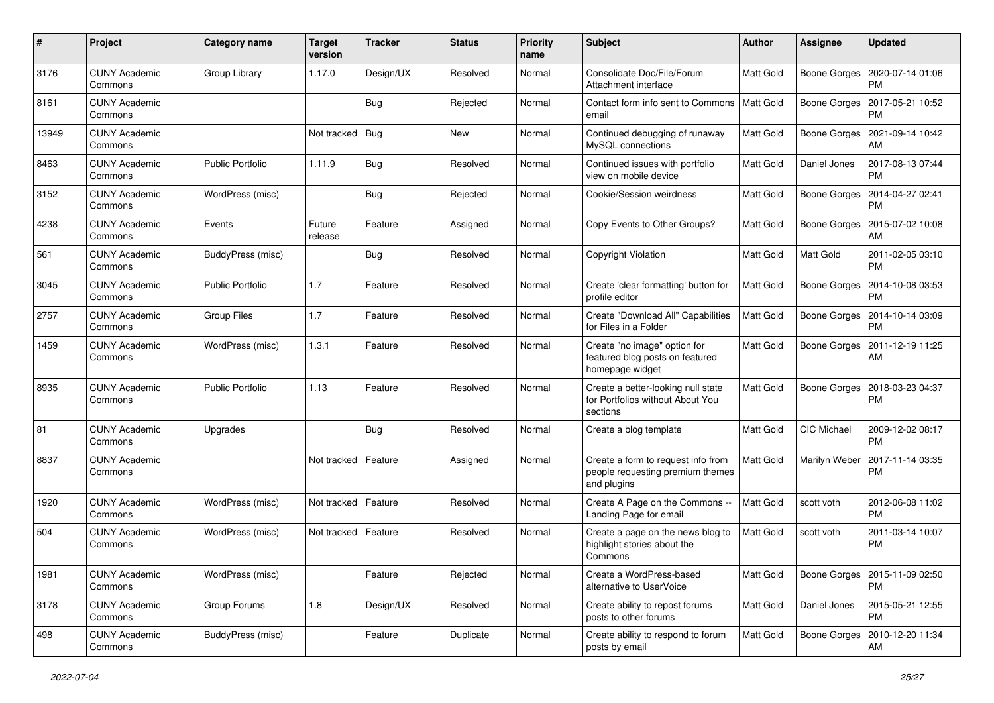| #     | Project                         | <b>Category name</b>    | <b>Target</b><br>version | <b>Tracker</b> | <b>Status</b> | <b>Priority</b><br>name | <b>Subject</b>                                                                        | <b>Author</b>    | Assignee            | <b>Updated</b>                        |
|-------|---------------------------------|-------------------------|--------------------------|----------------|---------------|-------------------------|---------------------------------------------------------------------------------------|------------------|---------------------|---------------------------------------|
| 3176  | <b>CUNY Academic</b><br>Commons | Group Library           | 1.17.0                   | Design/UX      | Resolved      | Normal                  | Consolidate Doc/File/Forum<br>Attachment interface                                    | <b>Matt Gold</b> | Boone Gorges        | 2020-07-14 01:06<br><b>PM</b>         |
| 8161  | <b>CUNY Academic</b><br>Commons |                         |                          | <b>Bug</b>     | Rejected      | Normal                  | Contact form info sent to Commons<br>email                                            | <b>Matt Gold</b> | Boone Gorges        | 2017-05-21 10:52<br><b>PM</b>         |
| 13949 | <b>CUNY Academic</b><br>Commons |                         | Not tracked              | <b>Bug</b>     | New           | Normal                  | Continued debugging of runaway<br>MySQL connections                                   | <b>Matt Gold</b> | Boone Gorges        | 2021-09-14 10:42<br>AM                |
| 8463  | <b>CUNY Academic</b><br>Commons | <b>Public Portfolio</b> | 1.11.9                   | Bug            | Resolved      | Normal                  | Continued issues with portfolio<br>view on mobile device                              | <b>Matt Gold</b> | Daniel Jones        | 2017-08-13 07:44<br><b>PM</b>         |
| 3152  | <b>CUNY Academic</b><br>Commons | WordPress (misc)        |                          | Bug            | Rejected      | Normal                  | Cookie/Session weirdness                                                              | Matt Gold        | Boone Gorges        | 2014-04-27 02:41<br><b>PM</b>         |
| 4238  | <b>CUNY Academic</b><br>Commons | Events                  | Future<br>release        | Feature        | Assigned      | Normal                  | Copy Events to Other Groups?                                                          | Matt Gold        | Boone Gorges        | 2015-07-02 10:08<br>AM                |
| 561   | <b>CUNY Academic</b><br>Commons | BuddyPress (misc)       |                          | Bug            | Resolved      | Normal                  | Copyright Violation                                                                   | Matt Gold        | Matt Gold           | 2011-02-05 03:10<br><b>PM</b>         |
| 3045  | <b>CUNY Academic</b><br>Commons | <b>Public Portfolio</b> | 1.7                      | Feature        | Resolved      | Normal                  | Create 'clear formatting' button for<br>profile editor                                | <b>Matt Gold</b> | Boone Gorges        | 2014-10-08 03:53<br><b>PM</b>         |
| 2757  | <b>CUNY Academic</b><br>Commons | <b>Group Files</b>      | 1.7                      | Feature        | Resolved      | Normal                  | Create "Download All" Capabilities<br>for Files in a Folder                           | <b>Matt Gold</b> | Boone Gorges        | 2014-10-14 03:09<br><b>PM</b>         |
| 1459  | <b>CUNY Academic</b><br>Commons | WordPress (misc)        | 1.3.1                    | Feature        | Resolved      | Normal                  | Create "no image" option for<br>featured blog posts on featured<br>homepage widget    | Matt Gold        | Boone Gorges        | 2011-12-19 11:25<br>AM                |
| 8935  | <b>CUNY Academic</b><br>Commons | <b>Public Portfolio</b> | 1.13                     | Feature        | Resolved      | Normal                  | Create a better-looking null state<br>for Portfolios without About You<br>sections    | Matt Gold        | <b>Boone Gorges</b> | 2018-03-23 04:37<br><b>PM</b>         |
| 81    | <b>CUNY Academic</b><br>Commons | Upgrades                |                          | Bug            | Resolved      | Normal                  | Create a blog template                                                                | Matt Gold        | CIC Michael         | 2009-12-02 08:17<br><b>PM</b>         |
| 8837  | <b>CUNY Academic</b><br>Commons |                         | Not tracked              | Feature        | Assigned      | Normal                  | Create a form to request info from<br>people requesting premium themes<br>and plugins | <b>Matt Gold</b> | Marilyn Weber       | 2017-11-14 03:35<br><b>PM</b>         |
| 1920  | <b>CUNY Academic</b><br>Commons | WordPress (misc)        | Not tracked              | Feature        | Resolved      | Normal                  | Create A Page on the Commons --<br>Landing Page for email                             | <b>Matt Gold</b> | scott voth          | 2012-06-08 11:02<br><b>PM</b>         |
| 504   | <b>CUNY Academic</b><br>Commons | WordPress (misc)        | Not tracked              | Feature        | Resolved      | Normal                  | Create a page on the news blog to<br>highlight stories about the<br>Commons           | <b>Matt Gold</b> | scott voth          | 2011-03-14 10:07<br><b>PM</b>         |
| 1981  | <b>CUNY Academic</b><br>Commons | WordPress (misc)        |                          | Feature        | Rejected      | Normal                  | Create a WordPress-based<br>alternative to UserVoice                                  | Matt Gold        |                     | Boone Gorges   2015-11-09 02:50<br>PM |
| 3178  | <b>CUNY Academic</b><br>Commons | Group Forums            | $1.8$                    | Design/UX      | Resolved      | Normal                  | Create ability to repost forums<br>posts to other forums                              | Matt Gold        | Daniel Jones        | 2015-05-21 12:55<br><b>PM</b>         |
| 498   | <b>CUNY Academic</b><br>Commons | BuddyPress (misc)       |                          | Feature        | Duplicate     | Normal                  | Create ability to respond to forum<br>posts by email                                  | Matt Gold        | Boone Gorges        | 2010-12-20 11:34<br>AM                |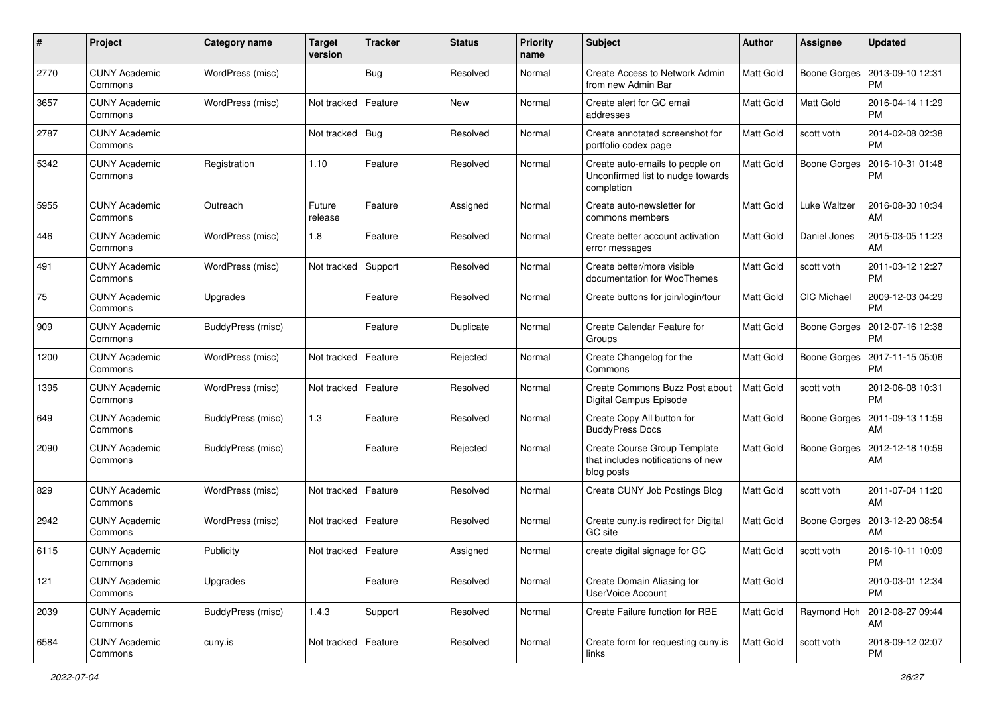| $\#$ | Project                         | <b>Category name</b> | <b>Target</b><br>version | <b>Tracker</b> | <b>Status</b> | <b>Priority</b><br>name | <b>Subject</b>                                                                     | Author           | Assignee            | <b>Updated</b>                |
|------|---------------------------------|----------------------|--------------------------|----------------|---------------|-------------------------|------------------------------------------------------------------------------------|------------------|---------------------|-------------------------------|
| 2770 | <b>CUNY Academic</b><br>Commons | WordPress (misc)     |                          | Bug            | Resolved      | Normal                  | <b>Create Access to Network Admin</b><br>from new Admin Bar                        | <b>Matt Gold</b> | Boone Gorges        | 2013-09-10 12:31<br><b>PM</b> |
| 3657 | <b>CUNY Academic</b><br>Commons | WordPress (misc)     | Not tracked              | Feature        | New           | Normal                  | Create alert for GC email<br>addresses                                             | <b>Matt Gold</b> | <b>Matt Gold</b>    | 2016-04-14 11:29<br><b>PM</b> |
| 2787 | <b>CUNY Academic</b><br>Commons |                      | Not tracked              | Bug            | Resolved      | Normal                  | Create annotated screenshot for<br>portfolio codex page                            | Matt Gold        | scott voth          | 2014-02-08 02:38<br><b>PM</b> |
| 5342 | <b>CUNY Academic</b><br>Commons | Registration         | 1.10                     | Feature        | Resolved      | Normal                  | Create auto-emails to people on<br>Unconfirmed list to nudge towards<br>completion | <b>Matt Gold</b> | <b>Boone Gorges</b> | 2016-10-31 01:48<br><b>PM</b> |
| 5955 | <b>CUNY Academic</b><br>Commons | Outreach             | Future<br>release        | Feature        | Assigned      | Normal                  | Create auto-newsletter for<br>commons members                                      | <b>Matt Gold</b> | Luke Waltzer        | 2016-08-30 10:34<br>AM        |
| 446  | <b>CUNY Academic</b><br>Commons | WordPress (misc)     | 1.8                      | Feature        | Resolved      | Normal                  | Create better account activation<br>error messages                                 | Matt Gold        | Daniel Jones        | 2015-03-05 11:23<br>AM        |
| 491  | <b>CUNY Academic</b><br>Commons | WordPress (misc)     | Not tracked              | Support        | Resolved      | Normal                  | Create better/more visible<br>documentation for WooThemes                          | Matt Gold        | scott voth          | 2011-03-12 12:27<br><b>PM</b> |
| 75   | <b>CUNY Academic</b><br>Commons | Upgrades             |                          | Feature        | Resolved      | Normal                  | Create buttons for join/login/tour                                                 | Matt Gold        | <b>CIC Michael</b>  | 2009-12-03 04:29<br><b>PM</b> |
| 909  | <b>CUNY Academic</b><br>Commons | BuddyPress (misc)    |                          | Feature        | Duplicate     | Normal                  | Create Calendar Feature for<br>Groups                                              | Matt Gold        | Boone Gorges        | 2012-07-16 12:38<br><b>PM</b> |
| 1200 | <b>CUNY Academic</b><br>Commons | WordPress (misc)     | Not tracked              | Feature        | Rejected      | Normal                  | Create Changelog for the<br>Commons                                                | Matt Gold        | Boone Gorges        | 2017-11-15 05:06<br><b>PM</b> |
| 1395 | <b>CUNY Academic</b><br>Commons | WordPress (misc)     | Not tracked              | Feature        | Resolved      | Normal                  | Create Commons Buzz Post about<br>Digital Campus Episode                           | <b>Matt Gold</b> | scott voth          | 2012-06-08 10:31<br><b>PM</b> |
| 649  | <b>CUNY Academic</b><br>Commons | BuddyPress (misc)    | 1.3                      | Feature        | Resolved      | Normal                  | Create Copy All button for<br><b>BuddyPress Docs</b>                               | Matt Gold        | <b>Boone Gorges</b> | 2011-09-13 11:59<br>AM        |
| 2090 | <b>CUNY Academic</b><br>Commons | BuddyPress (misc)    |                          | Feature        | Rejected      | Normal                  | Create Course Group Template<br>that includes notifications of new<br>blog posts   | <b>Matt Gold</b> | Boone Gorges        | 2012-12-18 10:59<br>AM        |
| 829  | <b>CUNY Academic</b><br>Commons | WordPress (misc)     | Not tracked              | Feature        | Resolved      | Normal                  | Create CUNY Job Postings Blog                                                      | <b>Matt Gold</b> | scott voth          | 2011-07-04 11:20<br>AM        |
| 2942 | <b>CUNY Academic</b><br>Commons | WordPress (misc)     | Not tracked              | Feature        | Resolved      | Normal                  | Create cuny.is redirect for Digital<br>GC site                                     | <b>Matt Gold</b> | Boone Gorges        | 2013-12-20 08:54<br>AM        |
| 6115 | <b>CUNY Academic</b><br>Commons | Publicity            | Not tracked              | Feature        | Assigned      | Normal                  | create digital signage for GC                                                      | Matt Gold        | scott voth          | 2016-10-11 10:09<br>PM        |
| 121  | <b>CUNY Academic</b><br>Commons | Upgrades             |                          | Feature        | Resolved      | Normal                  | Create Domain Aliasing for<br>UserVoice Account                                    | Matt Gold        |                     | 2010-03-01 12:34<br>PM        |
| 2039 | <b>CUNY Academic</b><br>Commons | BuddyPress (misc)    | 1.4.3                    | Support        | Resolved      | Normal                  | Create Failure function for RBE                                                    | Matt Gold        | Raymond Hoh         | 2012-08-27 09:44<br>AM        |
| 6584 | <b>CUNY Academic</b><br>Commons | cuny.is              | Not tracked              | Feature        | Resolved      | Normal                  | Create form for requesting cuny.is<br>links                                        | Matt Gold        | scott voth          | 2018-09-12 02:07<br>PM        |